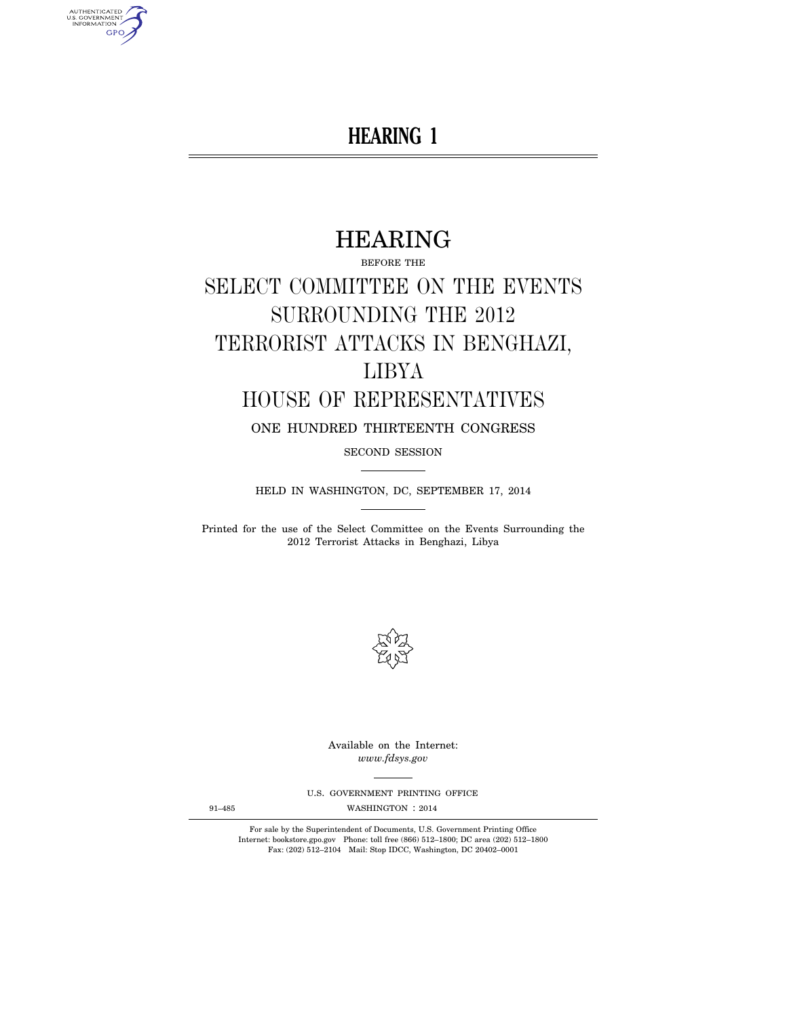## **HEARING 1**

# HEARING

BEFORE THE SELECT COMMITTEE ON THE EVENTS SURROUNDING THE 2012 TERRORIST ATTACKS IN BENGHAZI, LIBYA HOUSE OF REPRESENTATIVES

ONE HUNDRED THIRTEENTH CONGRESS

SECOND SESSION

HELD IN WASHINGTON, DC, SEPTEMBER 17, 2014

Printed for the use of the Select Committee on the Events Surrounding the 2012 Terrorist Attacks in Benghazi, Libya



Available on the Internet: *www.fdsys.gov* 

U.S. GOVERNMENT PRINTING OFFICE

91–485 WASHINGTON : 2014

For sale by the Superintendent of Documents, U.S. Government Printing Office Internet: bookstore.gpo.gov Phone: toll free (866) 512–1800; DC area (202) 512–1800 Fax: (202) 512–2104 Mail: Stop IDCC, Washington, DC 20402–0001

AUTHENTICATED<br>U.S. GOVERNMENT<br>INFORMATION **GPO**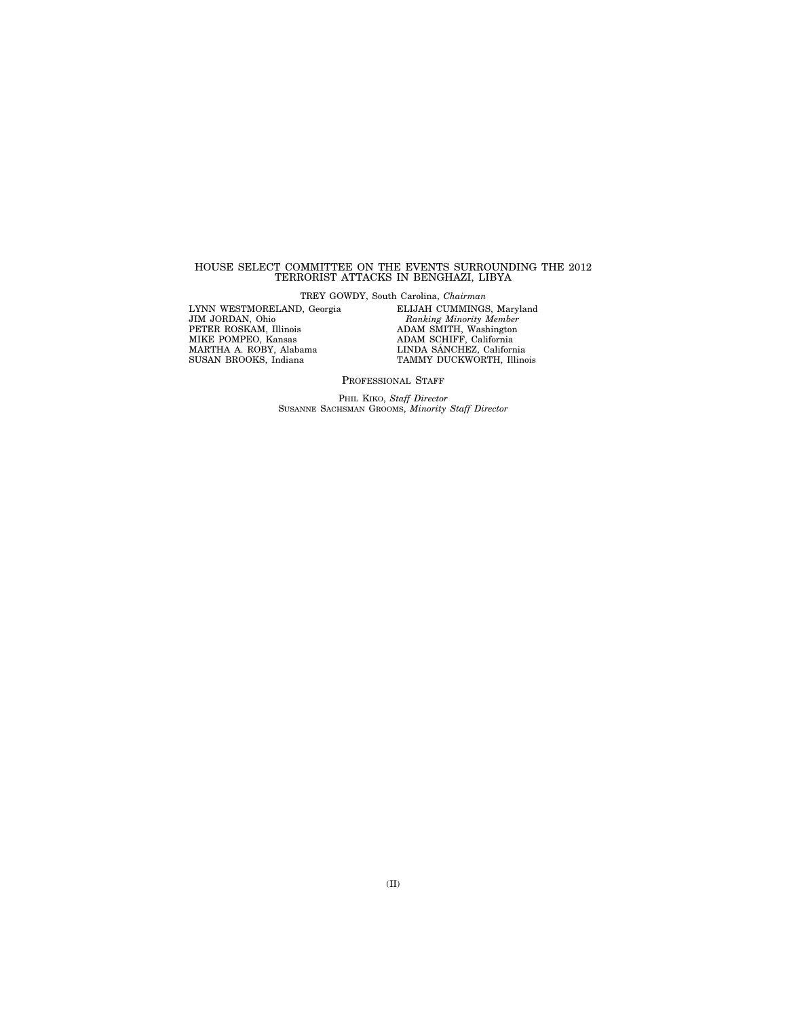#### HOUSE SELECT COMMITTEE ON THE EVENTS SURROUNDING THE 2012 TERRORIST ATTACKS IN BENGHAZI, LIBYA

TREY GOWDY, South Carolina, *Chairman* 

LYNN WESTMORELAND, Georgia JIM JORDAN, Ohio PETER ROSKAM, Illinois MIKE POMPEO, Kansas MARTHA A. ROBY, Alabama SUSAN BROOKS, Indiana

ELIJAH CUMMINGS, Maryland *Ranking Minority Member*  ADAM SMITH, Washington ADAM SCHIFF, California<br>LINDA SÁNCHEZ, California TAMMY DUCKWORTH, Illinois

PROFESSIONAL STAFF

PHIL KIKO, *Staff Director*  SUSANNE SACHSMAN GROOMS, *Minority Staff Director*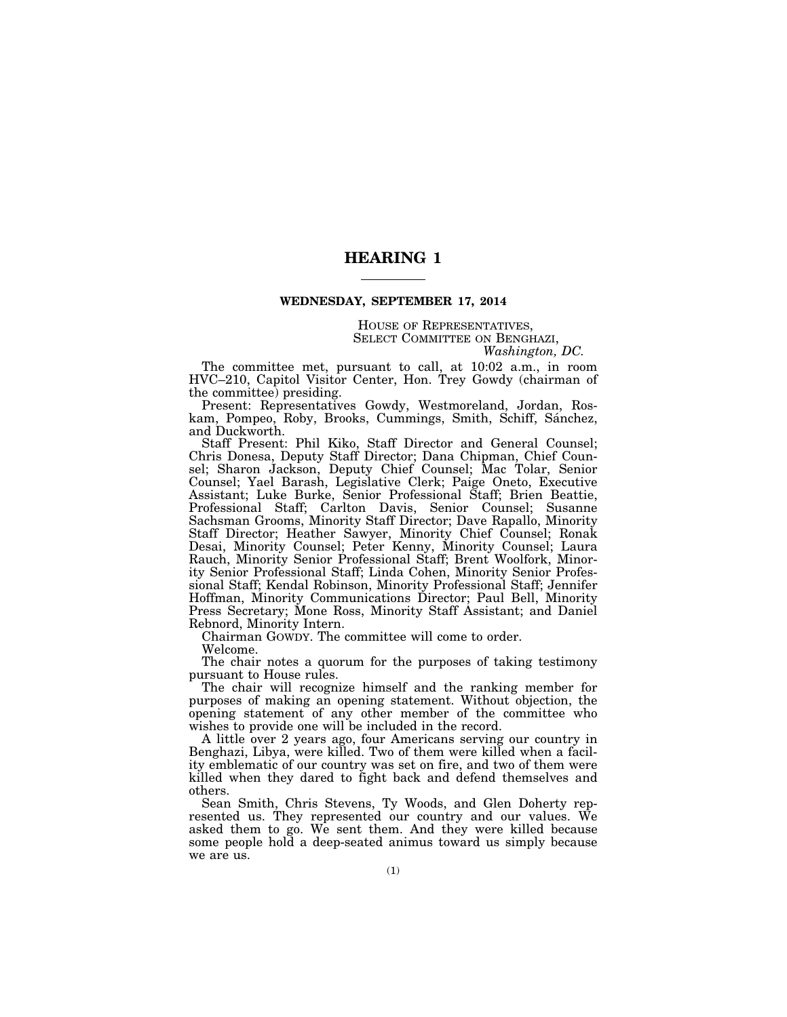## **HEARING 1**

#### **WEDNESDAY, SEPTEMBER 17, 2014**

## HOUSE OF REPRESENTATIVES, SELECT COMMITTEE ON BENGHAZI, *Washington, DC.*

The committee met, pursuant to call, at 10:02 a.m., in room HVC–210, Capitol Visitor Center, Hon. Trey Gowdy (chairman of the committee) presiding.

Present: Representatives Gowdy, Westmoreland, Jordan, Roskam, Pompeo, Roby, Brooks, Cummings, Smith, Schiff, Sánchez, and Duckworth.

Staff Present: Phil Kiko, Staff Director and General Counsel; Chris Donesa, Deputy Staff Director; Dana Chipman, Chief Counsel; Sharon Jackson, Deputy Chief Counsel; Mac Tolar, Senior Counsel; Yael Barash, Legislative Clerk; Paige Oneto, Executive Assistant; Luke Burke, Senior Professional Staff; Brien Beattie, Professional Staff; Carlton Davis, Senior Counsel; Susanne Sachsman Grooms, Minority Staff Director; Dave Rapallo, Minority Staff Director; Heather Sawyer, Minority Chief Counsel; Ronak Desai, Minority Counsel; Peter Kenny, Minority Counsel; Laura Rauch, Minority Senior Professional Staff; Brent Woolfork, Minority Senior Professional Staff; Linda Cohen, Minority Senior Professional Staff; Kendal Robinson, Minority Professional Staff; Jennifer Hoffman, Minority Communications Director; Paul Bell, Minority Press Secretary; Mone Ross, Minority Staff Assistant; and Daniel Rebnord, Minority Intern.

Chairman GOWDY. The committee will come to order.

Welcome.

The chair notes a quorum for the purposes of taking testimony pursuant to House rules.

The chair will recognize himself and the ranking member for purposes of making an opening statement. Without objection, the opening statement of any other member of the committee who wishes to provide one will be included in the record.

A little over 2 years ago, four Americans serving our country in Benghazi, Libya, were killed. Two of them were killed when a facility emblematic of our country was set on fire, and two of them were killed when they dared to fight back and defend themselves and others.

Sean Smith, Chris Stevens, Ty Woods, and Glen Doherty represented us. They represented our country and our values. We asked them to go. We sent them. And they were killed because some people hold a deep-seated animus toward us simply because we are us.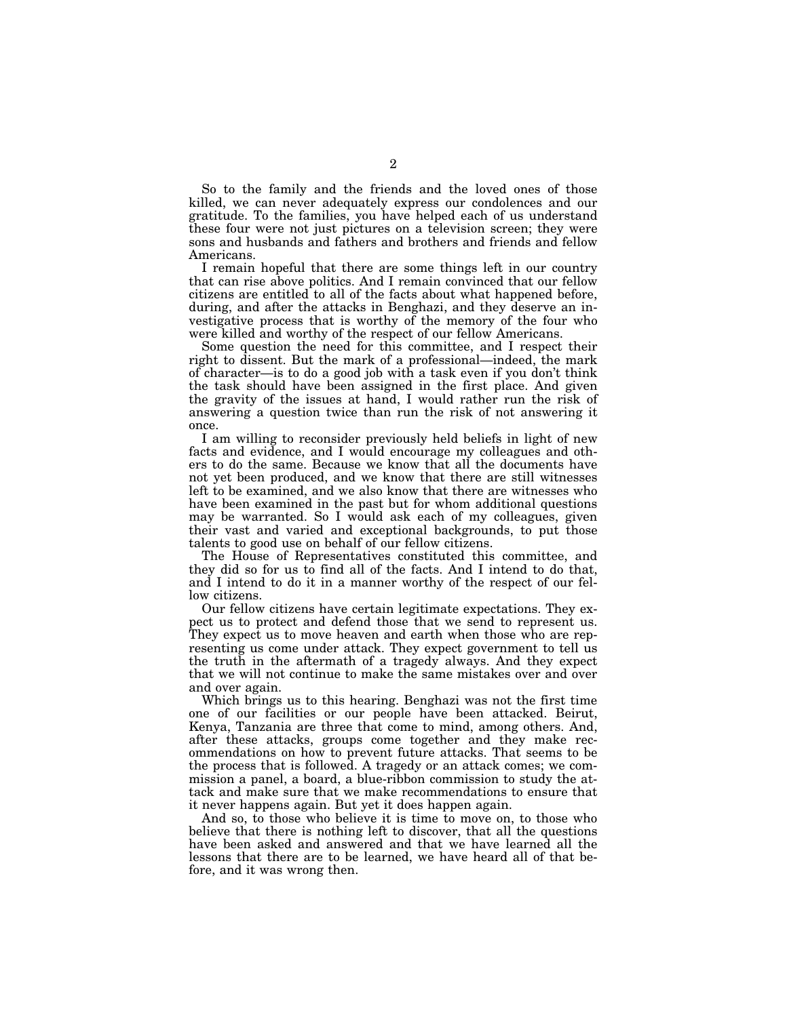So to the family and the friends and the loved ones of those killed, we can never adequately express our condolences and our gratitude. To the families, you have helped each of us understand these four were not just pictures on a television screen; they were sons and husbands and fathers and brothers and friends and fellow Americans.

I remain hopeful that there are some things left in our country that can rise above politics. And I remain convinced that our fellow citizens are entitled to all of the facts about what happened before, during, and after the attacks in Benghazi, and they deserve an investigative process that is worthy of the memory of the four who were killed and worthy of the respect of our fellow Americans.

Some question the need for this committee, and I respect their right to dissent. But the mark of a professional—indeed, the mark of character—is to do a good job with a task even if you don't think the task should have been assigned in the first place. And given the gravity of the issues at hand, I would rather run the risk of answering a question twice than run the risk of not answering it once.

I am willing to reconsider previously held beliefs in light of new facts and evidence, and I would encourage my colleagues and others to do the same. Because we know that all the documents have not yet been produced, and we know that there are still witnesses left to be examined, and we also know that there are witnesses who have been examined in the past but for whom additional questions may be warranted. So I would ask each of my colleagues, given their vast and varied and exceptional backgrounds, to put those talents to good use on behalf of our fellow citizens.

The House of Representatives constituted this committee, and they did so for us to find all of the facts. And I intend to do that, and I intend to do it in a manner worthy of the respect of our fellow citizens.

Our fellow citizens have certain legitimate expectations. They expect us to protect and defend those that we send to represent us. They expect us to move heaven and earth when those who are representing us come under attack. They expect government to tell us the truth in the aftermath of a tragedy always. And they expect that we will not continue to make the same mistakes over and over and over again.

Which brings us to this hearing. Benghazi was not the first time one of our facilities or our people have been attacked. Beirut, Kenya, Tanzania are three that come to mind, among others. And, after these attacks, groups come together and they make recommendations on how to prevent future attacks. That seems to be the process that is followed. A tragedy or an attack comes; we commission a panel, a board, a blue-ribbon commission to study the attack and make sure that we make recommendations to ensure that it never happens again. But yet it does happen again.

And so, to those who believe it is time to move on, to those who believe that there is nothing left to discover, that all the questions have been asked and answered and that we have learned all the lessons that there are to be learned, we have heard all of that before, and it was wrong then.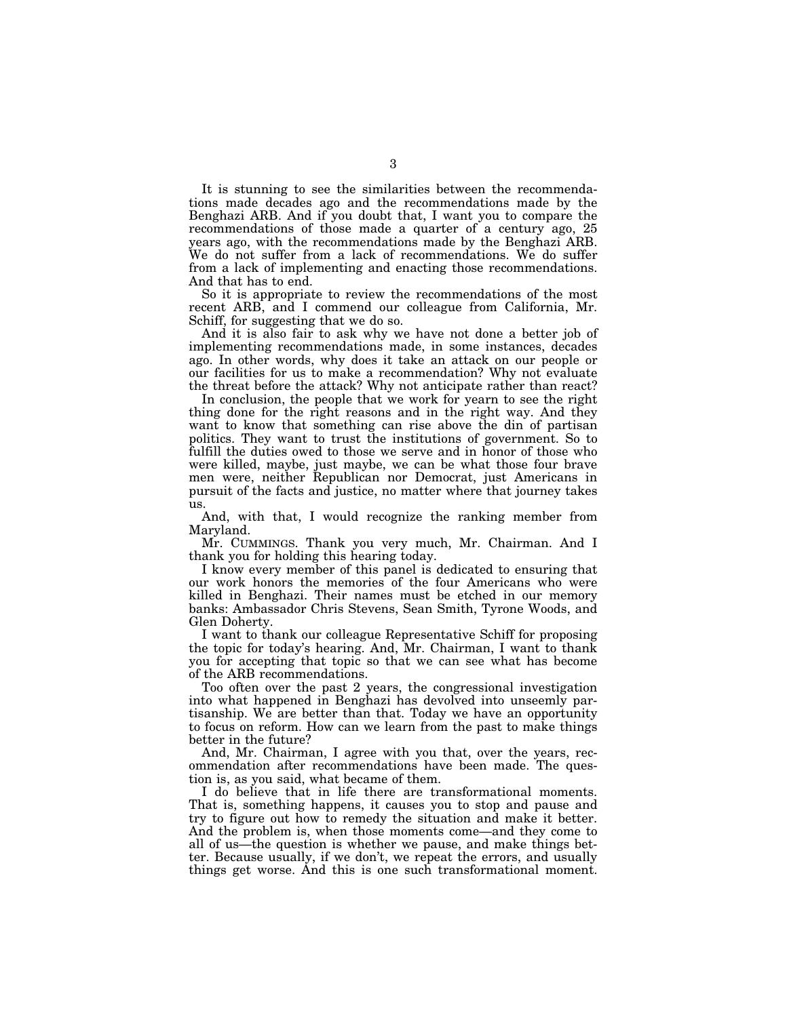It is stunning to see the similarities between the recommendations made decades ago and the recommendations made by the Benghazi ARB. And if you doubt that, I want you to compare the recommendations of those made a quarter of a century ago, 25 years ago, with the recommendations made by the Benghazi ARB. We do not suffer from a lack of recommendations. We do suffer from a lack of implementing and enacting those recommendations. And that has to end.

So it is appropriate to review the recommendations of the most recent ARB, and I commend our colleague from California, Mr. Schiff, for suggesting that we do so.

And it is also fair to ask why we have not done a better job of implementing recommendations made, in some instances, decades ago. In other words, why does it take an attack on our people or our facilities for us to make a recommendation? Why not evaluate the threat before the attack? Why not anticipate rather than react?

In conclusion, the people that we work for yearn to see the right thing done for the right reasons and in the right way. And they want to know that something can rise above the din of partisan politics. They want to trust the institutions of government. So to fulfill the duties owed to those we serve and in honor of those who were killed, maybe, just maybe, we can be what those four brave men were, neither Republican nor Democrat, just Americans in pursuit of the facts and justice, no matter where that journey takes us.

And, with that, I would recognize the ranking member from Maryland.

Mr. CUMMINGS. Thank you very much, Mr. Chairman. And I thank you for holding this hearing today.

I know every member of this panel is dedicated to ensuring that our work honors the memories of the four Americans who were killed in Benghazi. Their names must be etched in our memory banks: Ambassador Chris Stevens, Sean Smith, Tyrone Woods, and Glen Doherty.

I want to thank our colleague Representative Schiff for proposing the topic for today's hearing. And, Mr. Chairman, I want to thank you for accepting that topic so that we can see what has become of the ARB recommendations.

Too often over the past 2 years, the congressional investigation into what happened in Benghazi has devolved into unseemly partisanship. We are better than that. Today we have an opportunity to focus on reform. How can we learn from the past to make things better in the future?

And, Mr. Chairman, I agree with you that, over the years, recommendation after recommendations have been made. The question is, as you said, what became of them.

I do believe that in life there are transformational moments. That is, something happens, it causes you to stop and pause and try to figure out how to remedy the situation and make it better. And the problem is, when those moments come—and they come to all of us—the question is whether we pause, and make things better. Because usually, if we don't, we repeat the errors, and usually things get worse. And this is one such transformational moment.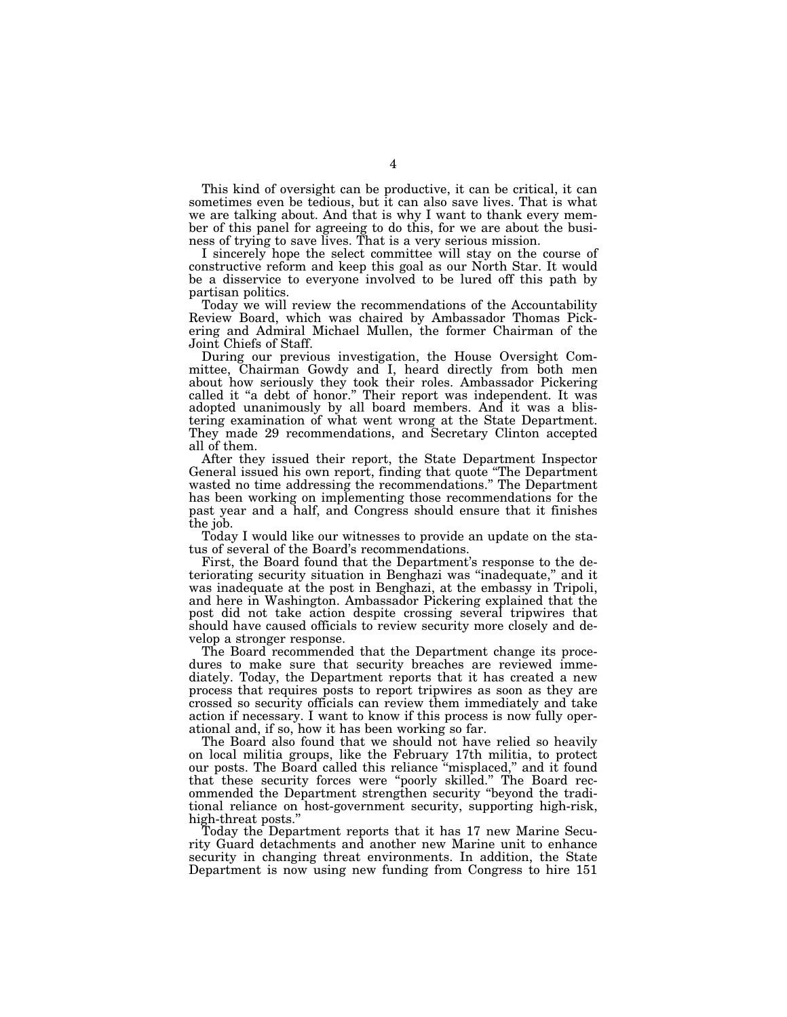This kind of oversight can be productive, it can be critical, it can sometimes even be tedious, but it can also save lives. That is what we are talking about. And that is why I want to thank every member of this panel for agreeing to do this, for we are about the business of trying to save lives. That is a very serious mission.

I sincerely hope the select committee will stay on the course of constructive reform and keep this goal as our North Star. It would be a disservice to everyone involved to be lured off this path by partisan politics.

Today we will review the recommendations of the Accountability Review Board, which was chaired by Ambassador Thomas Pickering and Admiral Michael Mullen, the former Chairman of the Joint Chiefs of Staff.

During our previous investigation, the House Oversight Committee, Chairman Gowdy and I, heard directly from both men about how seriously they took their roles. Ambassador Pickering called it "a debt of honor." Their report was independent. It was adopted unanimously by all board members. And it was a blistering examination of what went wrong at the State Department. They made 29 recommendations, and Secretary Clinton accepted all of them.

After they issued their report, the State Department Inspector General issued his own report, finding that quote ''The Department wasted no time addressing the recommendations.'' The Department has been working on implementing those recommendations for the past year and a half, and Congress should ensure that it finishes the job.

Today I would like our witnesses to provide an update on the status of several of the Board's recommendations.

First, the Board found that the Department's response to the deteriorating security situation in Benghazi was ''inadequate,'' and it was inadequate at the post in Benghazi, at the embassy in Tripoli, and here in Washington. Ambassador Pickering explained that the post did not take action despite crossing several tripwires that should have caused officials to review security more closely and develop a stronger response.

The Board recommended that the Department change its procedures to make sure that security breaches are reviewed immediately. Today, the Department reports that it has created a new process that requires posts to report tripwires as soon as they are crossed so security officials can review them immediately and take action if necessary. I want to know if this process is now fully operational and, if so, how it has been working so far.

The Board also found that we should not have relied so heavily on local militia groups, like the February 17th militia, to protect our posts. The Board called this reliance ''misplaced,'' and it found that these security forces were ''poorly skilled.'' The Board recommended the Department strengthen security ''beyond the traditional reliance on host-government security, supporting high-risk, high-threat posts.''

Today the Department reports that it has 17 new Marine Security Guard detachments and another new Marine unit to enhance security in changing threat environments. In addition, the State Department is now using new funding from Congress to hire 151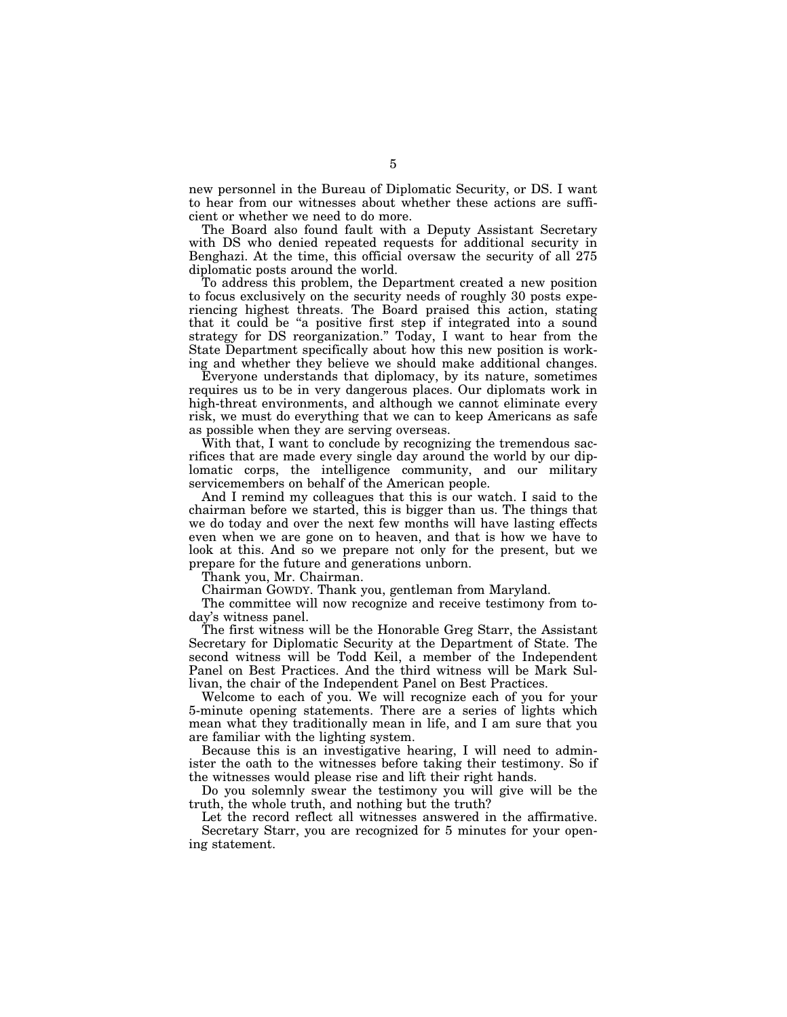new personnel in the Bureau of Diplomatic Security, or DS. I want to hear from our witnesses about whether these actions are sufficient or whether we need to do more.

The Board also found fault with a Deputy Assistant Secretary with DS who denied repeated requests for additional security in Benghazi. At the time, this official oversaw the security of all 275 diplomatic posts around the world.

To address this problem, the Department created a new position to focus exclusively on the security needs of roughly 30 posts experiencing highest threats. The Board praised this action, stating that it could be "a positive first step if integrated into a sound strategy for DS reorganization.'' Today, I want to hear from the State Department specifically about how this new position is working and whether they believe we should make additional changes.

Everyone understands that diplomacy, by its nature, sometimes requires us to be in very dangerous places. Our diplomats work in high-threat environments, and although we cannot eliminate every risk, we must do everything that we can to keep Americans as safe as possible when they are serving overseas.

With that, I want to conclude by recognizing the tremendous sacrifices that are made every single day around the world by our diplomatic corps, the intelligence community, and our military servicemembers on behalf of the American people.

And I remind my colleagues that this is our watch. I said to the chairman before we started, this is bigger than us. The things that we do today and over the next few months will have lasting effects even when we are gone on to heaven, and that is how we have to look at this. And so we prepare not only for the present, but we prepare for the future and generations unborn.

Thank you, Mr. Chairman.

Chairman GOWDY. Thank you, gentleman from Maryland.

The committee will now recognize and receive testimony from today's witness panel.

The first witness will be the Honorable Greg Starr, the Assistant Secretary for Diplomatic Security at the Department of State. The second witness will be Todd Keil, a member of the Independent Panel on Best Practices. And the third witness will be Mark Sullivan, the chair of the Independent Panel on Best Practices.

Welcome to each of you. We will recognize each of you for your 5-minute opening statements. There are a series of lights which mean what they traditionally mean in life, and I am sure that you are familiar with the lighting system.

Because this is an investigative hearing, I will need to administer the oath to the witnesses before taking their testimony. So if the witnesses would please rise and lift their right hands.

Do you solemnly swear the testimony you will give will be the truth, the whole truth, and nothing but the truth?

Let the record reflect all witnesses answered in the affirmative. Secretary Starr, you are recognized for 5 minutes for your opening statement.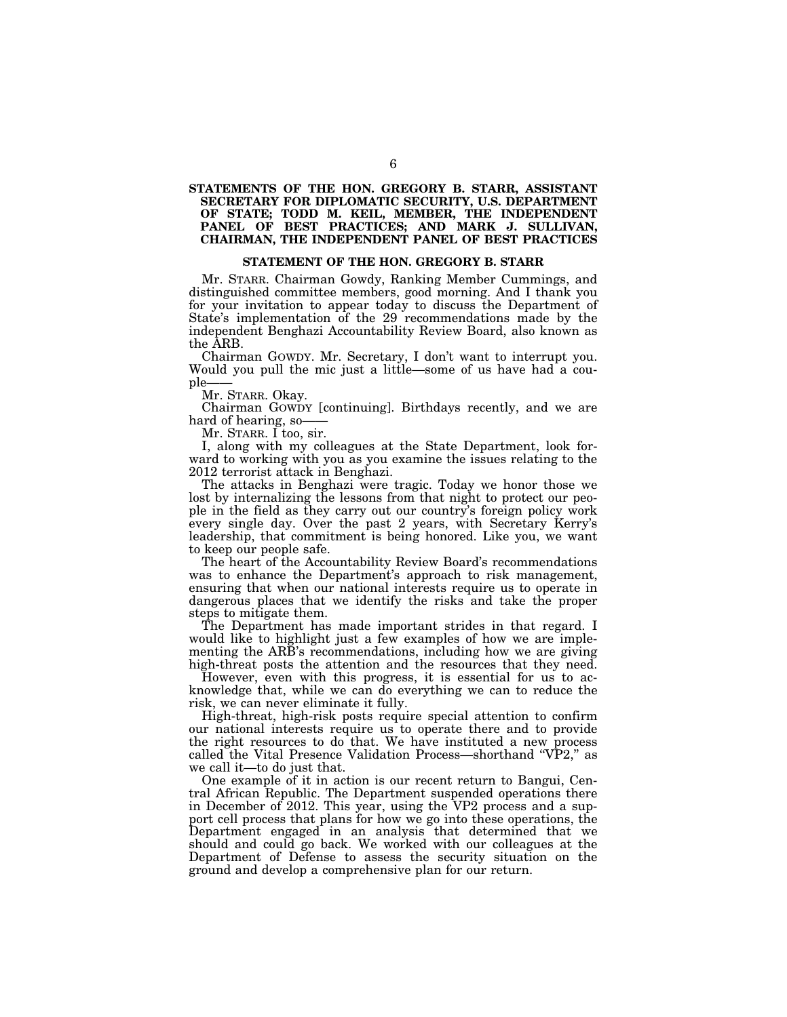## **STATEMENTS OF THE HON. GREGORY B. STARR, ASSISTANT SECRETARY FOR DIPLOMATIC SECURITY, U.S. DEPARTMENT OF STATE; TODD M. KEIL, MEMBER, THE INDEPENDENT PANEL OF BEST PRACTICES; AND MARK J. SULLIVAN, CHAIRMAN, THE INDEPENDENT PANEL OF BEST PRACTICES**

## **STATEMENT OF THE HON. GREGORY B. STARR**

Mr. STARR. Chairman Gowdy, Ranking Member Cummings, and distinguished committee members, good morning. And I thank you for your invitation to appear today to discuss the Department of State's implementation of the 29 recommendations made by the independent Benghazi Accountability Review Board, also known as the ARB.

Chairman GOWDY. Mr. Secretary, I don't want to interrupt you. Would you pull the mic just a little—some of us have had a couple-

Mr. STARR. Okay.

Chairman GOWDY [continuing]. Birthdays recently, and we are hard of hearing, so-

Mr. STARR. I too, sir.

I, along with my colleagues at the State Department, look forward to working with you as you examine the issues relating to the 2012 terrorist attack in Benghazi.

The attacks in Benghazi were tragic. Today we honor those we lost by internalizing the lessons from that night to protect our people in the field as they carry out our country's foreign policy work every single day. Over the past 2 years, with Secretary Kerry's leadership, that commitment is being honored. Like you, we want to keep our people safe.

The heart of the Accountability Review Board's recommendations was to enhance the Department's approach to risk management, ensuring that when our national interests require us to operate in dangerous places that we identify the risks and take the proper steps to mitigate them.

The Department has made important strides in that regard. I would like to highlight just a few examples of how we are implementing the ARB's recommendations, including how we are giving high-threat posts the attention and the resources that they need.

However, even with this progress, it is essential for us to acknowledge that, while we can do everything we can to reduce the risk, we can never eliminate it fully.

High-threat, high-risk posts require special attention to confirm our national interests require us to operate there and to provide the right resources to do that. We have instituted a new process called the Vital Presence Validation Process-shorthand "VP2," as we call it—to do just that.

One example of it in action is our recent return to Bangui, Central African Republic. The Department suspended operations there in December of 2012. This year, using the VP2 process and a support cell process that plans for how we go into these operations, the Department engaged in an analysis that determined that we should and could go back. We worked with our colleagues at the Department of Defense to assess the security situation on the ground and develop a comprehensive plan for our return.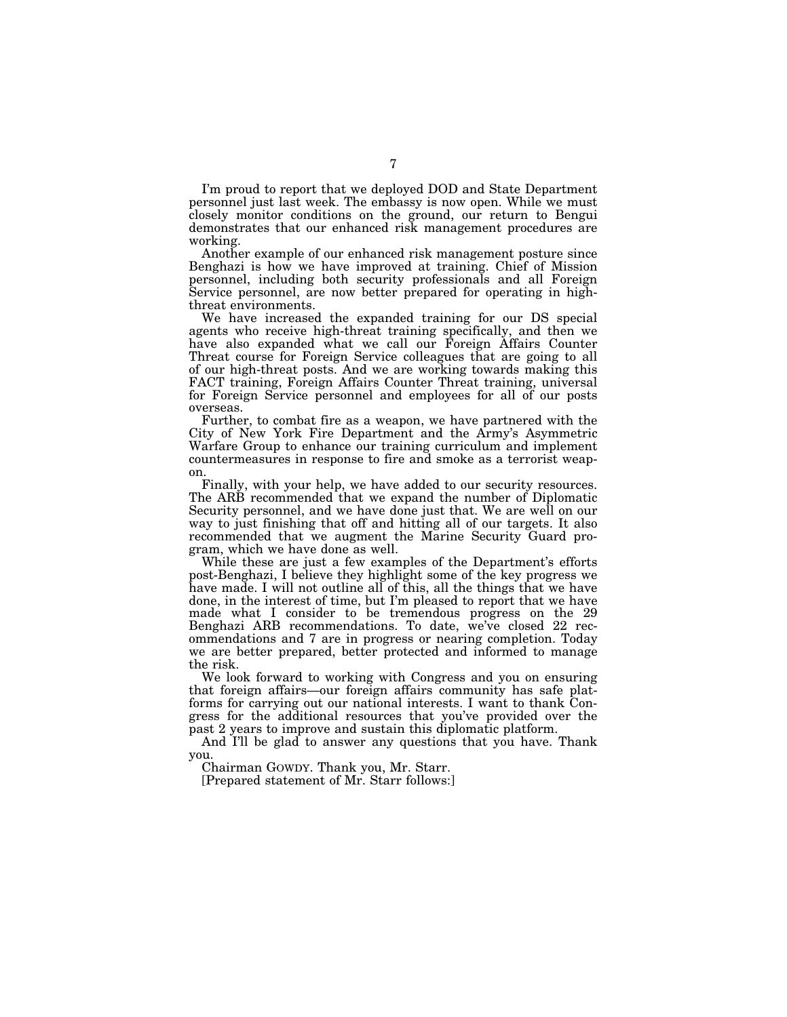I'm proud to report that we deployed DOD and State Department personnel just last week. The embassy is now open. While we must closely monitor conditions on the ground, our return to Bengui demonstrates that our enhanced risk management procedures are working.

Another example of our enhanced risk management posture since Benghazi is how we have improved at training. Chief of Mission personnel, including both security professionals and all Foreign Service personnel, are now better prepared for operating in highthreat environments.

We have increased the expanded training for our DS special agents who receive high-threat training specifically, and then we have also expanded what we call our Foreign Affairs Counter Threat course for Foreign Service colleagues that are going to all of our high-threat posts. And we are working towards making this FACT training, Foreign Affairs Counter Threat training, universal for Foreign Service personnel and employees for all of our posts overseas.

Further, to combat fire as a weapon, we have partnered with the City of New York Fire Department and the Army's Asymmetric Warfare Group to enhance our training curriculum and implement countermeasures in response to fire and smoke as a terrorist weapon.

Finally, with your help, we have added to our security resources. The ARB recommended that we expand the number of Diplomatic Security personnel, and we have done just that. We are well on our way to just finishing that off and hitting all of our targets. It also recommended that we augment the Marine Security Guard program, which we have done as well.

While these are just a few examples of the Department's efforts post-Benghazi, I believe they highlight some of the key progress we have made. I will not outline all of this, all the things that we have done, in the interest of time, but I'm pleased to report that we have made what I consider to be tremendous progress on the 29 Benghazi ARB recommendations. To date, we've closed 22 recommendations and 7 are in progress or nearing completion. Today we are better prepared, better protected and informed to manage the risk.

We look forward to working with Congress and you on ensuring that foreign affairs—our foreign affairs community has safe platforms for carrying out our national interests. I want to thank Congress for the additional resources that you've provided over the past 2 years to improve and sustain this diplomatic platform.

And I'll be glad to answer any questions that you have. Thank you.

Chairman GOWDY. Thank you, Mr. Starr.

[Prepared statement of Mr. Starr follows:]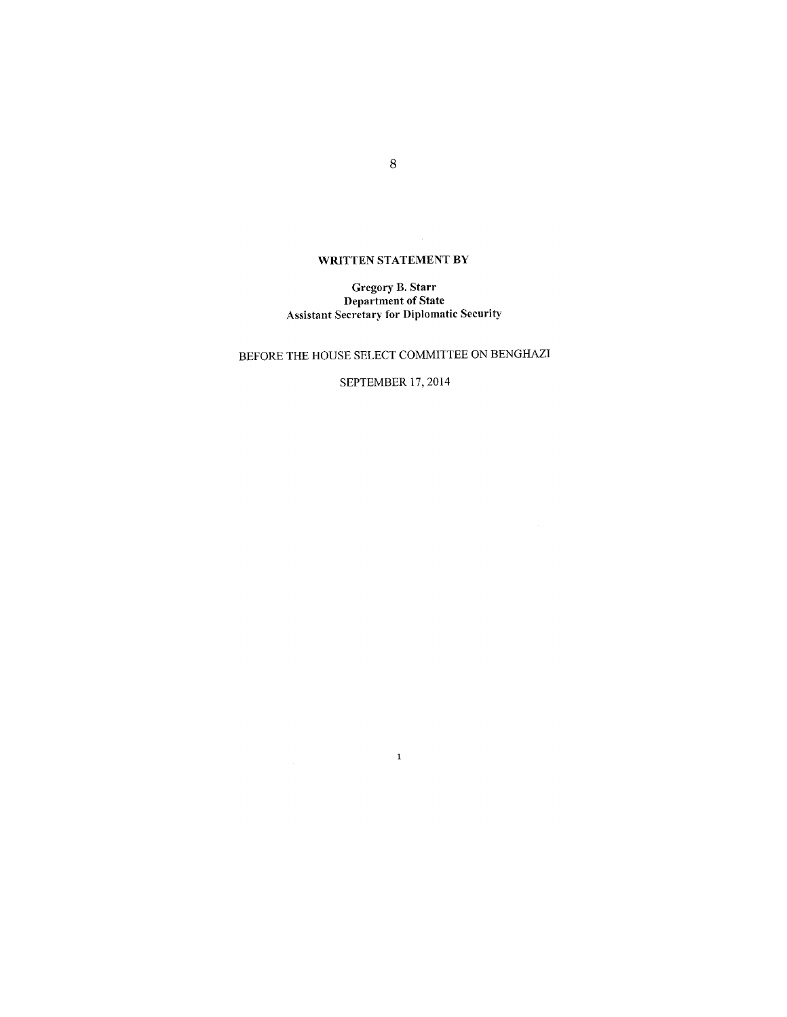## WRITTEN STATEMENT BY

# Gregory B. Starr<br>Department of State<br>Assistant Secretary for Diplomatic Security

## BEFORE THE HOUSE SELECT COMMITTEE ON BENGHAZI

## SEPTEMBER 17, 2014

 $\mathbf{1}$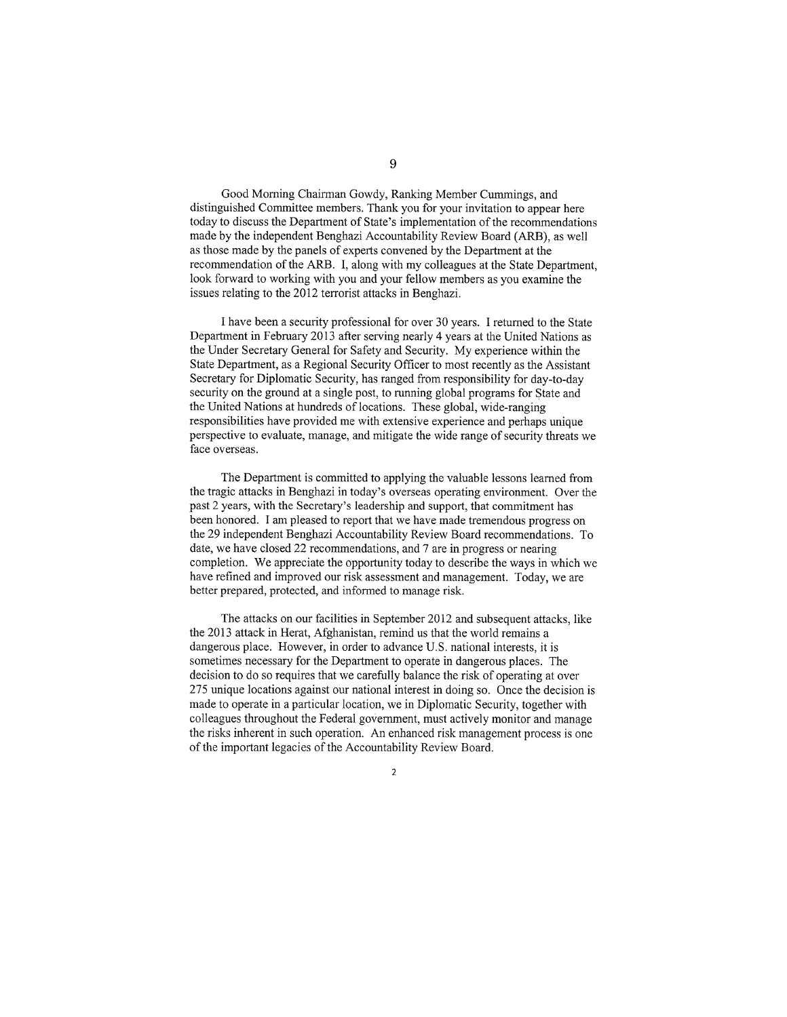Good Morning Chairman Gowdy, Ranking Member Cummings, and distinguished Committee members. Thank you for your invitation to appear here today to discuss the Department of State's implementation of the recommendations made by the independent Benghazi Accountability Review Board (ARB), as well as those made by the panels of experts convened by the Department at the recommendation of the ARB. I, along with my colleagues at the State Department. look forward to working with you and your fellow members as you examine the issues relating to the 2012 terrorist attacks in Benghazi.

I have been a security professional for over 30 years. I returned to the State Department in February 2013 after serving nearly 4 years at the United Nations as the Under Secretary General for Safety and Security. My experience within the State Department, as a Regional Security Officer to most recently as the Assistant Secretary for Diplomatic Security, has ranged from responsibility for day-to-day security on the ground at a single post, to running global programs for State and the United Nations at hundreds of locations. These global, wide-ranging responsibilities have provided me with extensive experience and perhaps unique perspective to evaluate, manage, and mitigate the wide range of security threats we face overseas.

The Department is committed to applying the valuable lessons learned from the tragic attacks in Benghazi in today's overseas operating environment. Over the past 2 years, with the Secretary's leadership and support, that commitment has been honored. I am pleased to report that we have made tremendous progress on the 29 independent Benghazi Accountability Review Board recommendations. To date, we have closed 22 recommendations, and 7 are in progress or nearing completion. We appreciate the opportunity today to describe the ways in which we have refined and improved our risk assessment and management. Today, we are better prepared, protected, and informed to manage risk.

The attacks on our facilities in September 2012 and subsequent attacks, like the 2013 attack in Herat, Afghanistan, remind us that the world remains a dangerous place. However, in order to advance U.S. national interests, it is sometimes necessary for the Department to operate in dangerous places. The decision to do so requires that we carefully balance the risk of operating at over 275 unique locations against our national interest in doing so. Once the decision is made to operate in a particular location, we in Diplomatic Security, together with colleagues throughout the Federal government, must actively monitor and manage the risks inherent in such operation. An enhanced risk management process is one of the important legacies of the Accountability Review Board.

9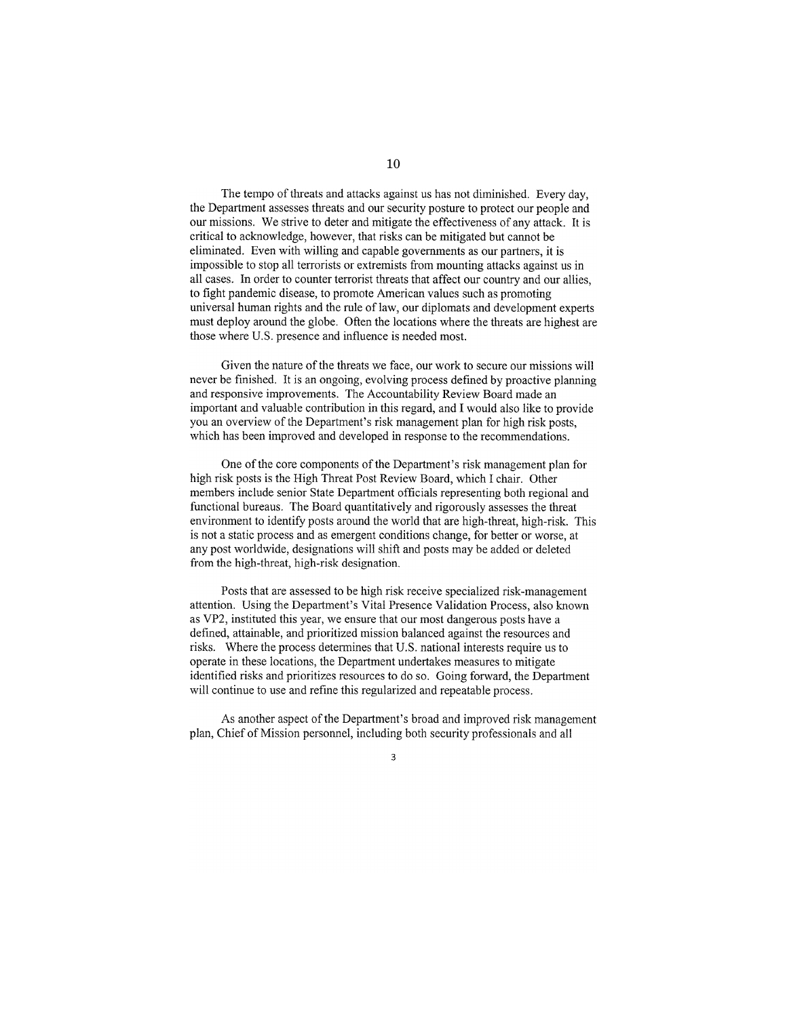The tempo of threats and attacks against us has not diminished. Every day, the Department assesses threats and our security posture to protect our people and our missions. We strive to deter and mitigate the effectiveness of any attack. It is critical to acknowledge, however, that risks can be mitigated but cannot be eliminated. Even with willing and capable governments as our partners, it is impossible to stop all terrorists or extremists from mounting attacks against us in all cases. In order to counter terrorist threats that affect our country and our allies. to fight pandemic disease, to promote American values such as promoting universal human rights and the rule of law, our diplomats and development experts must deploy around the globe. Often the locations where the threats are highest are those where U.S. presence and influence is needed most.

Given the nature of the threats we face, our work to secure our missions will never be finished. It is an ongoing, evolving process defined by proactive planning and responsive improvements. The Accountability Review Board made an important and valuable contribution in this regard, and I would also like to provide you an overview of the Department's risk management plan for high risk posts, which has been improved and developed in response to the recommendations.

One of the core components of the Department's risk management plan for high risk posts is the High Threat Post Review Board, which I chair. Other members include senior State Department officials representing both regional and functional bureaus. The Board quantitatively and rigorously assesses the threat environment to identify posts around the world that are high-threat, high-risk. This is not a static process and as emergent conditions change, for better or worse, at any post worldwide, designations will shift and posts may be added or deleted from the high-threat, high-risk designation.

Posts that are assessed to be high risk receive specialized risk-management attention. Using the Department's Vital Presence Validation Process, also known as VP2, instituted this year, we ensure that our most dangerous posts have a defined, attainable, and prioritized mission balanced against the resources and risks. Where the process determines that U.S. national interests require us to operate in these locations, the Department undertakes measures to mitigate identified risks and prioritizes resources to do so. Going forward, the Department will continue to use and refine this regularized and repeatable process.

As another aspect of the Department's broad and improved risk management plan, Chief of Mission personnel, including both security professionals and all

 $\overline{\mathbf{3}}$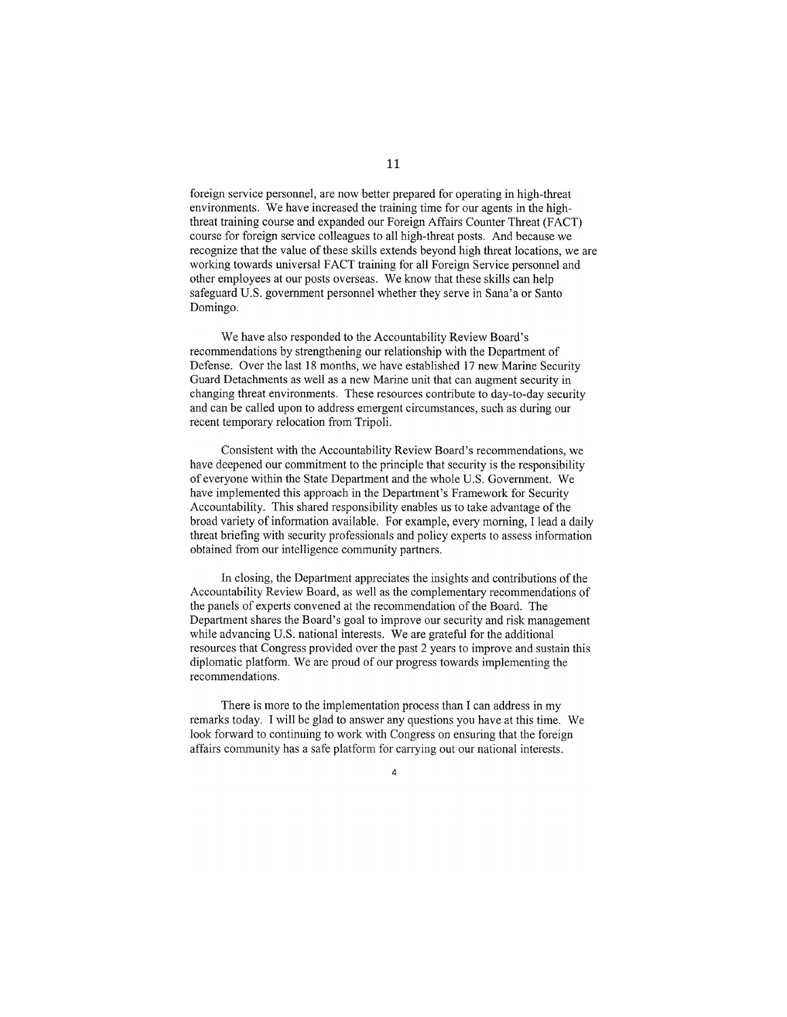foreign service personnel, are now better prepared for operating in high-threat environments. We have increased the training time for our agents in the highthreat training course and expanded our Foreign Affairs Counter Threat (FACT) course for foreign service colleagues to all high-threat posts. And because we recognize that the value of these skills extends beyond high threat locations, we are working towards universal FACT training for all Foreign Service personnel and other employees at our posts overseas. We know that these skills can help safeguard U.S. government personnel whether they serve in Sana'a or Santo Domingo.

We have also responded to the Accountability Review Board's recommendations by strengthening our relationship with the Department of Defense. Over the last 18 months, we have established 17 new Marine Security Guard Detachments as well as a new Marine unit that can augment security in changing threat environments. These resources contribute to day-to-day security and can be called upon to address emergent circumstances, such as during our recent temporary relocation from Tripoli.

Consistent with the Accountability Review Board's recommendations, we have deepened our commitment to the principle that security is the responsibility of everyone within the State Department and the whole U.S. Government. We have implemented this approach in the Department's Framework for Security Accountability. This shared responsibility enables us to take advantage of the broad variety of information available. For example, every morning, I lead a daily threat briefing with security professionals and policy experts to assess information obtained from our intelligence community partners.

In closing, the Department appreciates the insights and contributions of the Accountability Review Board, as well as the complementary recommendations of the panels of experts convened at the recommendation of the Board. The Department shares the Board's goal to improve our security and risk management while advancing U.S. national interests. We are grateful for the additional resources that Congress provided over the past 2 years to improve and sustain this diplomatic platform. We are proud of our progress towards implementing the recommendations.

There is more to the implementation process than I can address in my remarks today. I will be glad to answer any questions you have at this time. We look forward to continuing to work with Congress on ensuring that the foreign affairs community has a safe platform for carrying out our national interests.

 $\overline{a}$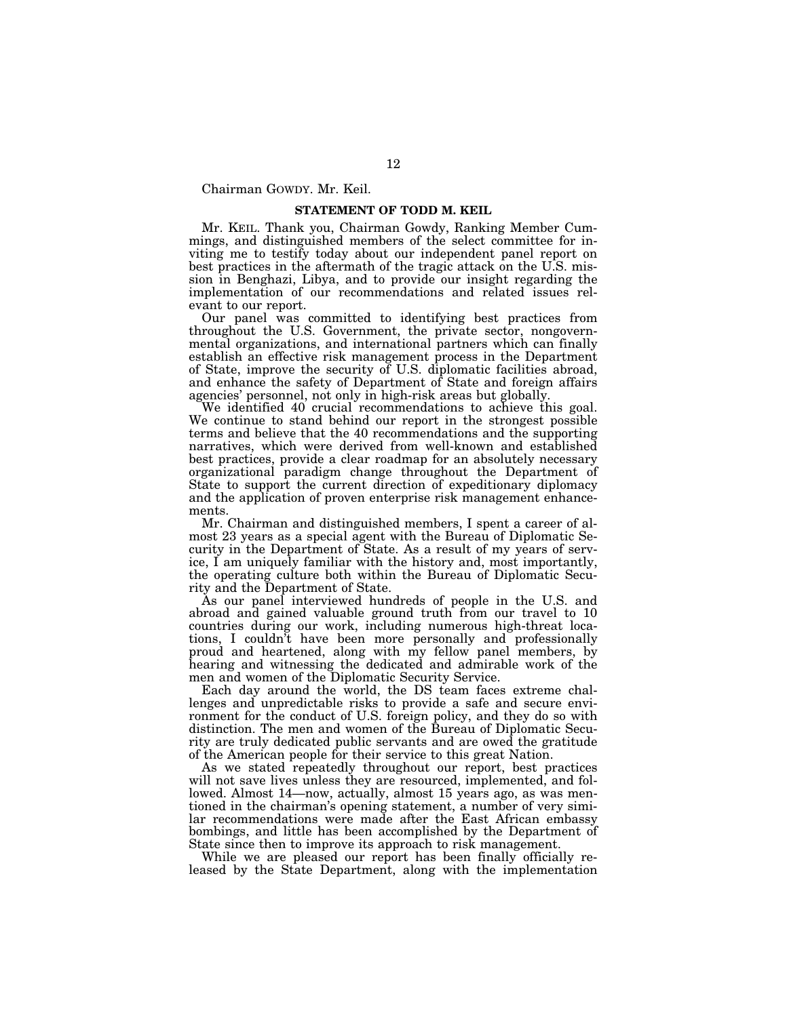Chairman GOWDY. Mr. Keil.

## **STATEMENT OF TODD M. KEIL**

Mr. KEIL. Thank you, Chairman Gowdy, Ranking Member Cummings, and distinguished members of the select committee for inviting me to testify today about our independent panel report on best practices in the aftermath of the tragic attack on the U.S. mission in Benghazi, Libya, and to provide our insight regarding the implementation of our recommendations and related issues relevant to our report.

Our panel was committed to identifying best practices from throughout the U.S. Government, the private sector, nongovernmental organizations, and international partners which can finally establish an effective risk management process in the Department of State, improve the security of U.S. diplomatic facilities abroad, and enhance the safety of Department of State and foreign affairs agencies' personnel, not only in high-risk areas but globally.

We identified 40 crucial recommendations to achieve this goal. We continue to stand behind our report in the strongest possible terms and believe that the 40 recommendations and the supporting narratives, which were derived from well-known and established best practices, provide a clear roadmap for an absolutely necessary organizational paradigm change throughout the Department of State to support the current direction of expeditionary diplomacy and the application of proven enterprise risk management enhancements.

Mr. Chairman and distinguished members, I spent a career of almost 23 years as a special agent with the Bureau of Diplomatic Security in the Department of State. As a result of my years of service, I am uniquely familiar with the history and, most importantly, the operating culture both within the Bureau of Diplomatic Security and the Department of State.

As our panel interviewed hundreds of people in the U.S. and abroad and gained valuable ground truth from our travel to 10 countries during our work, including numerous high-threat locations, I couldn't have been more personally and professionally proud and heartened, along with my fellow panel members, by hearing and witnessing the dedicated and admirable work of the men and women of the Diplomatic Security Service.

Each day around the world, the DS team faces extreme challenges and unpredictable risks to provide a safe and secure environment for the conduct of U.S. foreign policy, and they do so with distinction. The men and women of the Bureau of Diplomatic Security are truly dedicated public servants and are owed the gratitude of the American people for their service to this great Nation.

As we stated repeatedly throughout our report, best practices will not save lives unless they are resourced, implemented, and followed. Almost 14—now, actually, almost 15 years ago, as was mentioned in the chairman's opening statement, a number of very similar recommendations were made after the East African embassy bombings, and little has been accomplished by the Department of State since then to improve its approach to risk management.

While we are pleased our report has been finally officially released by the State Department, along with the implementation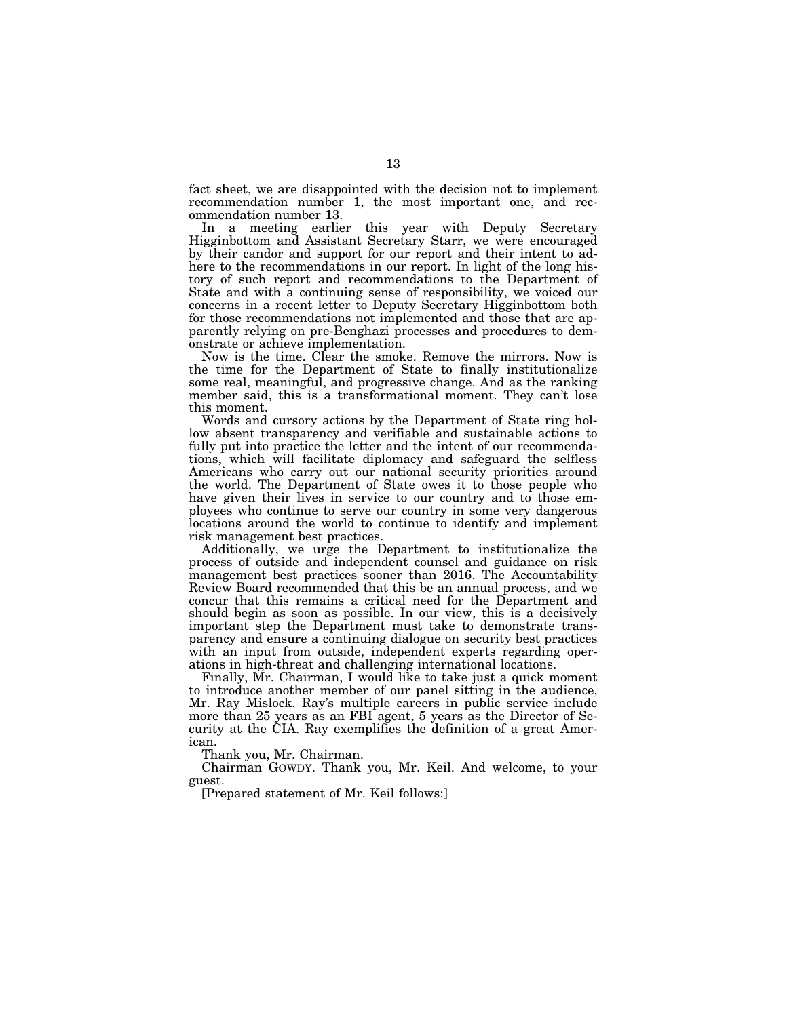fact sheet, we are disappointed with the decision not to implement recommendation number 1, the most important one, and recommendation number 13.

In a meeting earlier this year with Deputy Secretary Higginbottom and Assistant Secretary Starr, we were encouraged by their candor and support for our report and their intent to adhere to the recommendations in our report. In light of the long history of such report and recommendations to the Department of State and with a continuing sense of responsibility, we voiced our concerns in a recent letter to Deputy Secretary Higginbottom both for those recommendations not implemented and those that are apparently relying on pre-Benghazi processes and procedures to demonstrate or achieve implementation.

Now is the time. Clear the smoke. Remove the mirrors. Now is the time for the Department of State to finally institutionalize some real, meaningful, and progressive change. And as the ranking member said, this is a transformational moment. They can't lose this moment.

Words and cursory actions by the Department of State ring hollow absent transparency and verifiable and sustainable actions to fully put into practice the letter and the intent of our recommendations, which will facilitate diplomacy and safeguard the selfless Americans who carry out our national security priorities around the world. The Department of State owes it to those people who have given their lives in service to our country and to those employees who continue to serve our country in some very dangerous locations around the world to continue to identify and implement risk management best practices.

Additionally, we urge the Department to institutionalize the process of outside and independent counsel and guidance on risk management best practices sooner than 2016. The Accountability Review Board recommended that this be an annual process, and we concur that this remains a critical need for the Department and should begin as soon as possible. In our view, this is a decisively important step the Department must take to demonstrate transparency and ensure a continuing dialogue on security best practices with an input from outside, independent experts regarding operations in high-threat and challenging international locations.

Finally, Mr. Chairman, I would like to take just a quick moment to introduce another member of our panel sitting in the audience, Mr. Ray Mislock. Ray's multiple careers in public service include more than 25 years as an FBI agent, 5 years as the Director of Security at the CIA. Ray exemplifies the definition of a great American.

Thank you, Mr. Chairman.

Chairman GOWDY. Thank you, Mr. Keil. And welcome, to your guest.

[Prepared statement of Mr. Keil follows:]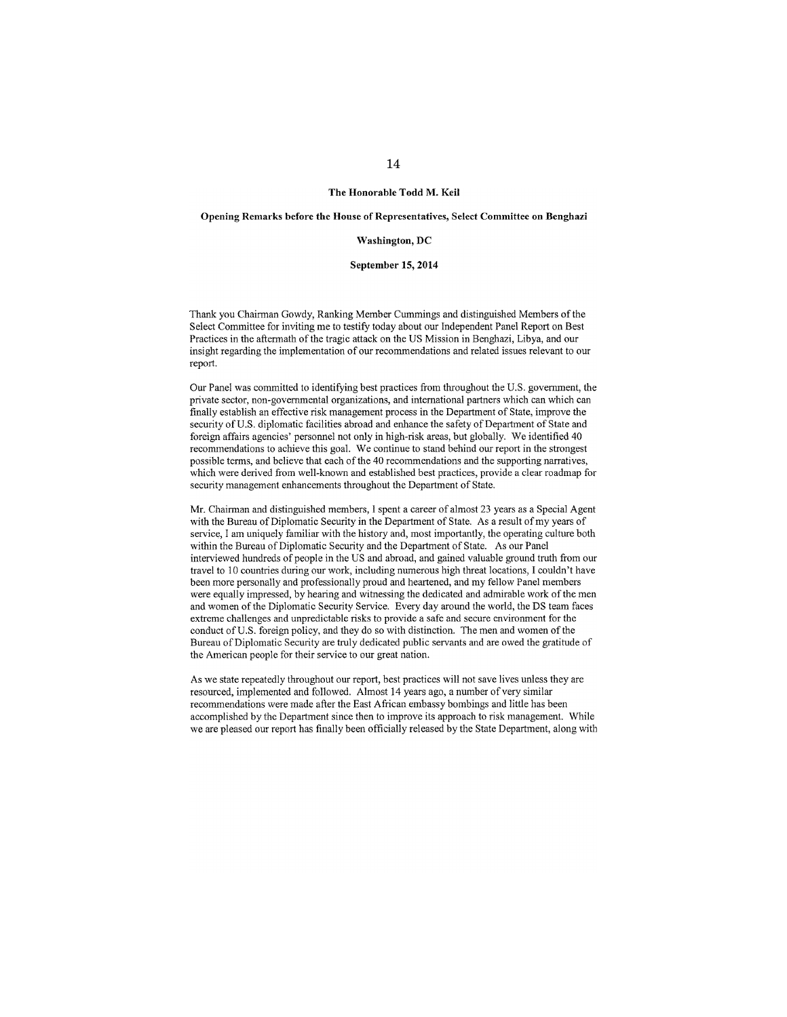#### The Honorable Todd M. Keil

## Opening Remarks before the House of Representatives, Select Committee on Benghazi

### Washington, DC

#### September 15, 2014

Thank you Chairman Gowdy, Ranking Member Cummings and distinguished Members of the Select Committee for inviting me to testify today about our Independent Panel Report on Best Practices in the aftermath of the tragic attack on the US Mission in Benghazi, Libya, and our insight regarding the implementation of our recommendations and related issues relevant to our report.

Our Panel was committed to identifying best practices from throughout the U.S. government, the private sector, non-governmental organizations, and international partners which can which can finally establish an effective risk management process in the Department of State, improve the security of U.S. diplomatic facilities abroad and enhance the safety of Department of State and foreign affairs agencies' personnel not only in high-risk areas, but globally. We identified 40 recommendations to achieve this goal. We continue to stand behind our report in the strongest possible terms, and believe that each of the 40 recommendations and the supporting narratives, which were derived from well-known and established best practices, provide a clear roadmap for security management enhancements throughout the Department of State.

Mr. Chairman and distinguished members, I spent a career of almost 23 years as a Special Agent with the Bureau of Diplomatic Security in the Department of State. As a result of my years of service. I am uniquely familiar with the history and, most importantly, the operating culture both within the Bureau of Diplomatic Security and the Department of State. As our Panel interviewed hundreds of people in the US and abroad, and gained valuable ground truth from our travel to 10 countries during our work, including numerous high threat locations, I couldn't have been more personally and professionally proud and heartened, and my fellow Panel members were equally impressed, by hearing and witnessing the dedicated and admirable work of the men and women of the Diplomatic Security Service. Every day around the world, the DS team faces extreme challenges and unpredictable risks to provide a safe and secure environment for the conduct of U.S. foreign policy, and they do so with distinction. The men and women of the Bureau of Diplomatic Security are truly dedicated public servants and are owed the gratitude of the American people for their service to our great nation.

As we state repeatedly throughout our report, best practices will not save lives unless they are resourced, implemented and followed. Almost 14 years ago, a number of very similar recommendations were made after the East African embassy bombings and little has been accomplished by the Department since then to improve its approach to risk management. While we are pleased our report has finally been officially released by the State Department, along with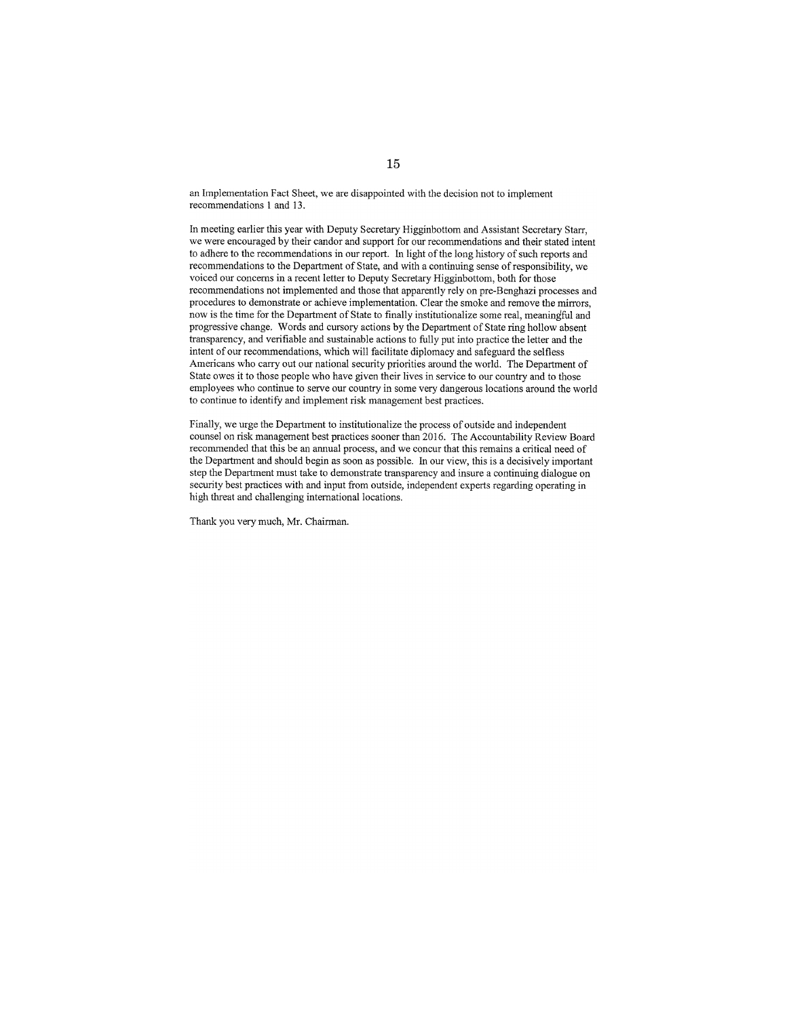an Implementation Fact Sheet, we are disappointed with the decision not to implement recommendations 1 and 13.

In meeting earlier this year with Deputy Secretary Higginbottom and Assistant Secretary Starr, we were encouraged by their candor and support for our recommendations and their stated intent to adhere to the recommendations in our report. In light of the long history of such reports and recommendations to the Department of State, and with a continuing sense of responsibility, we voiced our concerns in a recent letter to Deputy Secretary Higginbottom, both for those recommendations not implemented and those that apparently rely on pre-Benghazi processes and procedures to demonstrate or achieve implementation. Clear the smoke and remove the mirrors. now is the time for the Department of State to finally institutionalize some real, meaningful and progressive change. Words and cursory actions by the Department of State ring hollow absent transparency, and verifiable and sustainable actions to fully put into practice the letter and the intent of our recommendations, which will facilitate diplomacy and safeguard the selfless Americans who carry out our national security priorities around the world. The Department of State owes it to those people who have given their lives in service to our country and to those employees who continue to serve our country in some very dangerous locations around the world to continue to identify and implement risk management best practices.

Finally, we urge the Department to institutionalize the process of outside and independent counsel on risk management best practices sooner than 2016. The Accountability Review Board recommended that this be an annual process, and we concur that this remains a critical need of the Department and should begin as soon as possible. In our view, this is a decisively important step the Department must take to demonstrate transparency and insure a continuing dialogue on security best practices with and input from outside, independent experts regarding operating in high threat and challenging international locations.

Thank you very much, Mr. Chairman.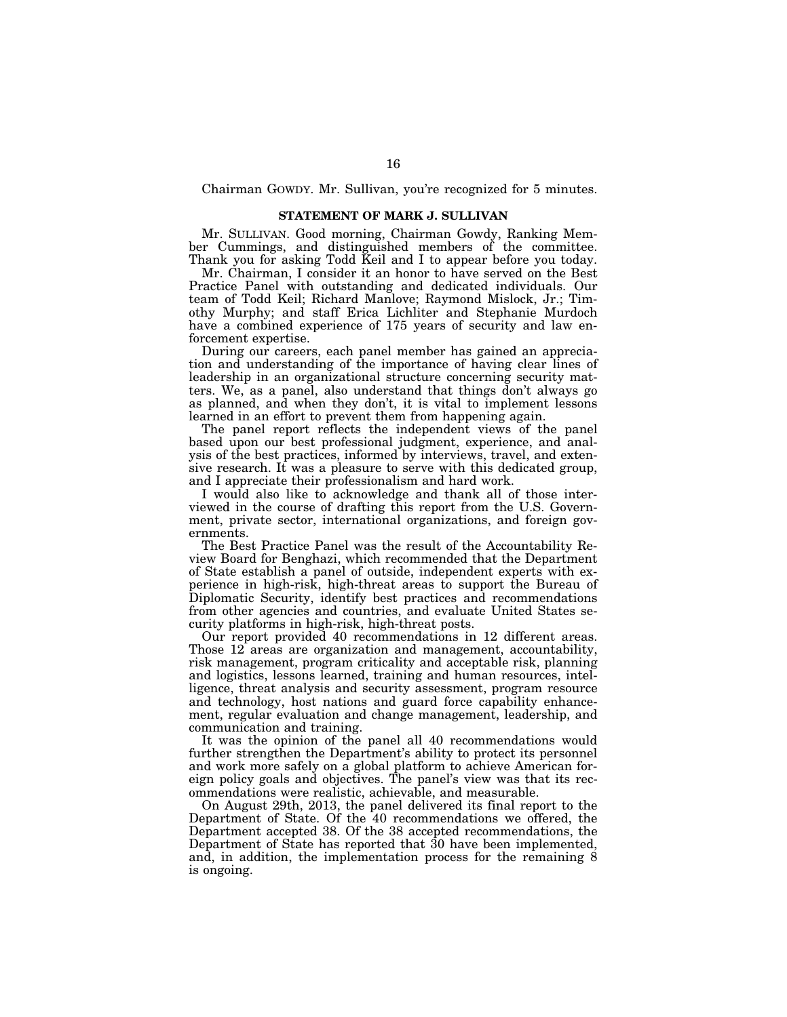Chairman GOWDY. Mr. Sullivan, you're recognized for 5 minutes.

## **STATEMENT OF MARK J. SULLIVAN**

Mr. SULLIVAN. Good morning, Chairman Gowdy, Ranking Member Cummings, and distinguished members of the committee. Thank you for asking Todd Keil and I to appear before you today.

Mr. Chairman, I consider it an honor to have served on the Best Practice Panel with outstanding and dedicated individuals. Our team of Todd Keil; Richard Manlove; Raymond Mislock, Jr.; Timothy Murphy; and staff Erica Lichliter and Stephanie Murdoch have a combined experience of 175 years of security and law enforcement expertise.

During our careers, each panel member has gained an appreciation and understanding of the importance of having clear lines of leadership in an organizational structure concerning security matters. We, as a panel, also understand that things don't always go as planned, and when they don't, it is vital to implement lessons learned in an effort to prevent them from happening again.

The panel report reflects the independent views of the panel based upon our best professional judgment, experience, and analysis of the best practices, informed by interviews, travel, and extensive research. It was a pleasure to serve with this dedicated group, and I appreciate their professionalism and hard work.

I would also like to acknowledge and thank all of those interviewed in the course of drafting this report from the U.S. Government, private sector, international organizations, and foreign governments.

The Best Practice Panel was the result of the Accountability Review Board for Benghazi, which recommended that the Department of State establish a panel of outside, independent experts with experience in high-risk, high-threat areas to support the Bureau of Diplomatic Security, identify best practices and recommendations from other agencies and countries, and evaluate United States security platforms in high-risk, high-threat posts.

Our report provided 40 recommendations in 12 different areas. Those 12 areas are organization and management, accountability, risk management, program criticality and acceptable risk, planning and logistics, lessons learned, training and human resources, intelligence, threat analysis and security assessment, program resource and technology, host nations and guard force capability enhancement, regular evaluation and change management, leadership, and communication and training.

It was the opinion of the panel all 40 recommendations would further strengthen the Department's ability to protect its personnel and work more safely on a global platform to achieve American foreign policy goals and objectives. The panel's view was that its recommendations were realistic, achievable, and measurable.

On August 29th, 2013, the panel delivered its final report to the Department of State. Of the 40 recommendations we offered, the Department accepted 38. Of the 38 accepted recommendations, the Department of State has reported that 30 have been implemented, and, in addition, the implementation process for the remaining 8 is ongoing.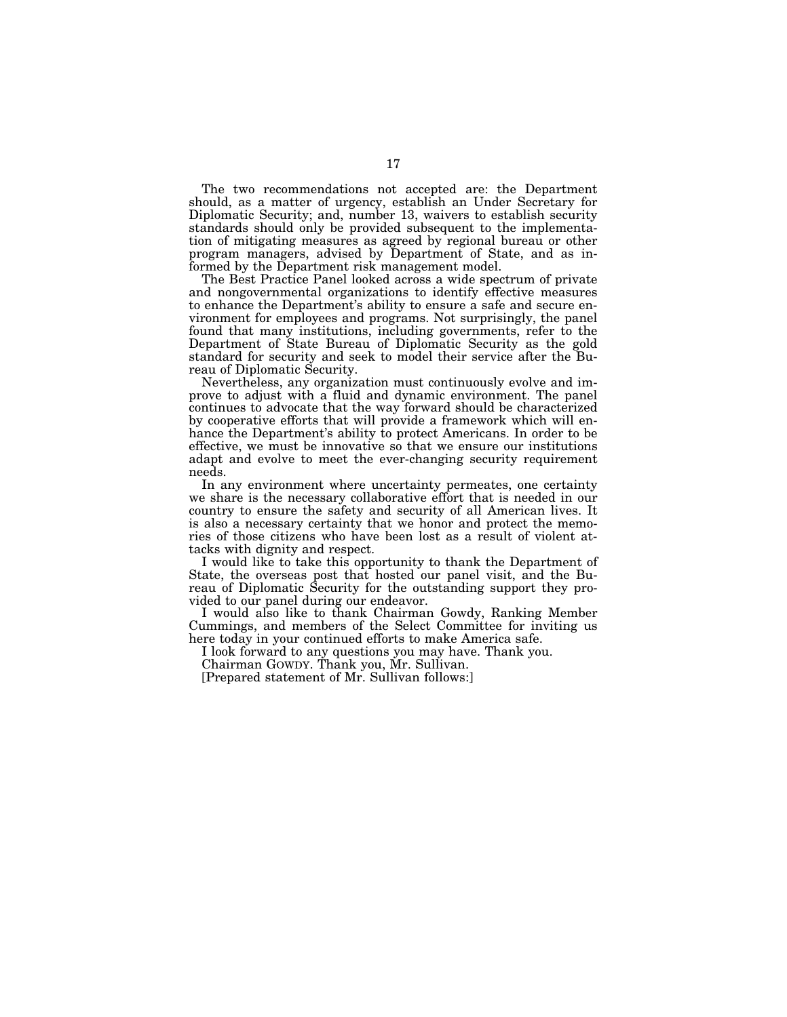The two recommendations not accepted are: the Department should, as a matter of urgency, establish an Under Secretary for Diplomatic Security; and, number 13, waivers to establish security standards should only be provided subsequent to the implementation of mitigating measures as agreed by regional bureau or other program managers, advised by Department of State, and as informed by the Department risk management model.

The Best Practice Panel looked across a wide spectrum of private and nongovernmental organizations to identify effective measures to enhance the Department's ability to ensure a safe and secure environment for employees and programs. Not surprisingly, the panel found that many institutions, including governments, refer to the Department of State Bureau of Diplomatic Security as the gold standard for security and seek to model their service after the Bureau of Diplomatic Security.

Nevertheless, any organization must continuously evolve and improve to adjust with a fluid and dynamic environment. The panel continues to advocate that the way forward should be characterized by cooperative efforts that will provide a framework which will enhance the Department's ability to protect Americans. In order to be effective, we must be innovative so that we ensure our institutions adapt and evolve to meet the ever-changing security requirement needs.

In any environment where uncertainty permeates, one certainty we share is the necessary collaborative effort that is needed in our country to ensure the safety and security of all American lives. It is also a necessary certainty that we honor and protect the memories of those citizens who have been lost as a result of violent attacks with dignity and respect.

I would like to take this opportunity to thank the Department of State, the overseas post that hosted our panel visit, and the Bureau of Diplomatic Security for the outstanding support they provided to our panel during our endeavor.

I would also like to thank Chairman Gowdy, Ranking Member Cummings, and members of the Select Committee for inviting us here today in your continued efforts to make America safe.

I look forward to any questions you may have. Thank you.

Chairman GOWDY. Thank you, Mr. Sullivan.

[Prepared statement of Mr. Sullivan follows:]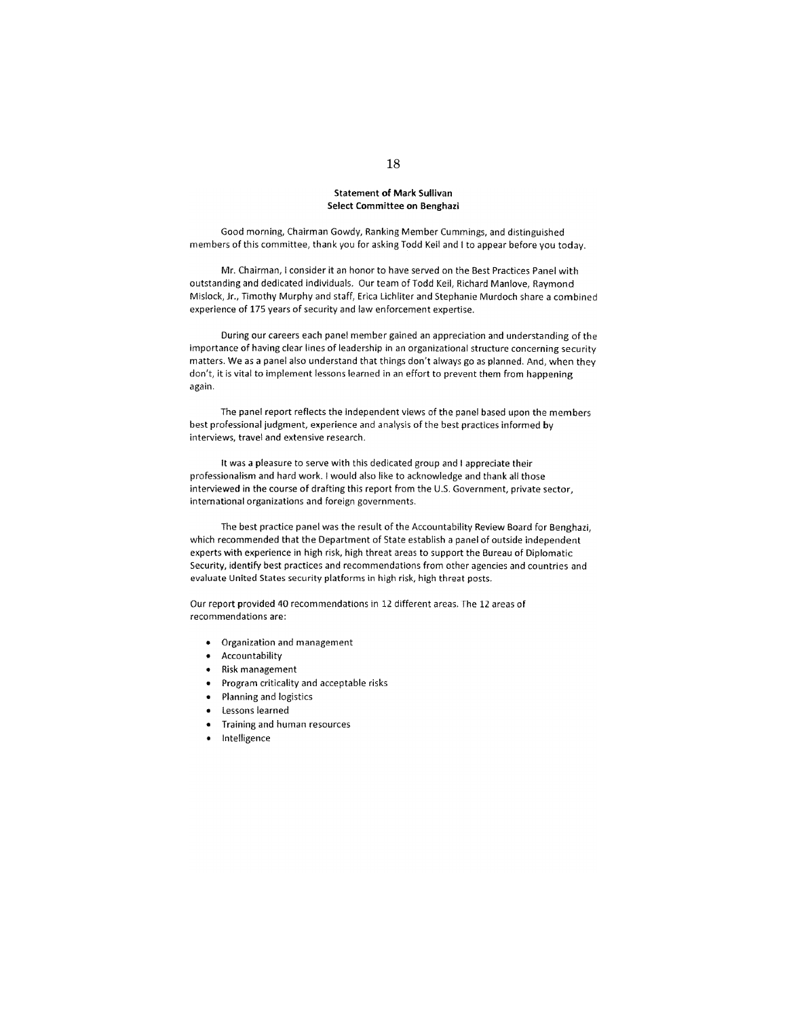## **Statement of Mark Sullivan** Select Committee on Benghazi

Good morning, Chairman Gowdy, Ranking Member Cummings, and distinguished members of this committee, thank you for asking Todd Keil and I to appear before you today.

Mr. Chairman, I consider it an honor to have served on the Best Practices Panel with outstanding and dedicated individuals. Our team of Todd Keil, Richard Manlove, Raymond Mislock, Jr., Timothy Murphy and staff, Erica Lichliter and Stephanie Murdoch share a combined experience of 175 years of security and law enforcement expertise.

During our careers each panel member gained an appreciation and understanding of the importance of having clear lines of leadership in an organizational structure concerning security matters. We as a panel also understand that things don't always go as planned. And, when they don't, it is vital to implement lessons learned in an effort to prevent them from happening again.

The panel report reflects the independent views of the panel based upon the members best professional judgment, experience and analysis of the best practices informed by interviews, travel and extensive research.

It was a pleasure to serve with this dedicated group and I appreciate their professionalism and hard work. I would also like to acknowledge and thank all those interviewed in the course of drafting this report from the U.S. Government, private sector, international organizations and foreign governments.

The best practice panel was the result of the Accountability Review Board for Benghazi, which recommended that the Department of State establish a panel of outside independent experts with experience in high risk, high threat areas to support the Bureau of Diplomatic Security, identify best practices and recommendations from other agencies and countries and evaluate United States security platforms in high risk, high threat posts.

Our report provided 40 recommendations in 12 different areas. The 12 areas of recommendations are:

- Organization and management
- Accountability
- Risk management
- Program criticality and acceptable risks
- Planning and logistics
- Lessons learned
- Training and human resources  $\bullet$
- Intelligence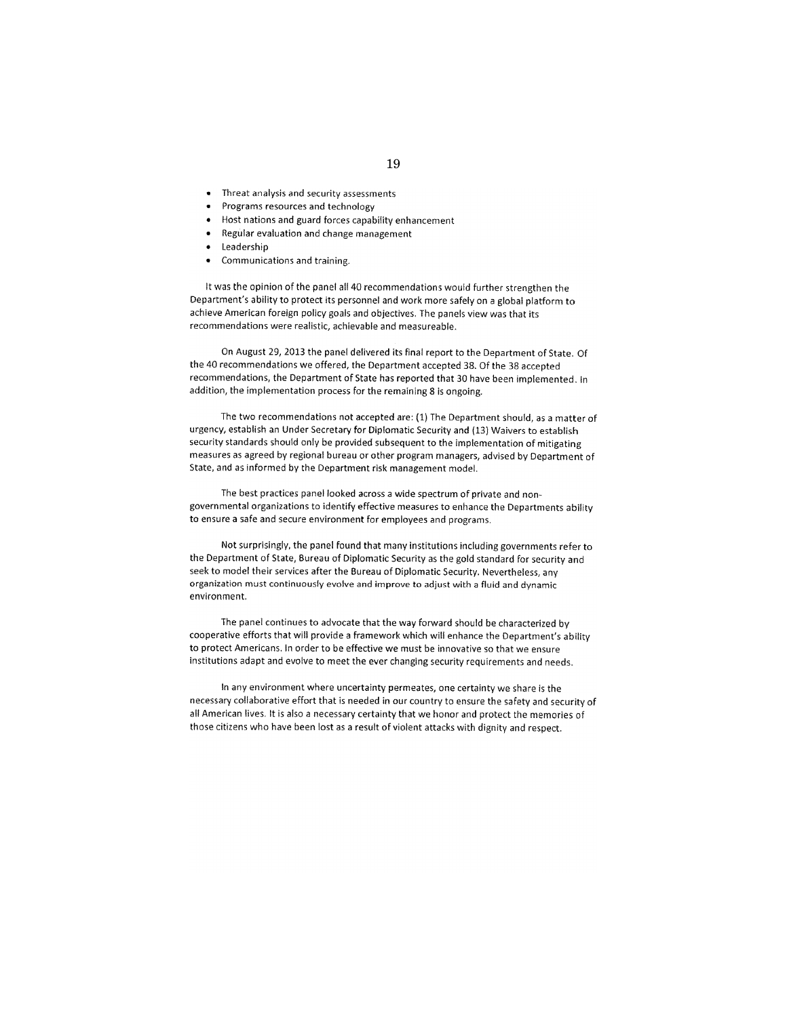- Threat analysis and security assessments
- Programs resources and technology
- Host nations and guard forces capability enhancement
- Regular evaluation and change management
- Leadership
- Communications and training.

It was the opinion of the panel all 40 recommendations would further strengthen the Department's ability to protect its personnel and work more safely on a global platform to achieve American foreign policy goals and objectives. The panels view was that its recommendations were realistic, achievable and measureable.

On August 29, 2013 the panel delivered its final report to the Department of State. Of the 40 recommendations we offered, the Department accepted 38. Of the 38 accepted recommendations, the Department of State has reported that 30 have been implemented. In addition, the implementation process for the remaining 8 is ongoing.

The two recommendations not accepted are: (1) The Department should, as a matter of urgency, establish an Under Secretary for Diplomatic Security and (13) Waivers to establish security standards should only be provided subsequent to the implementation of mitigating measures as agreed by regional bureau or other program managers, advised by Department of State, and as informed by the Department risk management model.

The best practices panel looked across a wide spectrum of private and nongovernmental organizations to identify effective measures to enhance the Departments ability to ensure a safe and secure environment for employees and programs.

Not surprisingly, the panel found that many institutions including governments refer to the Department of State, Bureau of Diplomatic Security as the gold standard for security and seek to model their services after the Bureau of Diplomatic Security. Nevertheless, any organization must continuously evolve and improve to adjust with a fluid and dynamic environment.

The panel continues to advocate that the way forward should be characterized by cooperative efforts that will provide a framework which will enhance the Department's ability to protect Americans. In order to be effective we must be innovative so that we ensure institutions adapt and evolve to meet the ever changing security requirements and needs.

In any environment where uncertainty permeates, one certainty we share is the necessary collaborative effort that is needed in our country to ensure the safety and security of all American lives. It is also a necessary certainty that we honor and protect the memories of those citizens who have been lost as a result of violent attacks with dignity and respect.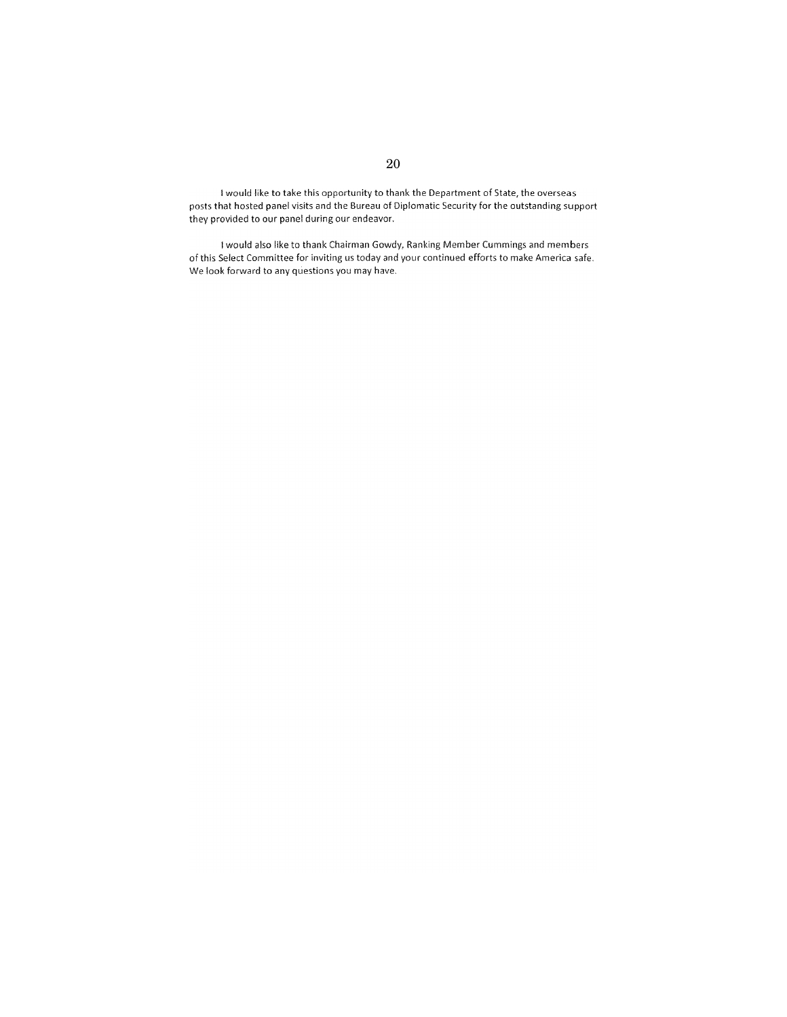I would like to take this opportunity to thank the Department of State, the overseas posts that hosted panel visits and the Bureau of Diplomatic Security for the outstanding support they provided to our panel during our endeavor.

I would also like to thank Chairman Gowdy, Ranking Member Cummings and members of this Select Committee for inviting us today and your continued efforts to make America safe. We look forward to any questions you may have.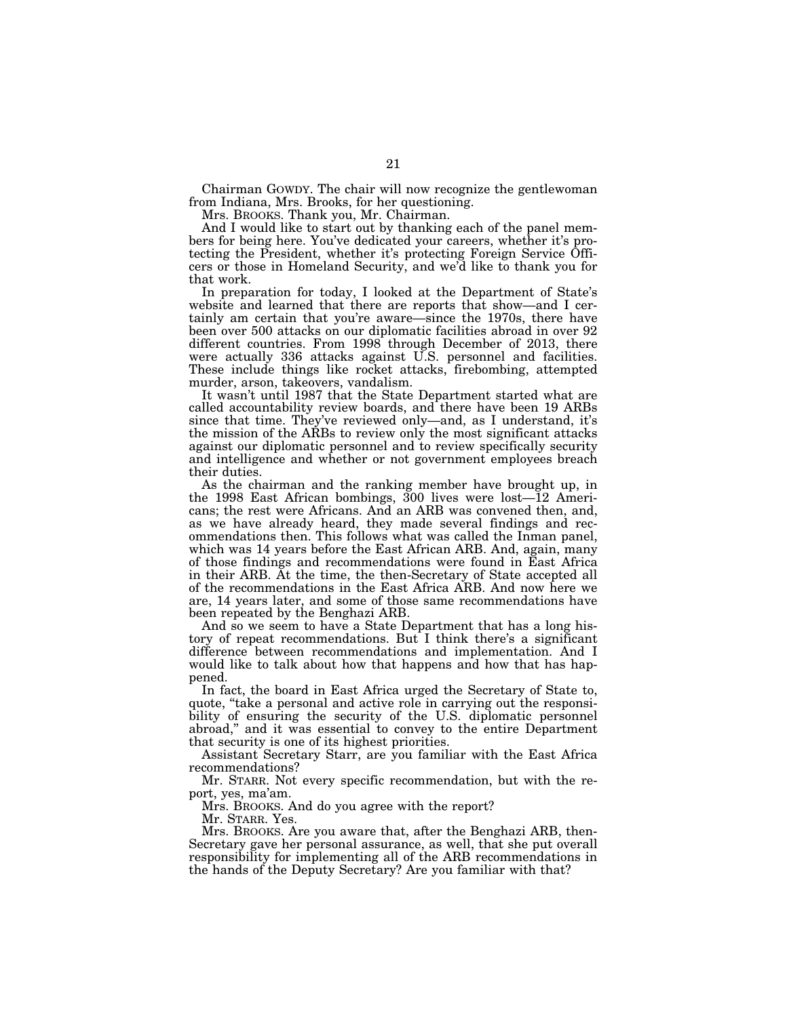Chairman GOWDY. The chair will now recognize the gentlewoman from Indiana, Mrs. Brooks, for her questioning.

Mrs. BROOKS. Thank you, Mr. Chairman.

And I would like to start out by thanking each of the panel members for being here. You've dedicated your careers, whether it's protecting the President, whether it's protecting Foreign Service Officers or those in Homeland Security, and we'd like to thank you for that work.

In preparation for today, I looked at the Department of State's website and learned that there are reports that show—and I certainly am certain that you're aware—since the 1970s, there have been over 500 attacks on our diplomatic facilities abroad in over 92 different countries. From 1998 through December of 2013, there were actually 336 attacks against U.S. personnel and facilities. These include things like rocket attacks, firebombing, attempted murder, arson, takeovers, vandalism.

It wasn't until 1987 that the State Department started what are called accountability review boards, and there have been 19 ARBs since that time. They've reviewed only—and, as I understand, it's the mission of the ARBs to review only the most significant attacks against our diplomatic personnel and to review specifically security and intelligence and whether or not government employees breach their duties.

As the chairman and the ranking member have brought up, in the 1998 East African bombings, 300 lives were lost—12 Americans; the rest were Africans. And an ARB was convened then, and, as we have already heard, they made several findings and recommendations then. This follows what was called the Inman panel, which was 14 years before the East African ARB. And, again, many of those findings and recommendations were found in East Africa in their ARB. At the time, the then-Secretary of State accepted all of the recommendations in the East Africa ARB. And now here we are, 14 years later, and some of those same recommendations have been repeated by the Benghazi ARB.

And so we seem to have a State Department that has a long history of repeat recommendations. But I think there's a significant difference between recommendations and implementation. And I would like to talk about how that happens and how that has happened.

In fact, the board in East Africa urged the Secretary of State to, quote, "take a personal and active role in carrying out the responsibility of ensuring the security of the U.S. diplomatic personnel abroad,'' and it was essential to convey to the entire Department that security is one of its highest priorities.

Assistant Secretary Starr, are you familiar with the East Africa recommendations?

Mr. STARR. Not every specific recommendation, but with the report, yes, ma'am.

Mrs. BROOKS. And do you agree with the report?

Mr. STARR. Yes.

Mrs. BROOKS. Are you aware that, after the Benghazi ARB, then-Secretary gave her personal assurance, as well, that she put overall responsibility for implementing all of the ARB recommendations in the hands of the Deputy Secretary? Are you familiar with that?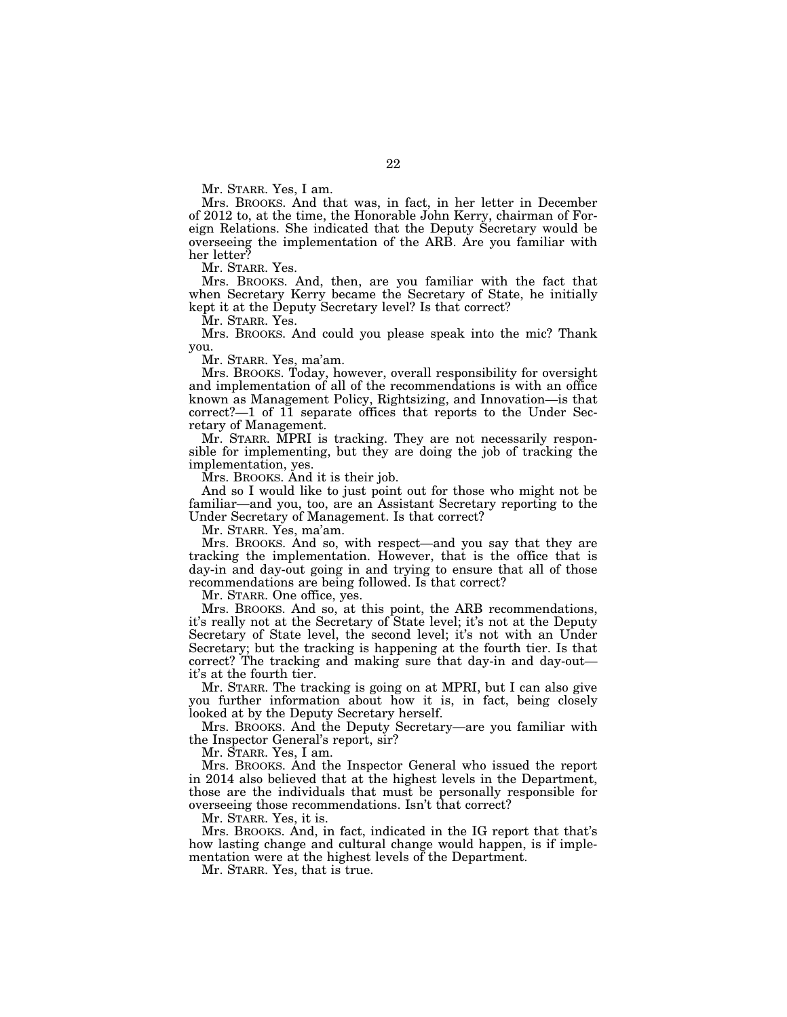Mr. STARR. Yes, I am.

Mrs. BROOKS. And that was, in fact, in her letter in December of 2012 to, at the time, the Honorable John Kerry, chairman of Foreign Relations. She indicated that the Deputy Secretary would be overseeing the implementation of the ARB. Are you familiar with her letter?

Mr. STARR. Yes.

Mrs. BROOKS. And, then, are you familiar with the fact that when Secretary Kerry became the Secretary of State, he initially kept it at the Deputy Secretary level? Is that correct?

Mr. STARR. Yes.

Mrs. BROOKS. And could you please speak into the mic? Thank you.

Mr. STARR. Yes, ma'am.

Mrs. BROOKS. Today, however, overall responsibility for oversight and implementation of all of the recommendations is with an office known as Management Policy, Rightsizing, and Innovation—is that correct?—1 of 11 separate offices that reports to the Under Secretary of Management.

Mr. STARR. MPRI is tracking. They are not necessarily responsible for implementing, but they are doing the job of tracking the implementation, yes.

Mrs. BROOKS. And it is their job.

And so I would like to just point out for those who might not be familiar—and you, too, are an Assistant Secretary reporting to the Under Secretary of Management. Is that correct?

Mr. STARR. Yes, ma'am.

Mrs. BROOKS. And so, with respect—and you say that they are tracking the implementation. However, that is the office that is day-in and day-out going in and trying to ensure that all of those recommendations are being followed. Is that correct?

Mr. STARR. One office, yes.

Mrs. BROOKS. And so, at this point, the ARB recommendations, it's really not at the Secretary of State level; it's not at the Deputy Secretary of State level, the second level; it's not with an Under Secretary; but the tracking is happening at the fourth tier. Is that correct? The tracking and making sure that day-in and day-out it's at the fourth tier.

Mr. STARR. The tracking is going on at MPRI, but I can also give you further information about how it is, in fact, being closely looked at by the Deputy Secretary herself.

Mrs. BROOKS. And the Deputy Secretary—are you familiar with the Inspector General's report, sir?

Mr. STARR. Yes, I am.

Mrs. BROOKS. And the Inspector General who issued the report in 2014 also believed that at the highest levels in the Department, those are the individuals that must be personally responsible for overseeing those recommendations. Isn't that correct?

Mr. STARR. Yes, it is.

Mrs. BROOKS. And, in fact, indicated in the IG report that that's how lasting change and cultural change would happen, is if implementation were at the highest levels of the Department.

Mr. STARR. Yes, that is true.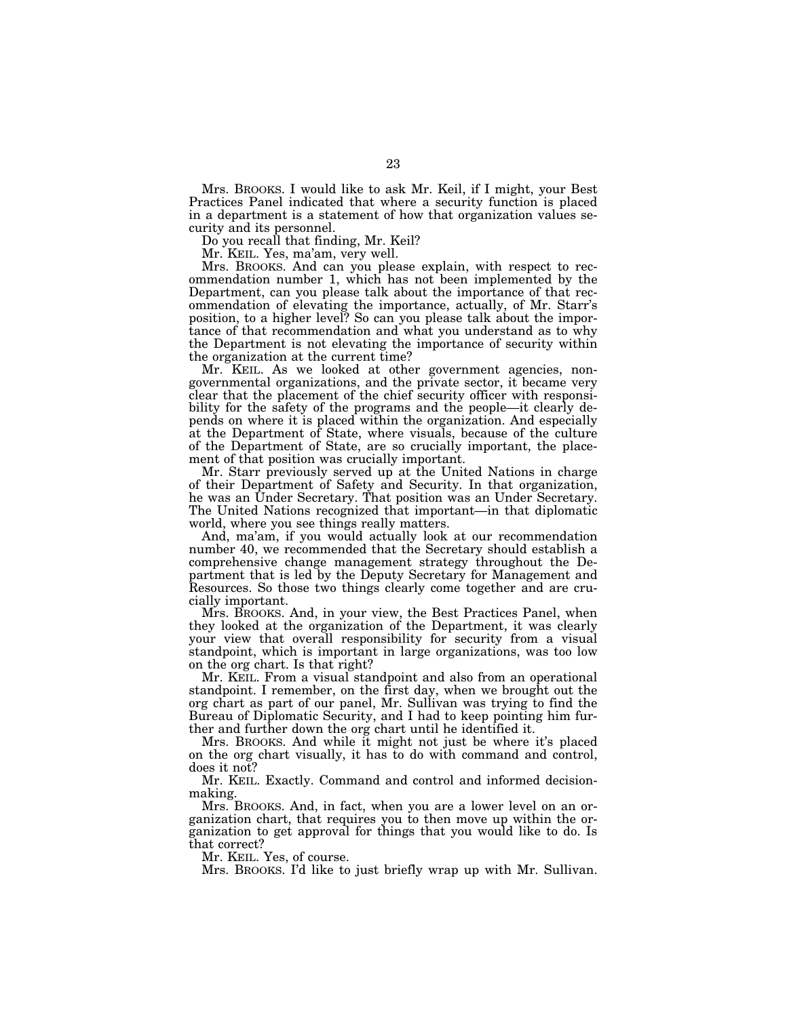Mrs. BROOKS. I would like to ask Mr. Keil, if I might, your Best Practices Panel indicated that where a security function is placed in a department is a statement of how that organization values security and its personnel.

Do you recall that finding, Mr. Keil?

Mr. KEIL. Yes, ma'am, very well.

Mrs. BROOKS. And can you please explain, with respect to recommendation number 1, which has not been implemented by the Department, can you please talk about the importance of that recommendation of elevating the importance, actually, of Mr. Starr's position, to a higher level? So can you please talk about the importance of that recommendation and what you understand as to why the Department is not elevating the importance of security within the organization at the current time?

Mr. KEIL. As we looked at other government agencies, nongovernmental organizations, and the private sector, it became very clear that the placement of the chief security officer with responsibility for the safety of the programs and the people—it clearly depends on where it is placed within the organization. And especially at the Department of State, where visuals, because of the culture of the Department of State, are so crucially important, the placement of that position was crucially important.

Mr. Starr previously served up at the United Nations in charge of their Department of Safety and Security. In that organization, he was an Under Secretary. That position was an Under Secretary. The United Nations recognized that important—in that diplomatic world, where you see things really matters.

And, ma'am, if you would actually look at our recommendation number 40, we recommended that the Secretary should establish a comprehensive change management strategy throughout the Department that is led by the Deputy Secretary for Management and Resources. So those two things clearly come together and are crucially important.

Mrs. BROOKS. And, in your view, the Best Practices Panel, when they looked at the organization of the Department, it was clearly your view that overall responsibility for security from a visual standpoint, which is important in large organizations, was too low on the org chart. Is that right?

Mr. KEIL. From a visual standpoint and also from an operational standpoint. I remember, on the first day, when we brought out the org chart as part of our panel, Mr. Sullivan was trying to find the Bureau of Diplomatic Security, and I had to keep pointing him further and further down the org chart until he identified it.

Mrs. BROOKS. And while it might not just be where it's placed on the org chart visually, it has to do with command and control, does it not?

Mr. KEIL. Exactly. Command and control and informed decisionmaking.

Mrs. BROOKS. And, in fact, when you are a lower level on an organization chart, that requires you to then move up within the organization to get approval for things that you would like to do. Is that correct?

Mr. KEIL. Yes, of course.

Mrs. BROOKS. I'd like to just briefly wrap up with Mr. Sullivan.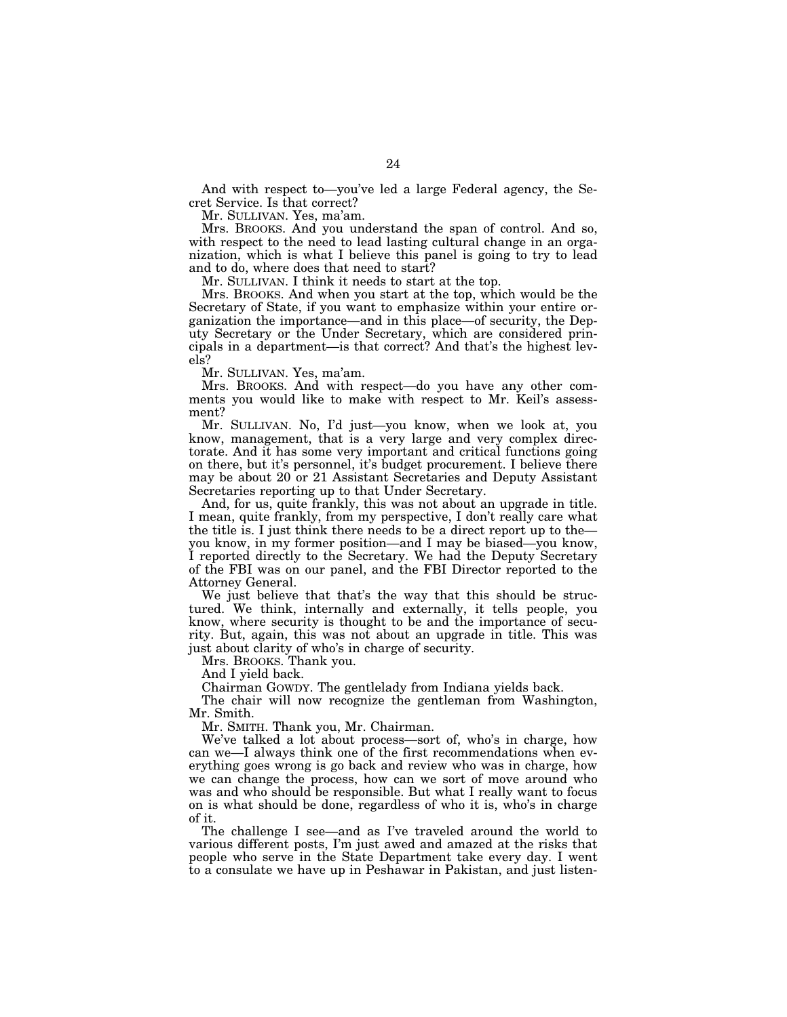And with respect to—you've led a large Federal agency, the Secret Service. Is that correct?

Mr. SULLIVAN. Yes, ma'am.

Mrs. BROOKS. And you understand the span of control. And so, with respect to the need to lead lasting cultural change in an organization, which is what I believe this panel is going to try to lead and to do, where does that need to start?

Mr. SULLIVAN. I think it needs to start at the top.

Mrs. BROOKS. And when you start at the top, which would be the Secretary of State, if you want to emphasize within your entire organization the importance—and in this place—of security, the Deputy Secretary or the Under Secretary, which are considered principals in a department—is that correct? And that's the highest levels?

Mr. SULLIVAN. Yes, ma'am.

Mrs. BROOKS. And with respect—do you have any other comments you would like to make with respect to Mr. Keil's assessment?

Mr. SULLIVAN. No, I'd just—you know, when we look at, you know, management, that is a very large and very complex directorate. And it has some very important and critical functions going on there, but it's personnel, it's budget procurement. I believe there may be about 20 or 21 Assistant Secretaries and Deputy Assistant Secretaries reporting up to that Under Secretary.

And, for us, quite frankly, this was not about an upgrade in title. I mean, quite frankly, from my perspective, I don't really care what the title is. I just think there needs to be a direct report up to the you know, in my former position—and I may be biased—you know, I reported directly to the Secretary. We had the Deputy Secretary of the FBI was on our panel, and the FBI Director reported to the Attorney General.

We just believe that that's the way that this should be structured. We think, internally and externally, it tells people, you know, where security is thought to be and the importance of security. But, again, this was not about an upgrade in title. This was just about clarity of who's in charge of security.

Mrs. BROOKS. Thank you.

And I yield back.

Chairman GOWDY. The gentlelady from Indiana yields back.

The chair will now recognize the gentleman from Washington, Mr. Smith.

Mr. SMITH. Thank you, Mr. Chairman.

We've talked a lot about process—sort of, who's in charge, how can we—I always think one of the first recommendations when everything goes wrong is go back and review who was in charge, how we can change the process, how can we sort of move around who was and who should be responsible. But what I really want to focus on is what should be done, regardless of who it is, who's in charge of it.

The challenge I see—and as I've traveled around the world to various different posts, I'm just awed and amazed at the risks that people who serve in the State Department take every day. I went to a consulate we have up in Peshawar in Pakistan, and just listen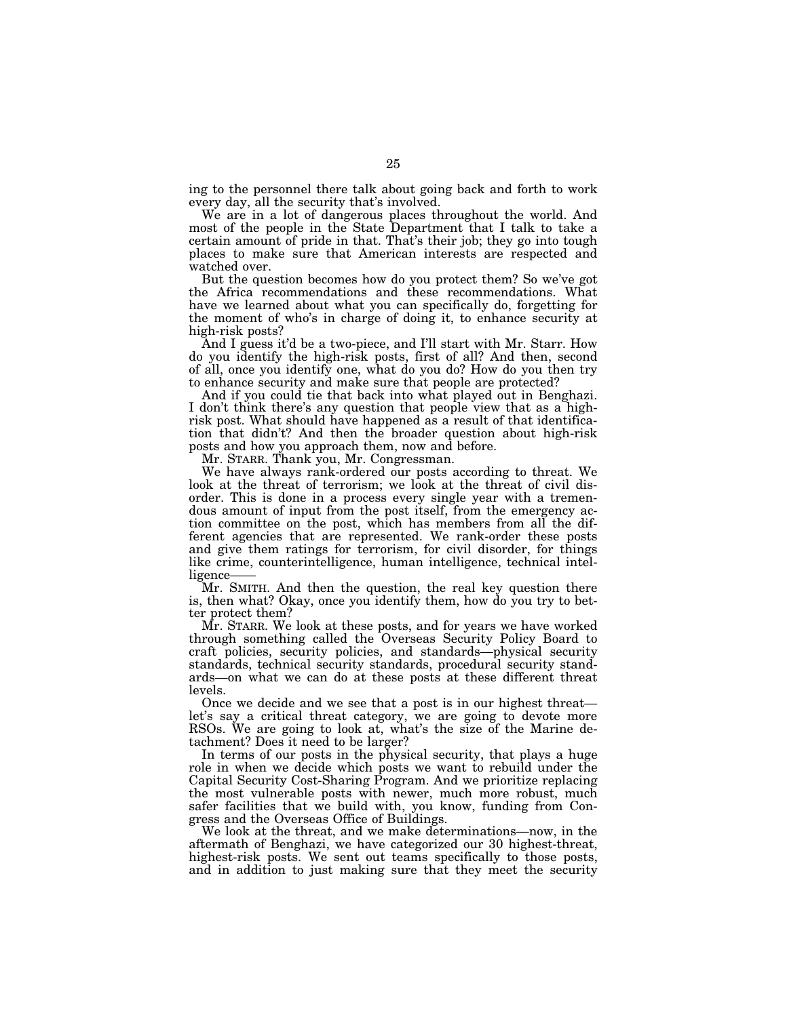ing to the personnel there talk about going back and forth to work every day, all the security that's involved.

We are in a lot of dangerous places throughout the world. And most of the people in the State Department that I talk to take a certain amount of pride in that. That's their job; they go into tough places to make sure that American interests are respected and watched over.

But the question becomes how do you protect them? So we've got the Africa recommendations and these recommendations. What have we learned about what you can specifically do, forgetting for the moment of who's in charge of doing it, to enhance security at high-risk posts?

And I guess it'd be a two-piece, and I'll start with Mr. Starr. How do you identify the high-risk posts, first of all? And then, second of all, once you identify one, what do you do? How do you then try to enhance security and make sure that people are protected?

And if you could tie that back into what played out in Benghazi. I don't think there's any question that people view that as a highrisk post. What should have happened as a result of that identification that didn't? And then the broader question about high-risk posts and how you approach them, now and before.

Mr. STARR. Thank you, Mr. Congressman.

We have always rank-ordered our posts according to threat. We look at the threat of terrorism; we look at the threat of civil disorder. This is done in a process every single year with a tremendous amount of input from the post itself, from the emergency action committee on the post, which has members from all the different agencies that are represented. We rank-order these posts and give them ratings for terrorism, for civil disorder, for things like crime, counterintelligence, human intelligence, technical intelligence-

Mr. SMITH. And then the question, the real key question there is, then what? Okay, once you identify them, how do you try to better protect them?

Mr. STARR. We look at these posts, and for years we have worked through something called the Overseas Security Policy Board to craft policies, security policies, and standards—physical security standards, technical security standards, procedural security standards—on what we can do at these posts at these different threat levels.

Once we decide and we see that a post is in our highest threat let's say a critical threat category, we are going to devote more RSOs. We are going to look at, what's the size of the Marine detachment? Does it need to be larger?

In terms of our posts in the physical security, that plays a huge role in when we decide which posts we want to rebuild under the Capital Security Cost-Sharing Program. And we prioritize replacing the most vulnerable posts with newer, much more robust, much safer facilities that we build with, you know, funding from Congress and the Overseas Office of Buildings.

We look at the threat, and we make determinations—now, in the aftermath of Benghazi, we have categorized our 30 highest-threat, highest-risk posts. We sent out teams specifically to those posts, and in addition to just making sure that they meet the security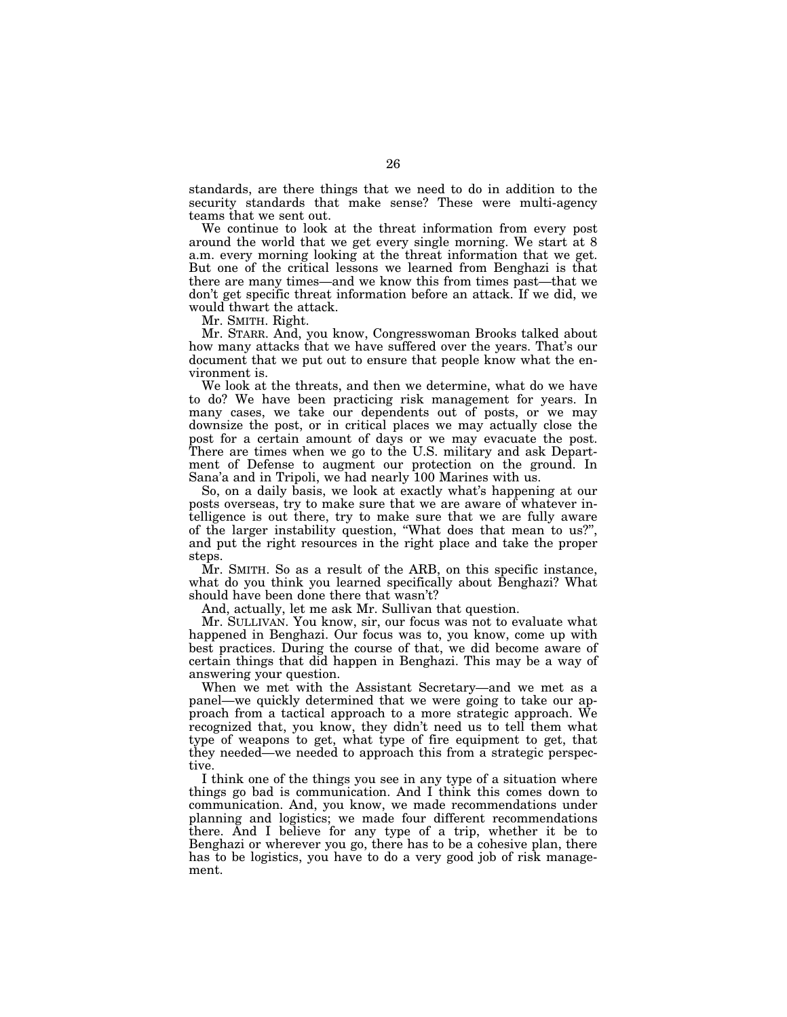standards, are there things that we need to do in addition to the security standards that make sense? These were multi-agency teams that we sent out.

We continue to look at the threat information from every post around the world that we get every single morning. We start at 8 a.m. every morning looking at the threat information that we get. But one of the critical lessons we learned from Benghazi is that there are many times—and we know this from times past—that we don't get specific threat information before an attack. If we did, we would thwart the attack.

Mr. SMITH. Right.

Mr. STARR. And, you know, Congresswoman Brooks talked about how many attacks that we have suffered over the years. That's our document that we put out to ensure that people know what the environment is.

We look at the threats, and then we determine, what do we have to do? We have been practicing risk management for years. In many cases, we take our dependents out of posts, or we may downsize the post, or in critical places we may actually close the post for a certain amount of days or we may evacuate the post. There are times when we go to the U.S. military and ask Department of Defense to augment our protection on the ground. In Sana'a and in Tripoli, we had nearly 100 Marines with us.

So, on a daily basis, we look at exactly what's happening at our posts overseas, try to make sure that we are aware of whatever intelligence is out there, try to make sure that we are fully aware of the larger instability question, ''What does that mean to us?'', and put the right resources in the right place and take the proper steps.

Mr. SMITH. So as a result of the ARB, on this specific instance, what do you think you learned specifically about Benghazi? What should have been done there that wasn't?

And, actually, let me ask Mr. Sullivan that question.

Mr. SULLIVAN. You know, sir, our focus was not to evaluate what happened in Benghazi. Our focus was to, you know, come up with best practices. During the course of that, we did become aware of certain things that did happen in Benghazi. This may be a way of answering your question.

When we met with the Assistant Secretary—and we met as a panel—we quickly determined that we were going to take our approach from a tactical approach to a more strategic approach. We recognized that, you know, they didn't need us to tell them what type of weapons to get, what type of fire equipment to get, that they needed—we needed to approach this from a strategic perspective.

I think one of the things you see in any type of a situation where things go bad is communication. And I think this comes down to communication. And, you know, we made recommendations under planning and logistics; we made four different recommendations there. And I believe for any type of a trip, whether it be to Benghazi or wherever you go, there has to be a cohesive plan, there has to be logistics, you have to do a very good job of risk management.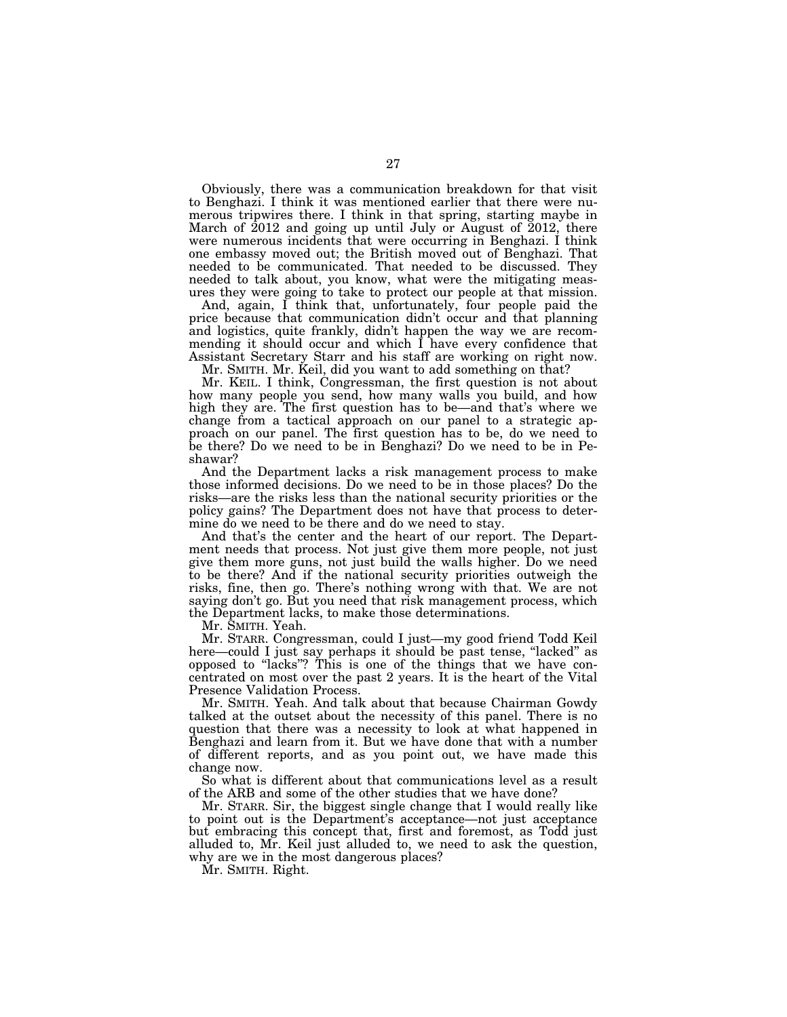Obviously, there was a communication breakdown for that visit to Benghazi. I think it was mentioned earlier that there were numerous tripwires there. I think in that spring, starting maybe in March of 2012 and going up until July or August of 2012, there were numerous incidents that were occurring in Benghazi. I think one embassy moved out; the British moved out of Benghazi. That needed to be communicated. That needed to be discussed. They needed to talk about, you know, what were the mitigating measures they were going to take to protect our people at that mission.

And, again, I think that, unfortunately, four people paid the price because that communication didn't occur and that planning and logistics, quite frankly, didn't happen the way we are recommending it should occur and which I have every confidence that Assistant Secretary Starr and his staff are working on right now. Mr. SMITH. Mr. Keil, did you want to add something on that?

Mr. KEIL. I think, Congressman, the first question is not about how many people you send, how many walls you build, and how high they are. The first question has to be—and that's where we change from a tactical approach on our panel to a strategic approach on our panel. The first question has to be, do we need to be there? Do we need to be in Benghazi? Do we need to be in Peshawar?

And the Department lacks a risk management process to make those informed decisions. Do we need to be in those places? Do the risks—are the risks less than the national security priorities or the policy gains? The Department does not have that process to determine do we need to be there and do we need to stay.

And that's the center and the heart of our report. The Department needs that process. Not just give them more people, not just give them more guns, not just build the walls higher. Do we need to be there? And if the national security priorities outweigh the risks, fine, then go. There's nothing wrong with that. We are not saying don't go. But you need that risk management process, which the Department lacks, to make those determinations.

Mr. SMITH. Yeah.

Mr. STARR. Congressman, could I just—my good friend Todd Keil here—could I just say perhaps it should be past tense, "lacked" as opposed to ''lacks''? This is one of the things that we have concentrated on most over the past 2 years. It is the heart of the Vital Presence Validation Process.

Mr. SMITH. Yeah. And talk about that because Chairman Gowdy talked at the outset about the necessity of this panel. There is no question that there was a necessity to look at what happened in Benghazi and learn from it. But we have done that with a number of different reports, and as you point out, we have made this change now.

So what is different about that communications level as a result of the ARB and some of the other studies that we have done?

Mr. STARR. Sir, the biggest single change that I would really like to point out is the Department's acceptance—not just acceptance but embracing this concept that, first and foremost, as Todd just alluded to, Mr. Keil just alluded to, we need to ask the question, why are we in the most dangerous places?

Mr. SMITH. Right.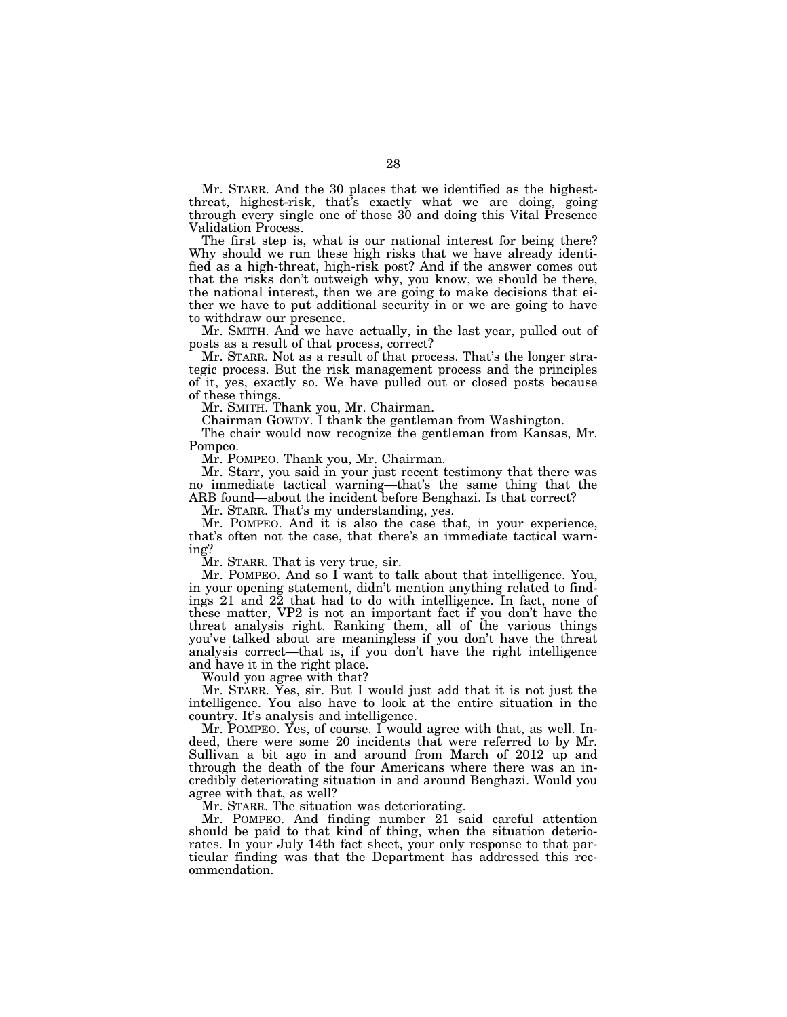Mr. STARR. And the 30 places that we identified as the highestthreat, highest-risk, that's exactly what we are doing, going through every single one of those 30 and doing this Vital Presence Validation Process.

The first step is, what is our national interest for being there? Why should we run these high risks that we have already identified as a high-threat, high-risk post? And if the answer comes out that the risks don't outweigh why, you know, we should be there, the national interest, then we are going to make decisions that either we have to put additional security in or we are going to have to withdraw our presence.

Mr. SMITH. And we have actually, in the last year, pulled out of posts as a result of that process, correct?

Mr. STARR. Not as a result of that process. That's the longer strategic process. But the risk management process and the principles of it, yes, exactly so. We have pulled out or closed posts because of these things.

Mr. SMITH. Thank you, Mr. Chairman.

Chairman GOWDY. I thank the gentleman from Washington.

The chair would now recognize the gentleman from Kansas, Mr. Pompeo.

Mr. POMPEO. Thank you, Mr. Chairman.

Mr. Starr, you said in your just recent testimony that there was no immediate tactical warning—that's the same thing that the ARB found—about the incident before Benghazi. Is that correct?

Mr. STARR. That's my understanding, yes.

Mr. POMPEO. And it is also the case that, in your experience, that's often not the case, that there's an immediate tactical warning?

Mr. STARR. That is very true, sir.

Mr. POMPEO. And so I want to talk about that intelligence. You, in your opening statement, didn't mention anything related to findings 21 and  $2\bar{2}$  that had to do with intelligence. In fact, none of these matter, VP2 is not an important fact if you don't have the threat analysis right. Ranking them, all of the various things you've talked about are meaningless if you don't have the threat analysis correct—that is, if you don't have the right intelligence and have it in the right place.

Would you agree with that?

Mr. STARR. Yes, sir. But I would just add that it is not just the intelligence. You also have to look at the entire situation in the country. It's analysis and intelligence.

Mr. POMPEO. Yes, of course. I would agree with that, as well. Indeed, there were some 20 incidents that were referred to by Mr. Sullivan a bit ago in and around from March of 2012 up and through the death of the four Americans where there was an incredibly deteriorating situation in and around Benghazi. Would you agree with that, as well?

Mr. STARR. The situation was deteriorating.

Mr. POMPEO. And finding number 21 said careful attention should be paid to that kind of thing, when the situation deteriorates. In your July 14th fact sheet, your only response to that particular finding was that the Department has addressed this recommendation.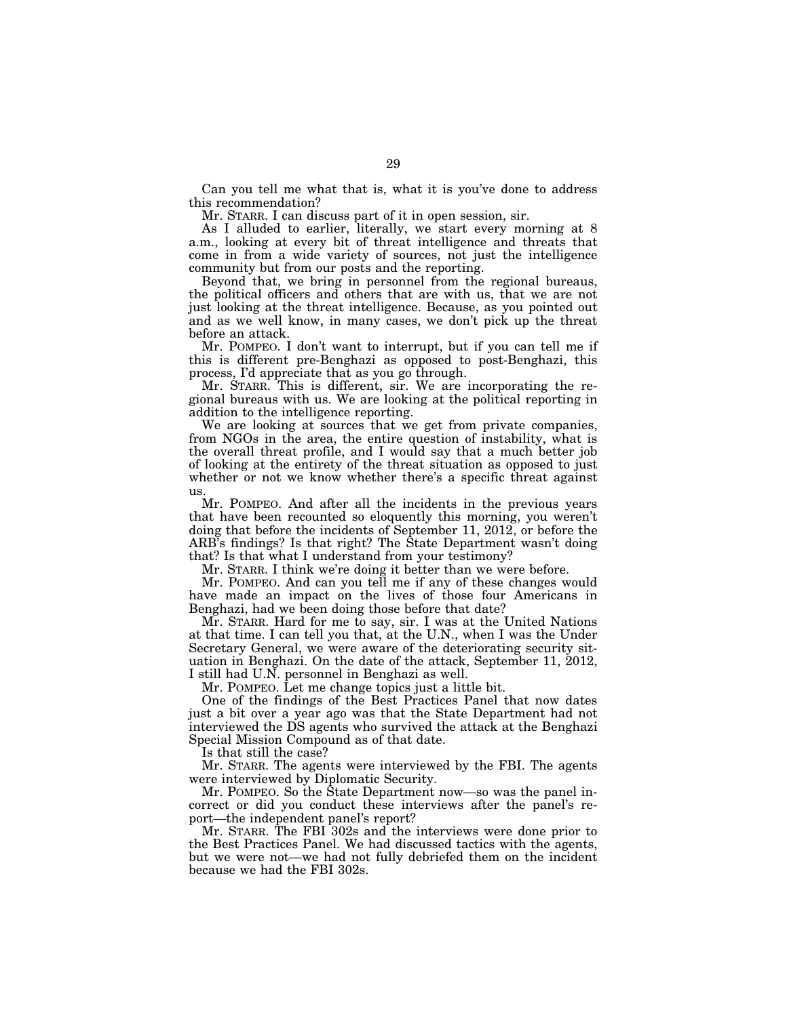Can you tell me what that is, what it is you've done to address this recommendation?

Mr. STARR. I can discuss part of it in open session, sir.

As I alluded to earlier, literally, we start every morning at 8 a.m., looking at every bit of threat intelligence and threats that come in from a wide variety of sources, not just the intelligence community but from our posts and the reporting.

Beyond that, we bring in personnel from the regional bureaus, the political officers and others that are with us, that we are not just looking at the threat intelligence. Because, as you pointed out and as we well know, in many cases, we don't pick up the threat before an attack.

Mr. POMPEO. I don't want to interrupt, but if you can tell me if this is different pre-Benghazi as opposed to post-Benghazi, this process, I'd appreciate that as you go through.

Mr. STARR. This is different, sir. We are incorporating the regional bureaus with us. We are looking at the political reporting in addition to the intelligence reporting.

We are looking at sources that we get from private companies, from NGOs in the area, the entire question of instability, what is the overall threat profile, and I would say that a much better job of looking at the entirety of the threat situation as opposed to just whether or not we know whether there's a specific threat against us.

Mr. POMPEO. And after all the incidents in the previous years that have been recounted so eloquently this morning, you weren't doing that before the incidents of September 11, 2012, or before the ARB's findings? Is that right? The State Department wasn't doing that? Is that what I understand from your testimony?

Mr. STARR. I think we're doing it better than we were before.

Mr. POMPEO. And can you tell me if any of these changes would have made an impact on the lives of those four Americans in Benghazi, had we been doing those before that date?

Mr. STARR. Hard for me to say, sir. I was at the United Nations at that time. I can tell you that, at the U.N., when I was the Under Secretary General, we were aware of the deteriorating security situation in Benghazi. On the date of the attack, September 11, 2012, I still had U.N. personnel in Benghazi as well.

Mr. POMPEO. Let me change topics just a little bit.

One of the findings of the Best Practices Panel that now dates just a bit over a year ago was that the State Department had not interviewed the DS agents who survived the attack at the Benghazi Special Mission Compound as of that date.

Is that still the case?

Mr. STARR. The agents were interviewed by the FBI. The agents were interviewed by Diplomatic Security.

Mr. POMPEO. So the State Department now—so was the panel incorrect or did you conduct these interviews after the panel's report—the independent panel's report?

Mr. STARR. The FBI 302s and the interviews were done prior to the Best Practices Panel. We had discussed tactics with the agents, but we were not—we had not fully debriefed them on the incident because we had the FBI 302s.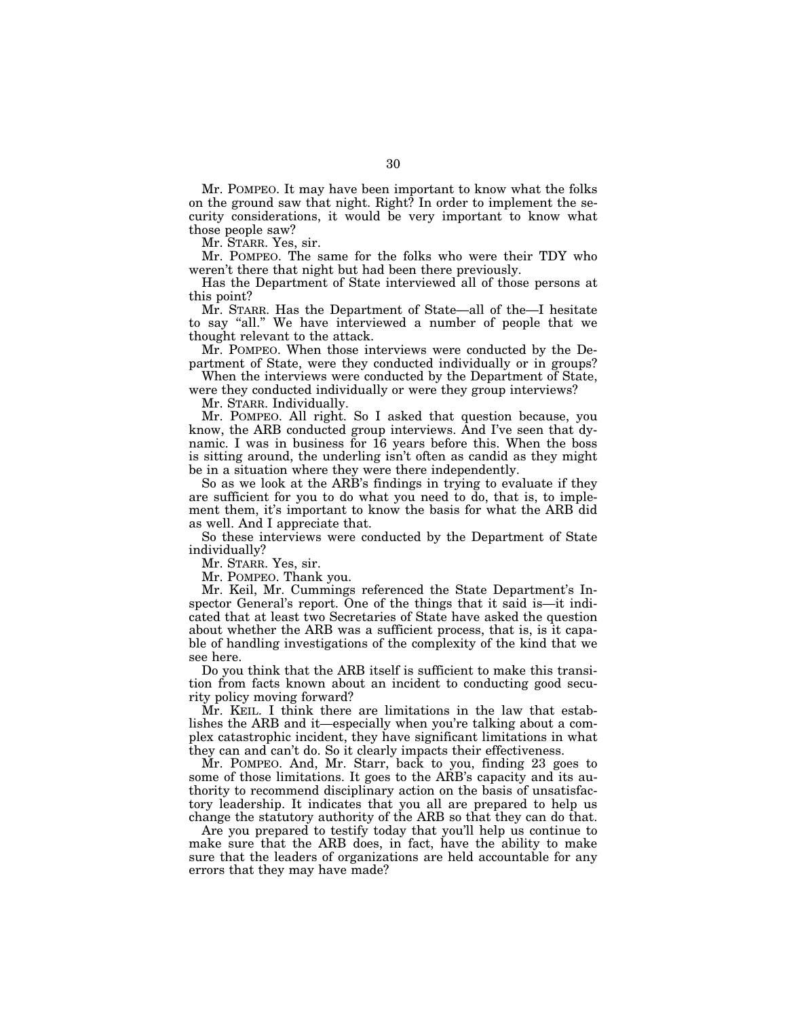Mr. POMPEO. It may have been important to know what the folks on the ground saw that night. Right? In order to implement the security considerations, it would be very important to know what those people saw?

Mr. STARR. Yes, sir.

Mr. POMPEO. The same for the folks who were their TDY who weren't there that night but had been there previously.

Has the Department of State interviewed all of those persons at this point?

Mr. STARR. Has the Department of State—all of the—I hesitate to say ''all.'' We have interviewed a number of people that we thought relevant to the attack.

Mr. POMPEO. When those interviews were conducted by the Department of State, were they conducted individually or in groups?

When the interviews were conducted by the Department of State, were they conducted individually or were they group interviews?

Mr. STARR. Individually.

Mr. POMPEO. All right. So I asked that question because, you know, the ARB conducted group interviews. And I've seen that dynamic. I was in business for 16 years before this. When the boss is sitting around, the underling isn't often as candid as they might be in a situation where they were there independently.

So as we look at the ARB's findings in trying to evaluate if they are sufficient for you to do what you need to do, that is, to implement them, it's important to know the basis for what the ARB did as well. And I appreciate that.

So these interviews were conducted by the Department of State individually?

Mr. STARR. Yes, sir.

Mr. POMPEO. Thank you.

Mr. Keil, Mr. Cummings referenced the State Department's Inspector General's report. One of the things that it said is—it indicated that at least two Secretaries of State have asked the question about whether the ARB was a sufficient process, that is, is it capable of handling investigations of the complexity of the kind that we see here.

Do you think that the ARB itself is sufficient to make this transition from facts known about an incident to conducting good security policy moving forward?

Mr. KEIL. I think there are limitations in the law that establishes the ARB and it—especially when you're talking about a complex catastrophic incident, they have significant limitations in what they can and can't do. So it clearly impacts their effectiveness.

Mr. POMPEO. And, Mr. Starr, back to you, finding 23 goes to some of those limitations. It goes to the ARB's capacity and its authority to recommend disciplinary action on the basis of unsatisfactory leadership. It indicates that you all are prepared to help us change the statutory authority of the ARB so that they can do that.

Are you prepared to testify today that you'll help us continue to make sure that the ARB does, in fact, have the ability to make sure that the leaders of organizations are held accountable for any errors that they may have made?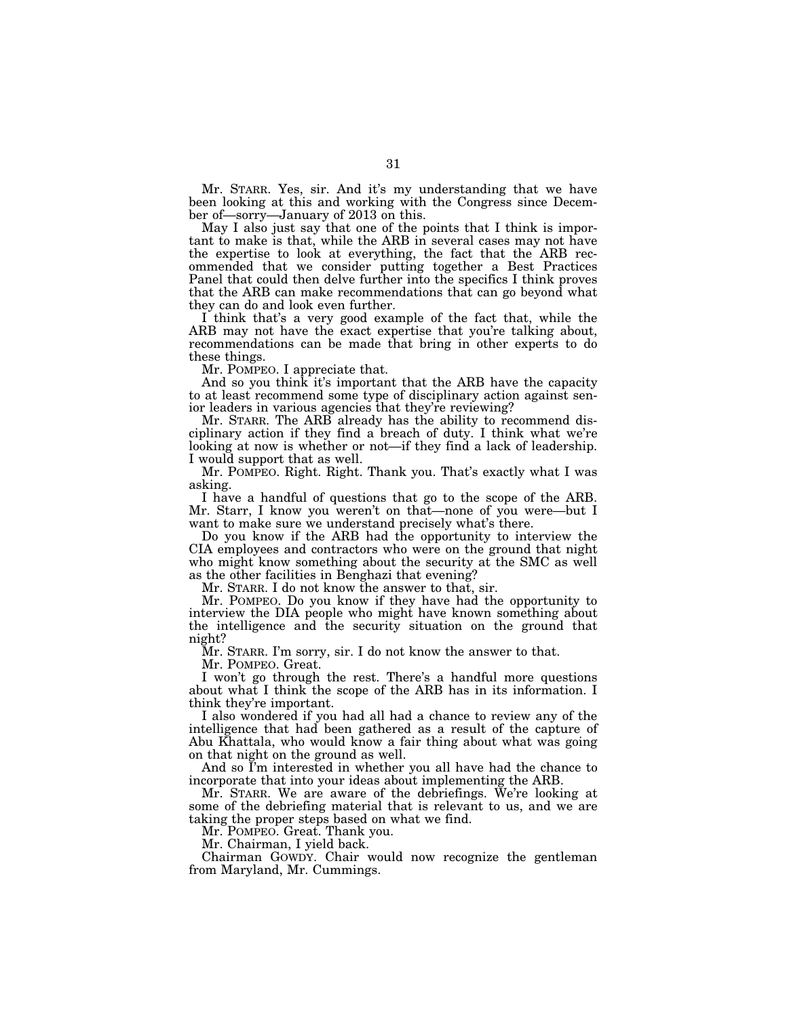Mr. STARR. Yes, sir. And it's my understanding that we have been looking at this and working with the Congress since December of—sorry—January of 2013 on this.

May I also just say that one of the points that I think is important to make is that, while the ARB in several cases may not have the expertise to look at everything, the fact that the ARB recommended that we consider putting together a Best Practices Panel that could then delve further into the specifics I think proves that the ARB can make recommendations that can go beyond what they can do and look even further.

I think that's a very good example of the fact that, while the ARB may not have the exact expertise that you're talking about, recommendations can be made that bring in other experts to do these things.

Mr. POMPEO. I appreciate that.

And so you think it's important that the ARB have the capacity to at least recommend some type of disciplinary action against senior leaders in various agencies that they're reviewing?

Mr. STARR. The ARB already has the ability to recommend disciplinary action if they find a breach of duty. I think what we're looking at now is whether or not—if they find a lack of leadership. I would support that as well.

Mr. POMPEO. Right. Right. Thank you. That's exactly what I was asking.

I have a handful of questions that go to the scope of the ARB. Mr. Starr, I know you weren't on that—none of you were—but I want to make sure we understand precisely what's there.

Do you know if the ARB had the opportunity to interview the CIA employees and contractors who were on the ground that night who might know something about the security at the SMC as well as the other facilities in Benghazi that evening?

Mr. STARR. I do not know the answer to that, sir.

Mr. POMPEO. Do you know if they have had the opportunity to interview the DIA people who might have known something about the intelligence and the security situation on the ground that night?

Mr. STARR. I'm sorry, sir. I do not know the answer to that.

Mr. POMPEO. Great.

I won't go through the rest. There's a handful more questions about what I think the scope of the ARB has in its information. I think they're important.

I also wondered if you had all had a chance to review any of the intelligence that had been gathered as a result of the capture of Abu Khattala, who would know a fair thing about what was going on that night on the ground as well.

And so I'm interested in whether you all have had the chance to incorporate that into your ideas about implementing the ARB.

Mr. STARR. We are aware of the debriefings. We're looking at some of the debriefing material that is relevant to us, and we are taking the proper steps based on what we find.

Mr. POMPEO. Great. Thank you.

Mr. Chairman, I yield back.

Chairman GOWDY. Chair would now recognize the gentleman from Maryland, Mr. Cummings.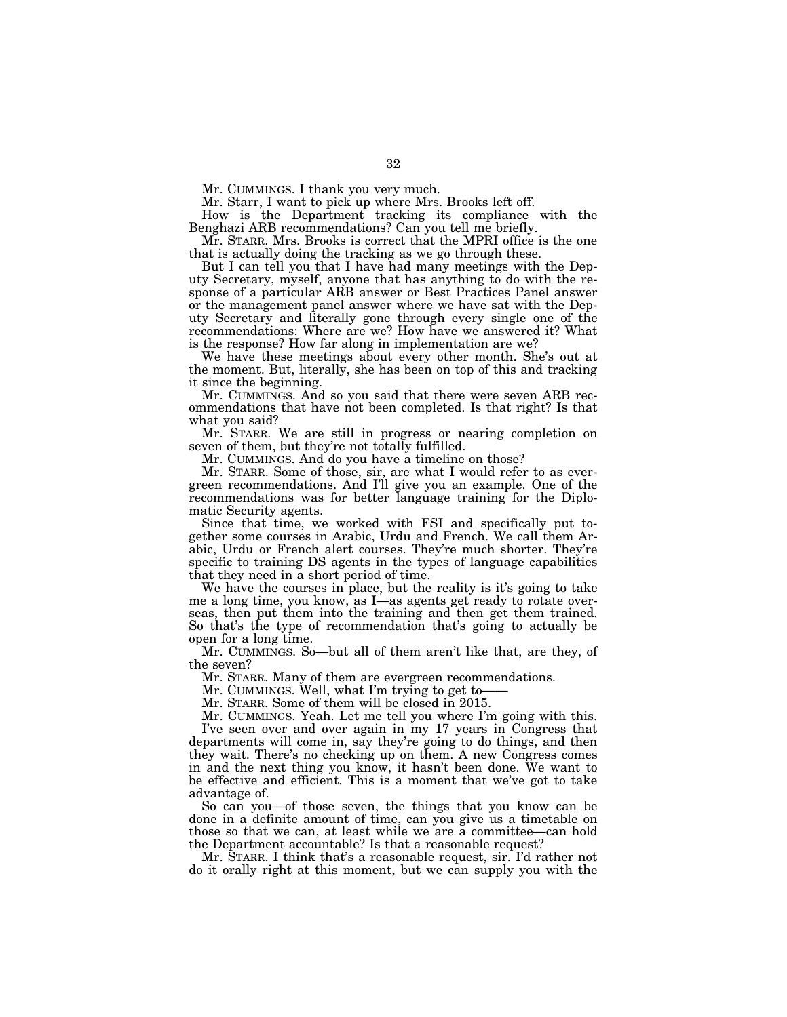Mr. CUMMINGS. I thank you very much.

Mr. Starr, I want to pick up where Mrs. Brooks left off.

How is the Department tracking its compliance with the Benghazi ARB recommendations? Can you tell me briefly.

Mr. STARR. Mrs. Brooks is correct that the MPRI office is the one that is actually doing the tracking as we go through these.

But I can tell you that I have had many meetings with the Deputy Secretary, myself, anyone that has anything to do with the response of a particular ARB answer or Best Practices Panel answer or the management panel answer where we have sat with the Deputy Secretary and literally gone through every single one of the recommendations: Where are we? How have we answered it? What is the response? How far along in implementation are we?

We have these meetings about every other month. She's out at the moment. But, literally, she has been on top of this and tracking it since the beginning.

Mr. CUMMINGS. And so you said that there were seven ARB recommendations that have not been completed. Is that right? Is that what you said?

Mr. STARR. We are still in progress or nearing completion on seven of them, but they're not totally fulfilled.

Mr. CUMMINGS. And do you have a timeline on those?

Mr. STARR. Some of those, sir, are what I would refer to as evergreen recommendations. And I'll give you an example. One of the recommendations was for better language training for the Diplomatic Security agents.

Since that time, we worked with FSI and specifically put together some courses in Arabic, Urdu and French. We call them Arabic, Urdu or French alert courses. They're much shorter. They're specific to training DS agents in the types of language capabilities that they need in a short period of time.

We have the courses in place, but the reality is it's going to take me a long time, you know, as I—as agents get ready to rotate overseas, then put them into the training and then get them trained. So that's the type of recommendation that's going to actually be open for a long time.

Mr. CUMMINGS. So—but all of them aren't like that, are they, of the seven?

Mr. STARR. Many of them are evergreen recommendations.

Mr. CUMMINGS. Well, what I'm trying to get to-

Mr. STARR. Some of them will be closed in 2015.

Mr. CUMMINGS. Yeah. Let me tell you where I'm going with this.

I've seen over and over again in my 17 years in Congress that departments will come in, say they're going to do things, and then they wait. There's no checking up on them. A new Congress comes in and the next thing you know, it hasn't been done. We want to be effective and efficient. This is a moment that we've got to take advantage of.

So can you—of those seven, the things that you know can be done in a definite amount of time, can you give us a timetable on those so that we can, at least while we are a committee—can hold the Department accountable? Is that a reasonable request?

Mr. STARR. I think that's a reasonable request, sir. I'd rather not do it orally right at this moment, but we can supply you with the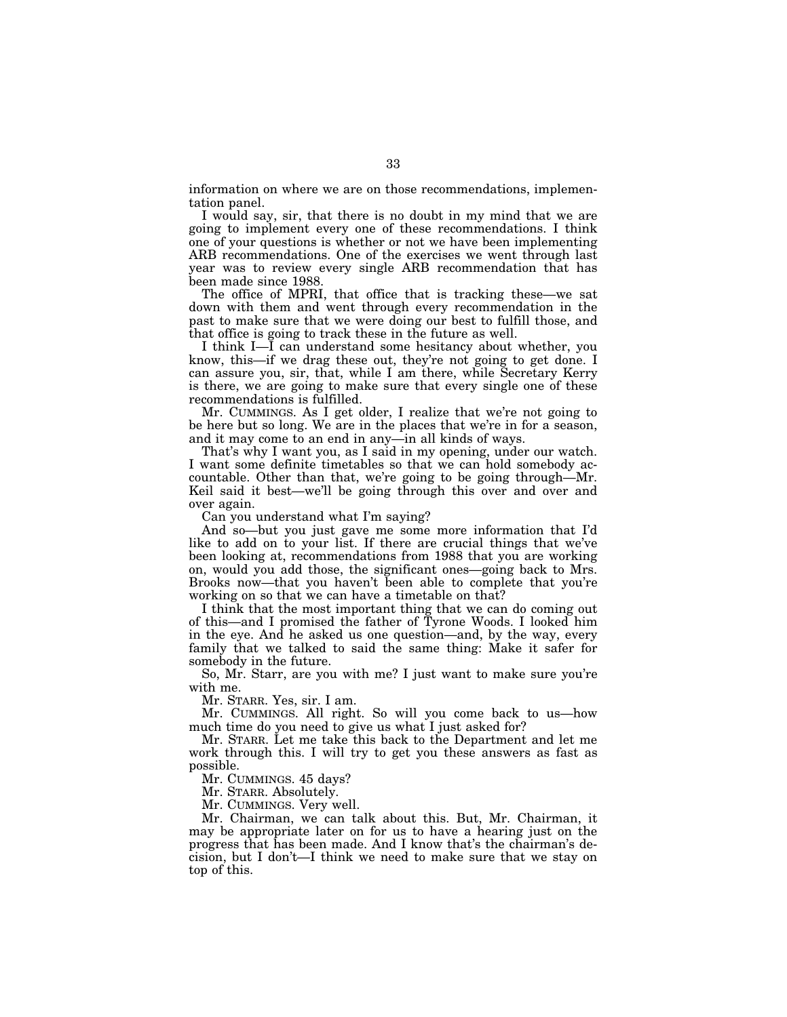information on where we are on those recommendations, implementation panel.

I would say, sir, that there is no doubt in my mind that we are going to implement every one of these recommendations. I think one of your questions is whether or not we have been implementing ARB recommendations. One of the exercises we went through last year was to review every single ARB recommendation that has been made since 1988.

The office of MPRI, that office that is tracking these—we sat down with them and went through every recommendation in the past to make sure that we were doing our best to fulfill those, and that office is going to track these in the future as well.

I think I—I can understand some hesitancy about whether, you know, this—if we drag these out, they're not going to get done. I can assure you, sir, that, while I am there, while Secretary Kerry is there, we are going to make sure that every single one of these recommendations is fulfilled.

Mr. CUMMINGS. As I get older, I realize that we're not going to be here but so long. We are in the places that we're in for a season, and it may come to an end in any—in all kinds of ways.

That's why I want you, as I said in my opening, under our watch. I want some definite timetables so that we can hold somebody accountable. Other than that, we're going to be going through—Mr. Keil said it best—we'll be going through this over and over and over again.

Can you understand what I'm saying?

And so—but you just gave me some more information that I'd like to add on to your list. If there are crucial things that we've been looking at, recommendations from 1988 that you are working on, would you add those, the significant ones—going back to Mrs. Brooks now—that you haven't been able to complete that you're working on so that we can have a timetable on that?

I think that the most important thing that we can do coming out of this—and I promised the father of Tyrone Woods. I looked him in the eye. And he asked us one question—and, by the way, every family that we talked to said the same thing: Make it safer for somebody in the future.

So, Mr. Starr, are you with me? I just want to make sure you're with me.

Mr. STARR. Yes, sir. I am.

Mr. CUMMINGS. All right. So will you come back to us—how much time do you need to give us what I just asked for?

Mr. STARR. Let me take this back to the Department and let me work through this. I will try to get you these answers as fast as possible.

Mr. CUMMINGS. 45 days?

Mr. STARR. Absolutely.

Mr. CUMMINGS. Very well.

Mr. Chairman, we can talk about this. But, Mr. Chairman, it may be appropriate later on for us to have a hearing just on the progress that has been made. And I know that's the chairman's decision, but I don't—I think we need to make sure that we stay on top of this.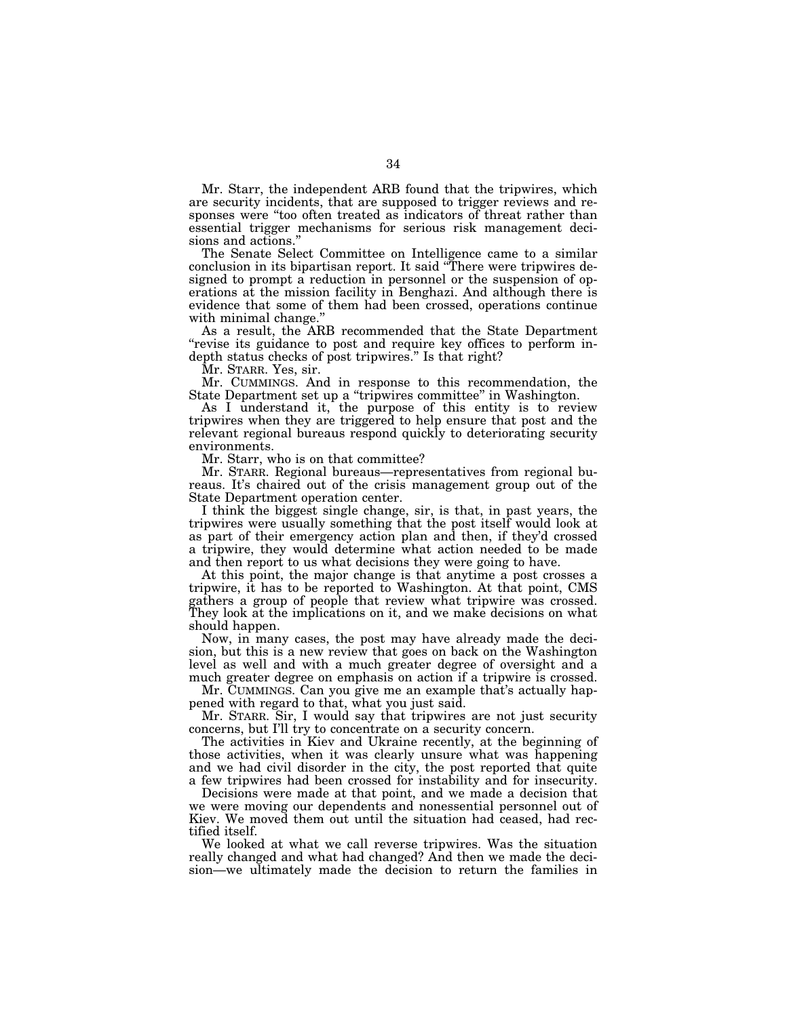Mr. Starr, the independent ARB found that the tripwires, which are security incidents, that are supposed to trigger reviews and responses were ''too often treated as indicators of threat rather than essential trigger mechanisms for serious risk management decisions and actions.''

The Senate Select Committee on Intelligence came to a similar conclusion in its bipartisan report. It said ''There were tripwires designed to prompt a reduction in personnel or the suspension of operations at the mission facility in Benghazi. And although there is evidence that some of them had been crossed, operations continue with minimal change.

As a result, the ARB recommended that the State Department "revise its guidance to post and require key offices to perform indepth status checks of post tripwires.'' Is that right?

Mr. STARR. Yes, sir.

Mr. CUMMINGS. And in response to this recommendation, the State Department set up a ''tripwires committee'' in Washington.

As I understand it, the purpose of this entity is to review tripwires when they are triggered to help ensure that post and the relevant regional bureaus respond quickly to deteriorating security environments.

Mr. Starr, who is on that committee?

Mr. STARR. Regional bureaus—representatives from regional bureaus. It's chaired out of the crisis management group out of the State Department operation center.

I think the biggest single change, sir, is that, in past years, the tripwires were usually something that the post itself would look at as part of their emergency action plan and then, if they'd crossed a tripwire, they would determine what action needed to be made and then report to us what decisions they were going to have.

At this point, the major change is that anytime a post crosses a tripwire, it has to be reported to Washington. At that point, CMS gathers a group of people that review what tripwire was crossed. They look at the implications on it, and we make decisions on what should happen.

Now, in many cases, the post may have already made the decision, but this is a new review that goes on back on the Washington level as well and with a much greater degree of oversight and a much greater degree on emphasis on action if a tripwire is crossed.

Mr. CUMMINGS. Can you give me an example that's actually happened with regard to that, what you just said.

Mr. STARR. Sir, I would say that tripwires are not just security concerns, but I'll try to concentrate on a security concern.

The activities in Kiev and Ukraine recently, at the beginning of those activities, when it was clearly unsure what was happening and we had civil disorder in the city, the post reported that quite a few tripwires had been crossed for instability and for insecurity.

Decisions were made at that point, and we made a decision that we were moving our dependents and nonessential personnel out of Kiev. We moved them out until the situation had ceased, had rectified itself.

We looked at what we call reverse tripwires. Was the situation really changed and what had changed? And then we made the decision—we ultimately made the decision to return the families in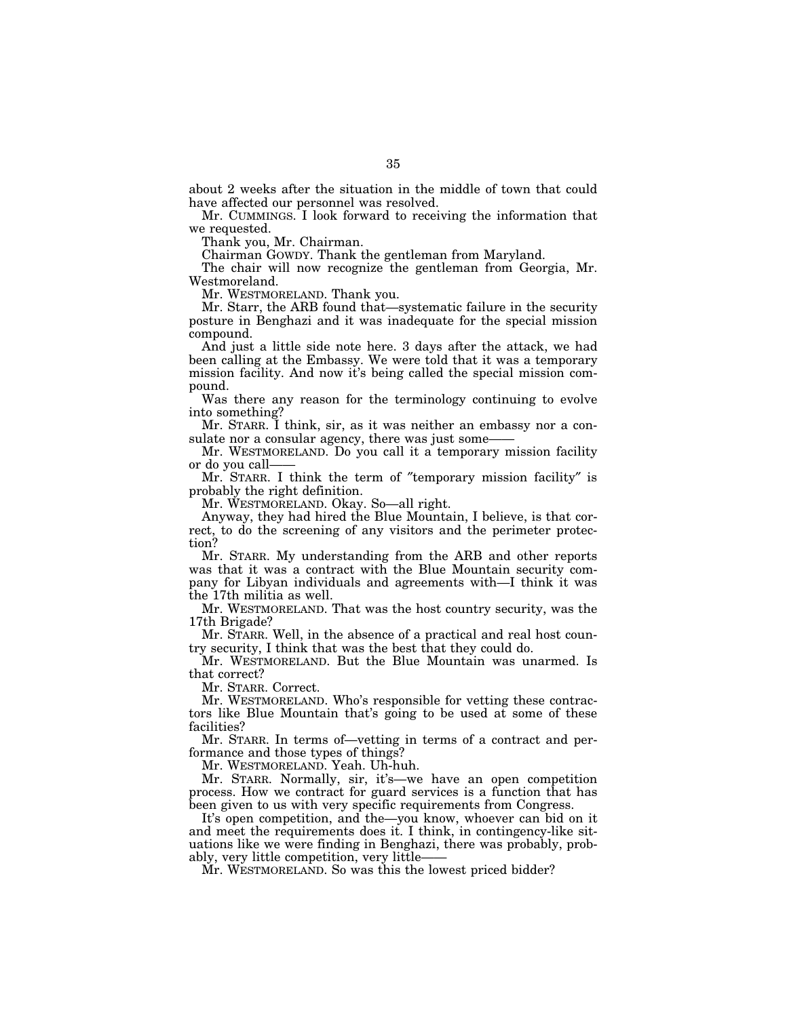about 2 weeks after the situation in the middle of town that could have affected our personnel was resolved.

Mr. CUMMINGS. I look forward to receiving the information that we requested.

Thank you, Mr. Chairman.

Chairman GOWDY. Thank the gentleman from Maryland.

The chair will now recognize the gentleman from Georgia, Mr. Westmoreland.

Mr. WESTMORELAND. Thank you.

Mr. Starr, the ARB found that—systematic failure in the security posture in Benghazi and it was inadequate for the special mission compound.

And just a little side note here. 3 days after the attack, we had been calling at the Embassy. We were told that it was a temporary mission facility. And now it's being called the special mission compound.

Was there any reason for the terminology continuing to evolve into something?

Mr. STARR. I think, sir, as it was neither an embassy nor a consulate nor a consular agency, there was just some-

Mr. WESTMORELAND. Do you call it a temporary mission facility or do you call——

Mr. STARR. I think the term of ″temporary mission facility″ is probably the right definition.

Mr. WESTMORELAND. Okay. So—all right.

Anyway, they had hired the Blue Mountain, I believe, is that correct, to do the screening of any visitors and the perimeter protection?

Mr. STARR. My understanding from the ARB and other reports was that it was a contract with the Blue Mountain security company for Libyan individuals and agreements with—I think it was the 17th militia as well.

Mr. WESTMORELAND. That was the host country security, was the 17th Brigade?

Mr. STARR. Well, in the absence of a practical and real host country security, I think that was the best that they could do.

Mr. WESTMORELAND. But the Blue Mountain was unarmed. Is that correct?

Mr. STARR. Correct.

Mr. WESTMORELAND. Who's responsible for vetting these contractors like Blue Mountain that's going to be used at some of these facilities?

Mr. STARR. In terms of—vetting in terms of a contract and performance and those types of things?

Mr. WESTMORELAND. Yeah. Uh-huh.

Mr. STARR. Normally, sir, it's—we have an open competition process. How we contract for guard services is a function that has been given to us with very specific requirements from Congress.

It's open competition, and the—you know, whoever can bid on it and meet the requirements does it. I think, in contingency-like situations like we were finding in Benghazi, there was probably, probably, very little competition, very little——

Mr. WESTMORELAND. So was this the lowest priced bidder?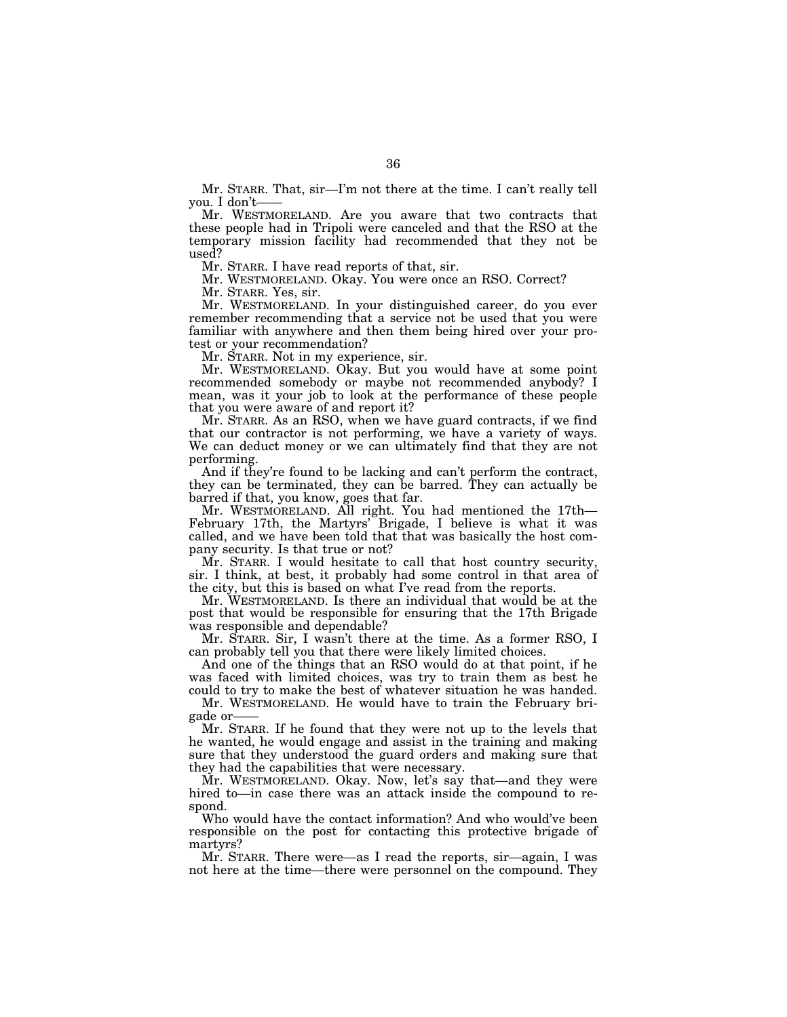Mr. STARR. That, sir—I'm not there at the time. I can't really tell you. I don't-

Mr. WESTMORELAND. Are you aware that two contracts that these people had in Tripoli were canceled and that the RSO at the temporary mission facility had recommended that they not be used?

Mr. STARR. I have read reports of that, sir.

Mr. WESTMORELAND. Okay. You were once an RSO. Correct?

Mr. STARR. Yes, sir.

Mr. WESTMORELAND. In your distinguished career, do you ever remember recommending that a service not be used that you were familiar with anywhere and then them being hired over your protest or your recommendation?

Mr. STARR. Not in my experience, sir.

Mr. WESTMORELAND. Okay. But you would have at some point recommended somebody or maybe not recommended anybody? I mean, was it your job to look at the performance of these people that you were aware of and report it?

Mr. STARR. As an RSO, when we have guard contracts, if we find that our contractor is not performing, we have a variety of ways. We can deduct money or we can ultimately find that they are not performing.

And if they're found to be lacking and can't perform the contract, they can be terminated, they can be barred. They can actually be barred if that, you know, goes that far.

Mr. WESTMORELAND. All right. You had mentioned the 17th— February 17th, the Martyrs' Brigade, I believe is what it was called, and we have been told that that was basically the host company security. Is that true or not?

Mr. STARR. I would hesitate to call that host country security, sir. I think, at best, it probably had some control in that area of the city, but this is based on what I've read from the reports.

Mr. WESTMORELAND. Is there an individual that would be at the post that would be responsible for ensuring that the 17th Brigade was responsible and dependable?

Mr. STARR. Sir, I wasn't there at the time. As a former RSO, I can probably tell you that there were likely limited choices.

And one of the things that an RSO would do at that point, if he was faced with limited choices, was try to train them as best he could to try to make the best of whatever situation he was handed.

Mr. WESTMORELAND. He would have to train the February brigade or-

Mr. STARR. If he found that they were not up to the levels that he wanted, he would engage and assist in the training and making sure that they understood the guard orders and making sure that they had the capabilities that were necessary.

Mr. WESTMORELAND. Okay. Now, let's say that—and they were hired to—in case there was an attack inside the compound to respond.

Who would have the contact information? And who would've been responsible on the post for contacting this protective brigade of martyrs?

Mr. STARR. There were—as I read the reports, sir—again, I was not here at the time—there were personnel on the compound. They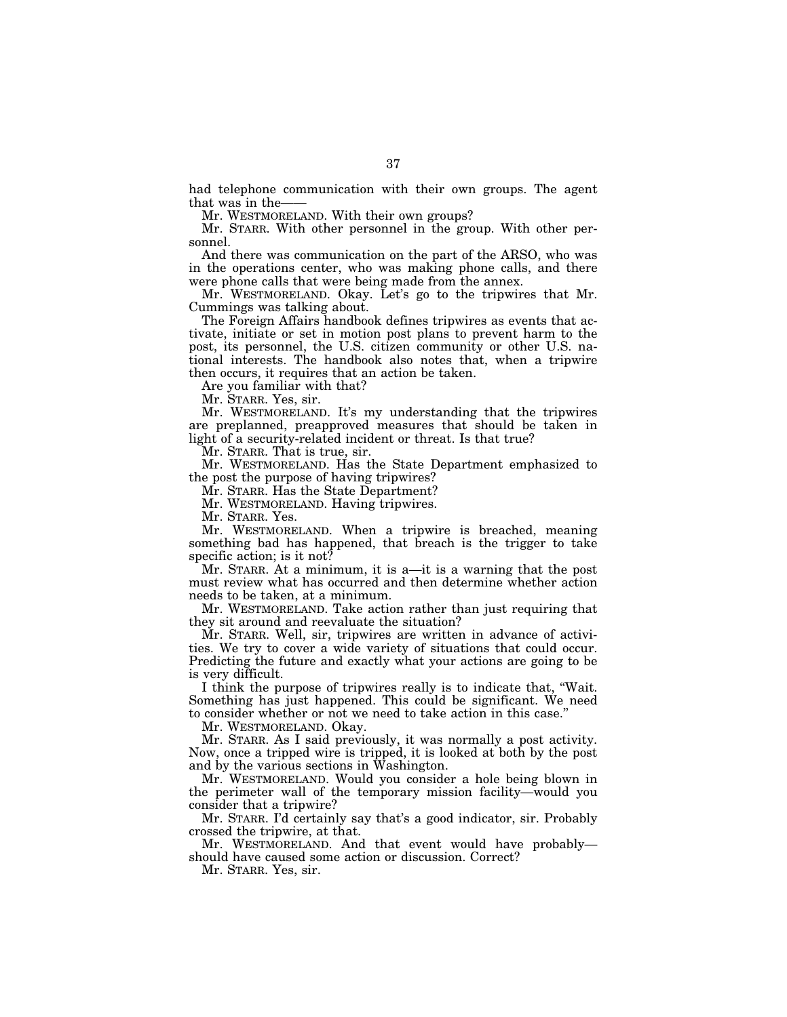had telephone communication with their own groups. The agent that was in the-

Mr. WESTMORELAND. With their own groups?

Mr. STARR. With other personnel in the group. With other personnel.

And there was communication on the part of the ARSO, who was in the operations center, who was making phone calls, and there were phone calls that were being made from the annex.

Mr. WESTMORELAND. Okay. Let's go to the tripwires that Mr. Cummings was talking about.

The Foreign Affairs handbook defines tripwires as events that activate, initiate or set in motion post plans to prevent harm to the post, its personnel, the U.S. citizen community or other U.S. national interests. The handbook also notes that, when a tripwire then occurs, it requires that an action be taken.

Are you familiar with that?

Mr. STARR. Yes, sir.

Mr. WESTMORELAND. It's my understanding that the tripwires are preplanned, preapproved measures that should be taken in light of a security-related incident or threat. Is that true?

Mr. STARR. That is true, sir.

Mr. WESTMORELAND. Has the State Department emphasized to the post the purpose of having tripwires?

Mr. STARR. Has the State Department?

Mr. WESTMORELAND. Having tripwires.

Mr. STARR. Yes.

Mr. WESTMORELAND. When a tripwire is breached, meaning something bad has happened, that breach is the trigger to take specific action; is it not?

Mr. STARR. At a minimum, it is a—it is a warning that the post must review what has occurred and then determine whether action needs to be taken, at a minimum.

Mr. WESTMORELAND. Take action rather than just requiring that they sit around and reevaluate the situation?

Mr. STARR. Well, sir, tripwires are written in advance of activities. We try to cover a wide variety of situations that could occur. Predicting the future and exactly what your actions are going to be is very difficult.

I think the purpose of tripwires really is to indicate that, ''Wait. Something has just happened. This could be significant. We need to consider whether or not we need to take action in this case.''

Mr. WESTMORELAND. Okay.

Mr. STARR. As I said previously, it was normally a post activity. Now, once a tripped wire is tripped, it is looked at both by the post and by the various sections in Washington.

Mr. WESTMORELAND. Would you consider a hole being blown in the perimeter wall of the temporary mission facility—would you consider that a tripwire?

Mr. STARR. I'd certainly say that's a good indicator, sir. Probably crossed the tripwire, at that.

Mr. WESTMORELAND. And that event would have probably should have caused some action or discussion. Correct?

Mr. STARR. Yes, sir.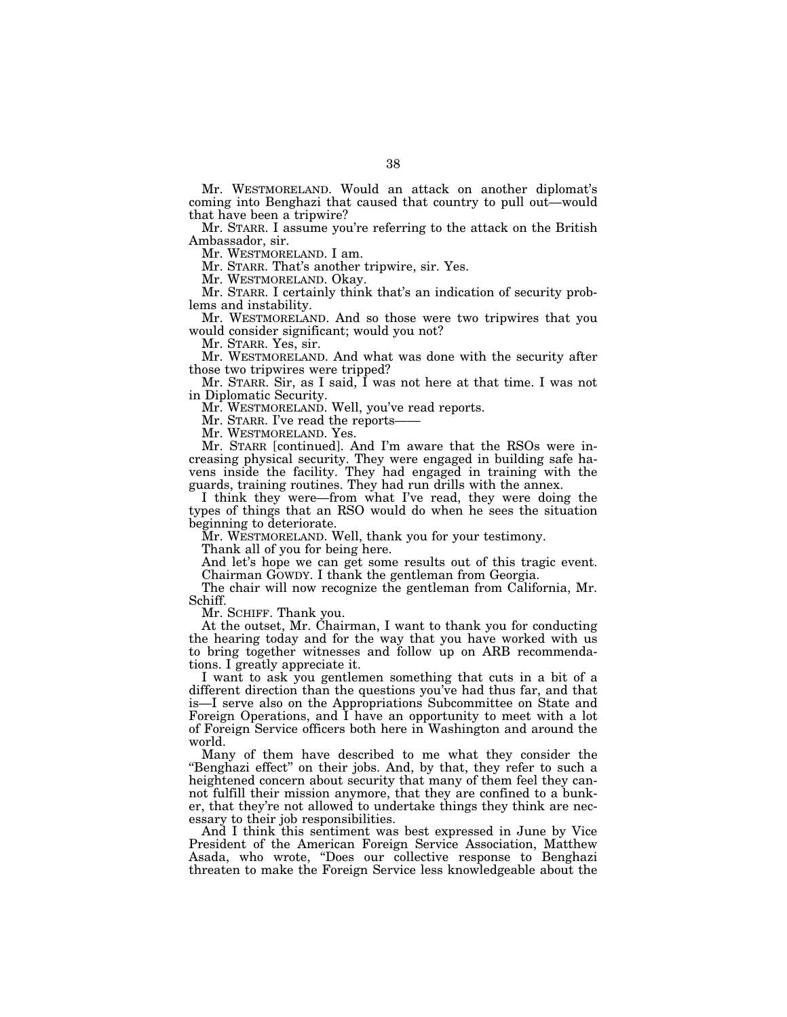Mr. WESTMORELAND. Would an attack on another diplomat's coming into Benghazi that caused that country to pull out—would that have been a tripwire?

Mr. STARR. I assume you're referring to the attack on the British Ambassador, sir.

Mr. WESTMORELAND. I am.

Mr. STARR. That's another tripwire, sir. Yes.

Mr. WESTMORELAND. Okay.

Mr. STARR. I certainly think that's an indication of security problems and instability.

Mr. WESTMORELAND. And so those were two tripwires that you would consider significant; would you not?

Mr. STARR. Yes, sir.

Mr. WESTMORELAND. And what was done with the security after those two tripwires were tripped?

Mr. STARR. Sir, as I said, I was not here at that time. I was not in Diplomatic Security.

Mr. WESTMORELAND. Well, you've read reports.

Mr. STARR. I've read the reports-

Mr. WESTMORELAND. Yes.

Mr. STARR [continued]. And I'm aware that the RSOs were increasing physical security. They were engaged in building safe havens inside the facility. They had engaged in training with the guards, training routines. They had run drills with the annex.

I think they were—from what I've read, they were doing the types of things that an RSO would do when he sees the situation beginning to deteriorate.

Mr. WESTMORELAND. Well, thank you for your testimony.

Thank all of you for being here.

And let's hope we can get some results out of this tragic event. Chairman GOWDY. I thank the gentleman from Georgia.

The chair will now recognize the gentleman from California, Mr. Schiff.

Mr. SCHIFF. Thank you.

At the outset, Mr. Chairman, I want to thank you for conducting the hearing today and for the way that you have worked with us to bring together witnesses and follow up on ARB recommendations. I greatly appreciate it.

I want to ask you gentlemen something that cuts in a bit of a different direction than the questions you've had thus far, and that is—I serve also on the Appropriations Subcommittee on State and Foreign Operations, and I have an opportunity to meet with a lot of Foreign Service officers both here in Washington and around the world.

Many of them have described to me what they consider the "Benghazi effect" on their jobs. And, by that, they refer to such a heightened concern about security that many of them feel they cannot fulfill their mission anymore, that they are confined to a bunker, that they're not allowed to undertake things they think are necessary to their job responsibilities.

And I think this sentiment was best expressed in June by Vice President of the American Foreign Service Association, Matthew Asada, who wrote, ''Does our collective response to Benghazi threaten to make the Foreign Service less knowledgeable about the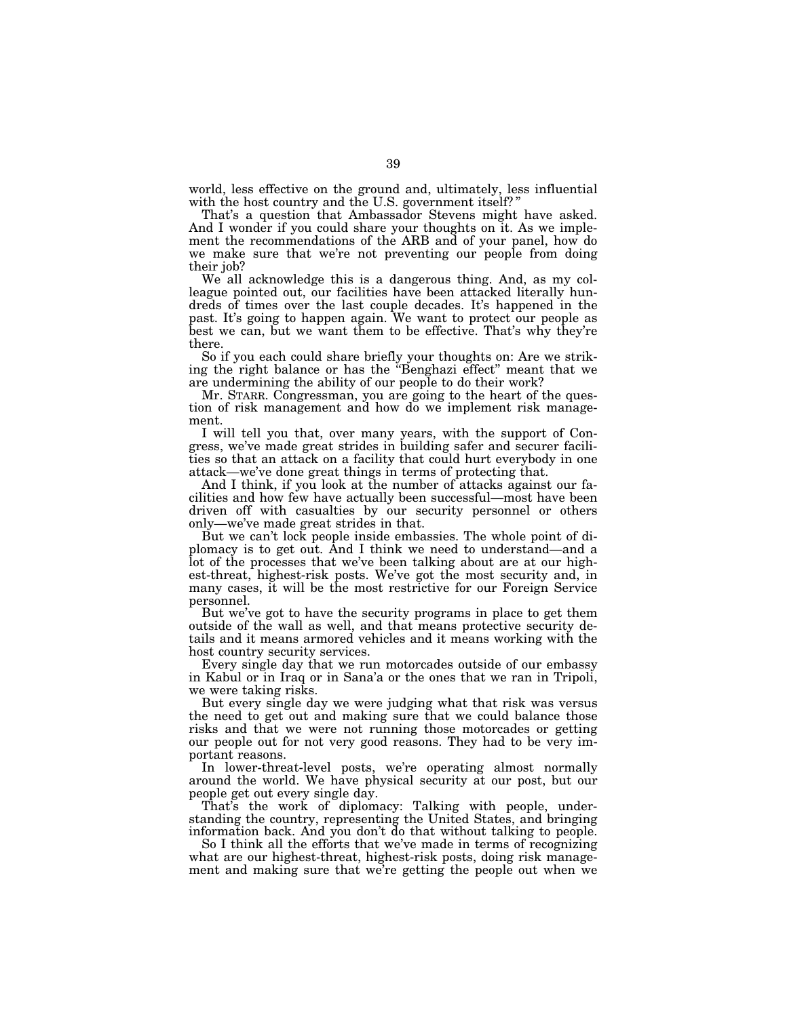world, less effective on the ground and, ultimately, less influential with the host country and the U.S. government itself?"

That's a question that Ambassador Stevens might have asked. And I wonder if you could share your thoughts on it. As we implement the recommendations of the ARB and of your panel, how do we make sure that we're not preventing our people from doing their job?

We all acknowledge this is a dangerous thing. And, as my colleague pointed out, our facilities have been attacked literally hundreds of times over the last couple decades. It's happened in the past. It's going to happen again. We want to protect our people as best we can, but we want them to be effective. That's why they're there.

So if you each could share briefly your thoughts on: Are we striking the right balance or has the ''Benghazi effect'' meant that we are undermining the ability of our people to do their work?

Mr. STARR. Congressman, you are going to the heart of the question of risk management and how do we implement risk management.

I will tell you that, over many years, with the support of Congress, we've made great strides in building safer and securer facilities so that an attack on a facility that could hurt everybody in one attack—we've done great things in terms of protecting that.

And I think, if you look at the number of attacks against our facilities and how few have actually been successful—most have been driven off with casualties by our security personnel or others only—we've made great strides in that.

But we can't lock people inside embassies. The whole point of diplomacy is to get out. And I think we need to understand—and a lot of the processes that we've been talking about are at our highest-threat, highest-risk posts. We've got the most security and, in many cases, it will be the most restrictive for our Foreign Service personnel.

But we've got to have the security programs in place to get them outside of the wall as well, and that means protective security details and it means armored vehicles and it means working with the host country security services.

Every single day that we run motorcades outside of our embassy in Kabul or in Iraq or in Sana'a or the ones that we ran in Tripoli, we were taking risks.

But every single day we were judging what that risk was versus the need to get out and making sure that we could balance those risks and that we were not running those motorcades or getting our people out for not very good reasons. They had to be very important reasons.

In lower-threat-level posts, we're operating almost normally around the world. We have physical security at our post, but our people get out every single day.

That's the work of diplomacy: Talking with people, understanding the country, representing the United States, and bringing information back. And you don't do that without talking to people.

So I think all the efforts that we've made in terms of recognizing what are our highest-threat, highest-risk posts, doing risk management and making sure that we're getting the people out when we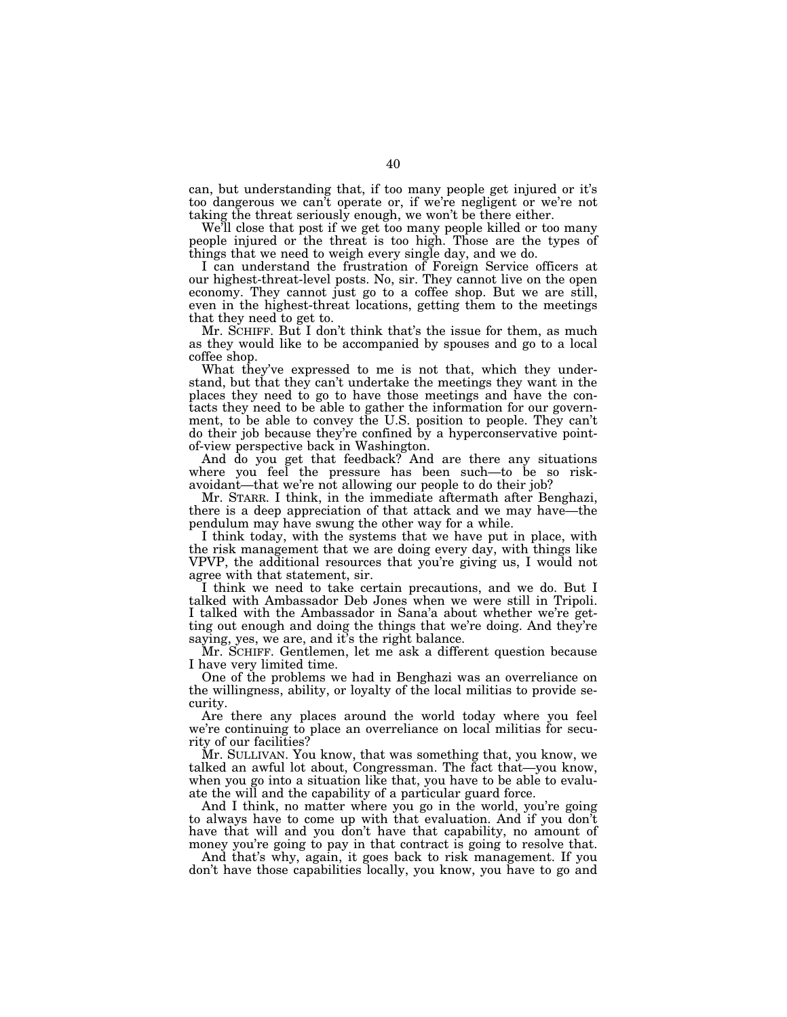can, but understanding that, if too many people get injured or it's too dangerous we can't operate or, if we're negligent or we're not taking the threat seriously enough, we won't be there either.

We'll close that post if we get too many people killed or too many people injured or the threat is too high. Those are the types of things that we need to weigh every single day, and we do.

I can understand the frustration of Foreign Service officers at our highest-threat-level posts. No, sir. They cannot live on the open economy. They cannot just go to a coffee shop. But we are still, even in the highest-threat locations, getting them to the meetings that they need to get to.

Mr. SCHIFF. But I don't think that's the issue for them, as much as they would like to be accompanied by spouses and go to a local coffee shop.

What they've expressed to me is not that, which they understand, but that they can't undertake the meetings they want in the places they need to go to have those meetings and have the contacts they need to be able to gather the information for our government, to be able to convey the U.S. position to people. They can't do their job because they're confined by a hyperconservative pointof-view perspective back in Washington.

And do you get that feedback? And are there any situations where you feel the pressure has been such—to be so riskavoidant—that we're not allowing our people to do their job?

Mr. STARR. I think, in the immediate aftermath after Benghazi, there is a deep appreciation of that attack and we may have—the pendulum may have swung the other way for a while.

I think today, with the systems that we have put in place, with the risk management that we are doing every day, with things like VPVP, the additional resources that you're giving us, I would not agree with that statement, sir.

I think we need to take certain precautions, and we do. But I talked with Ambassador Deb Jones when we were still in Tripoli. I talked with the Ambassador in Sana'a about whether we're getting out enough and doing the things that we're doing. And they're saying, yes, we are, and it's the right balance.

Mr. SCHIFF. Gentlemen, let me ask a different question because I have very limited time.

One of the problems we had in Benghazi was an overreliance on the willingness, ability, or loyalty of the local militias to provide security.

Are there any places around the world today where you feel we're continuing to place an overreliance on local militias for security of our facilities?

Mr. SULLIVAN. You know, that was something that, you know, we talked an awful lot about, Congressman. The fact that—you know, when you go into a situation like that, you have to be able to evaluate the will and the capability of a particular guard force.

And I think, no matter where you go in the world, you're going to always have to come up with that evaluation. And if you don't have that will and you don't have that capability, no amount of money you're going to pay in that contract is going to resolve that.

And that's why, again, it goes back to risk management. If you don't have those capabilities locally, you know, you have to go and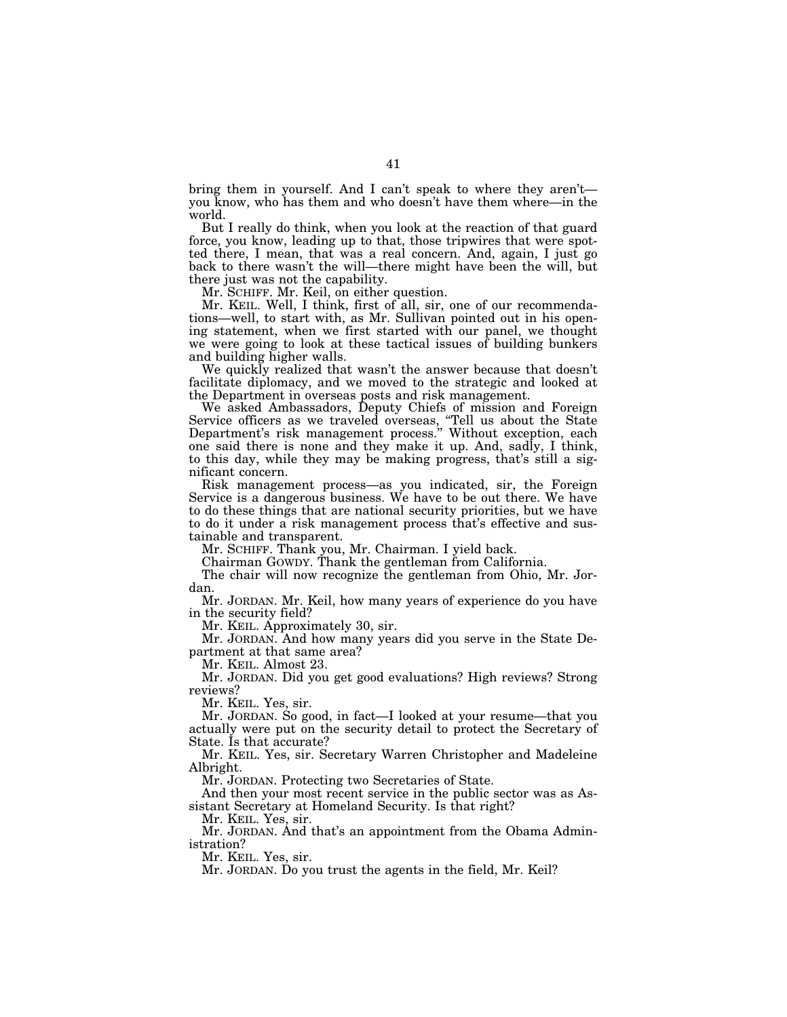bring them in yourself. And I can't speak to where they aren't you know, who has them and who doesn't have them where—in the world.

But I really do think, when you look at the reaction of that guard force, you know, leading up to that, those tripwires that were spotted there, I mean, that was a real concern. And, again, I just go back to there wasn't the will—there might have been the will, but there just was not the capability.

Mr. SCHIFF. Mr. Keil, on either question.

Mr. KEIL. Well, I think, first of all, sir, one of our recommendations—well, to start with, as Mr. Sullivan pointed out in his opening statement, when we first started with our panel, we thought we were going to look at these tactical issues of building bunkers and building higher walls.

We quickly realized that wasn't the answer because that doesn't facilitate diplomacy, and we moved to the strategic and looked at the Department in overseas posts and risk management.

We asked Ambassadors, Deputy Chiefs of mission and Foreign Service officers as we traveled overseas, ''Tell us about the State Department's risk management process.'' Without exception, each one said there is none and they make it up. And, sadly, I think, to this day, while they may be making progress, that's still a significant concern.

Risk management process—as you indicated, sir, the Foreign Service is a dangerous business. We have to be out there. We have to do these things that are national security priorities, but we have to do it under a risk management process that's effective and sustainable and transparent.

Mr. SCHIFF. Thank you, Mr. Chairman. I yield back.

Chairman GOWDY. Thank the gentleman from California.

The chair will now recognize the gentleman from Ohio, Mr. Jordan.

Mr. JORDAN. Mr. Keil, how many years of experience do you have in the security field?

Mr. KEIL. Approximately 30, sir.

Mr. JORDAN. And how many years did you serve in the State Department at that same area?

Mr. KEIL. Almost 23.

Mr. JORDAN. Did you get good evaluations? High reviews? Strong reviews?

Mr. KEIL. Yes, sir.

Mr. JORDAN. So good, in fact—I looked at your resume—that you actually were put on the security detail to protect the Secretary of State. Is that accurate?

Mr. KEIL. Yes, sir. Secretary Warren Christopher and Madeleine Albright.

Mr. JORDAN. Protecting two Secretaries of State.

And then your most recent service in the public sector was as Assistant Secretary at Homeland Security. Is that right?

Mr. KEIL. Yes, sir.

Mr. JORDAN. And that's an appointment from the Obama Administration?

Mr. KEIL. Yes, sir.

Mr. JORDAN. Do you trust the agents in the field, Mr. Keil?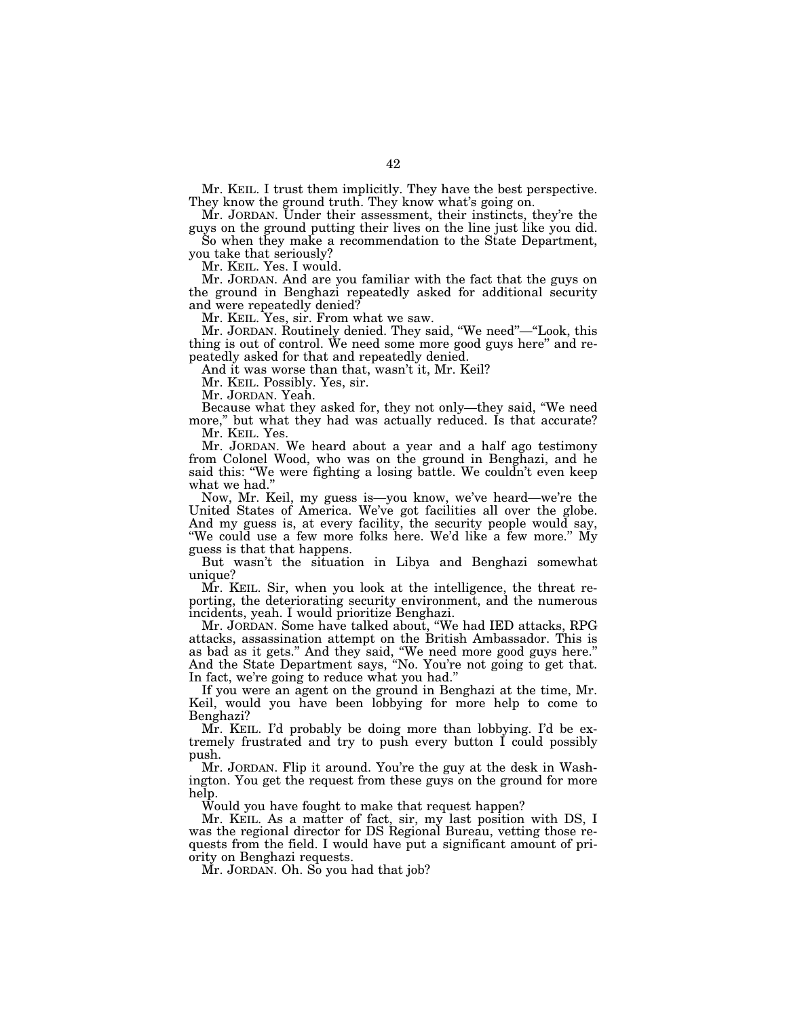Mr. KEIL. I trust them implicitly. They have the best perspective. They know the ground truth. They know what's going on.

Mr. JORDAN. Under their assessment, their instincts, they're the guys on the ground putting their lives on the line just like you did.

So when they make a recommendation to the State Department, you take that seriously?

Mr. KEIL. Yes. I would.

Mr. JORDAN. And are you familiar with the fact that the guys on the ground in Benghazi repeatedly asked for additional security and were repeatedly denied?

Mr. KEIL. Yes, sir. From what we saw.

Mr. JORDAN. Routinely denied. They said, ''We need''—''Look, this thing is out of control. We need some more good guys here'' and repeatedly asked for that and repeatedly denied.

And it was worse than that, wasn't it, Mr. Keil?

Mr. KEIL. Possibly. Yes, sir.

Mr. JORDAN. Yeah.

Because what they asked for, they not only—they said, ''We need more,'' but what they had was actually reduced. Is that accurate? Mr. KEIL. Yes.

Mr. JORDAN. We heard about a year and a half ago testimony from Colonel Wood, who was on the ground in Benghazi, and he said this: "We were fighting a losing battle. We couldn't even keep what we had.''

Now, Mr. Keil, my guess is—you know, we've heard—we're the United States of America. We've got facilities all over the globe. And my guess is, at every facility, the security people would say, ''We could use a few more folks here. We'd like a few more.'' My guess is that that happens.

But wasn't the situation in Libya and Benghazi somewhat unique?

Mr. KEIL. Sir, when you look at the intelligence, the threat reporting, the deteriorating security environment, and the numerous incidents, yeah. I would prioritize Benghazi.

Mr. JORDAN. Some have talked about, ''We had IED attacks, RPG attacks, assassination attempt on the British Ambassador. This is as bad as it gets.'' And they said, ''We need more good guys here.'' And the State Department says, ''No. You're not going to get that. In fact, we're going to reduce what you had.''

If you were an agent on the ground in Benghazi at the time, Mr. Keil, would you have been lobbying for more help to come to Benghazi?

Mr. KEIL. I'd probably be doing more than lobbying. I'd be extremely frustrated and try to push every button I could possibly push.

Mr. JORDAN. Flip it around. You're the guy at the desk in Washington. You get the request from these guys on the ground for more help.

Would you have fought to make that request happen?

Mr. KEIL. As a matter of fact, sir, my last position with DS, I was the regional director for DS Regional Bureau, vetting those requests from the field. I would have put a significant amount of priority on Benghazi requests.

Mr. JORDAN. Oh. So you had that job?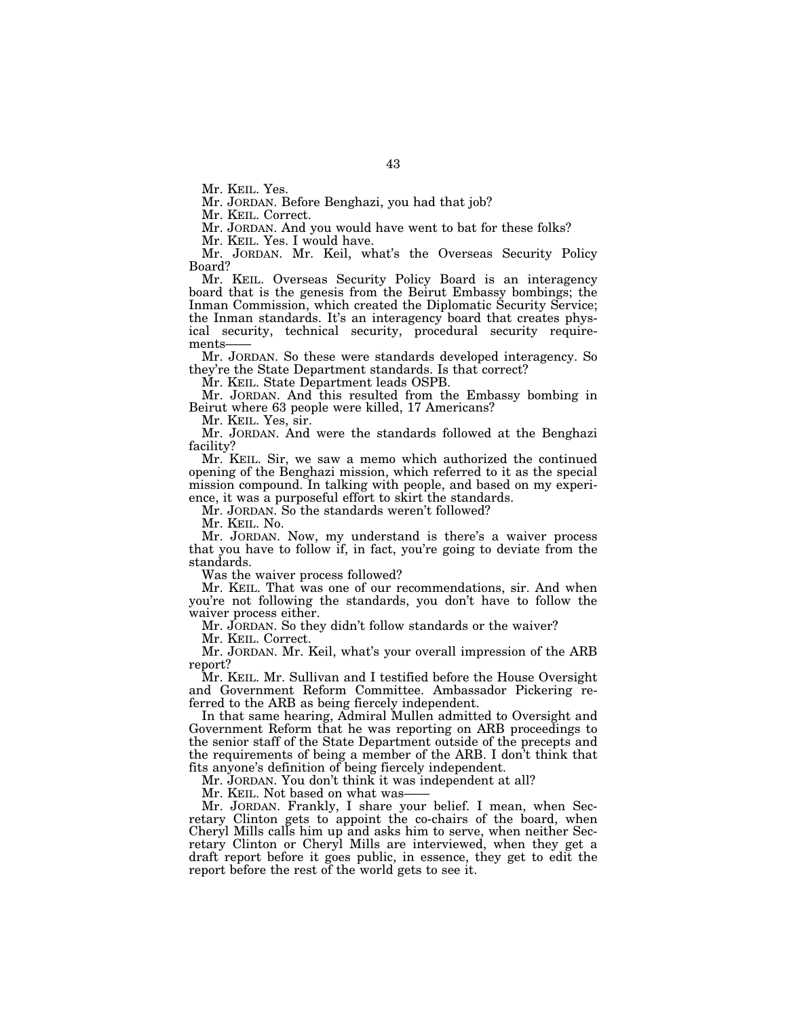Mr. KEIL. Yes.

Mr. JORDAN. Before Benghazi, you had that job?

Mr. KEIL. Correct.

Mr. JORDAN. And you would have went to bat for these folks?

Mr. KEIL. Yes. I would have.

Mr. JORDAN. Mr. Keil, what's the Overseas Security Policy Board?

Mr. KEIL. Overseas Security Policy Board is an interagency board that is the genesis from the Beirut Embassy bombings; the Inman Commission, which created the Diplomatic Security Service; the Inman standards. It's an interagency board that creates physical security, technical security, procedural security requirements-

Mr. JORDAN. So these were standards developed interagency. So they're the State Department standards. Is that correct?

Mr. KEIL. State Department leads OSPB.

Mr. JORDAN. And this resulted from the Embassy bombing in Beirut where 63 people were killed, 17 Americans?

Mr. KEIL. Yes, sir.

Mr. JORDAN. And were the standards followed at the Benghazi facility?

Mr. KEIL. Sir, we saw a memo which authorized the continued opening of the Benghazi mission, which referred to it as the special mission compound. In talking with people, and based on my experience, it was a purposeful effort to skirt the standards.

Mr. JORDAN. So the standards weren't followed?

Mr. KEIL. No.

Mr. JORDAN. Now, my understand is there's a waiver process that you have to follow if, in fact, you're going to deviate from the standards.

Was the waiver process followed?

Mr. KEIL. That was one of our recommendations, sir. And when you're not following the standards, you don't have to follow the waiver process either.

Mr. JORDAN. So they didn't follow standards or the waiver?

Mr. KEIL. Correct.

Mr. JORDAN. Mr. Keil, what's your overall impression of the ARB report?

Mr. KEIL. Mr. Sullivan and I testified before the House Oversight and Government Reform Committee. Ambassador Pickering referred to the ARB as being fiercely independent.

In that same hearing, Admiral Mullen admitted to Oversight and Government Reform that he was reporting on ARB proceedings to the senior staff of the State Department outside of the precepts and the requirements of being a member of the ARB. I don't think that fits anyone's definition of being fiercely independent.

Mr. JORDAN. You don't think it was independent at all?

Mr. KEIL. Not based on what was-

Mr. JORDAN. Frankly, I share your belief. I mean, when Secretary Clinton gets to appoint the co-chairs of the board, when Cheryl Mills calls him up and asks him to serve, when neither Secretary Clinton or Cheryl Mills are interviewed, when they get a draft report before it goes public, in essence, they get to edit the report before the rest of the world gets to see it.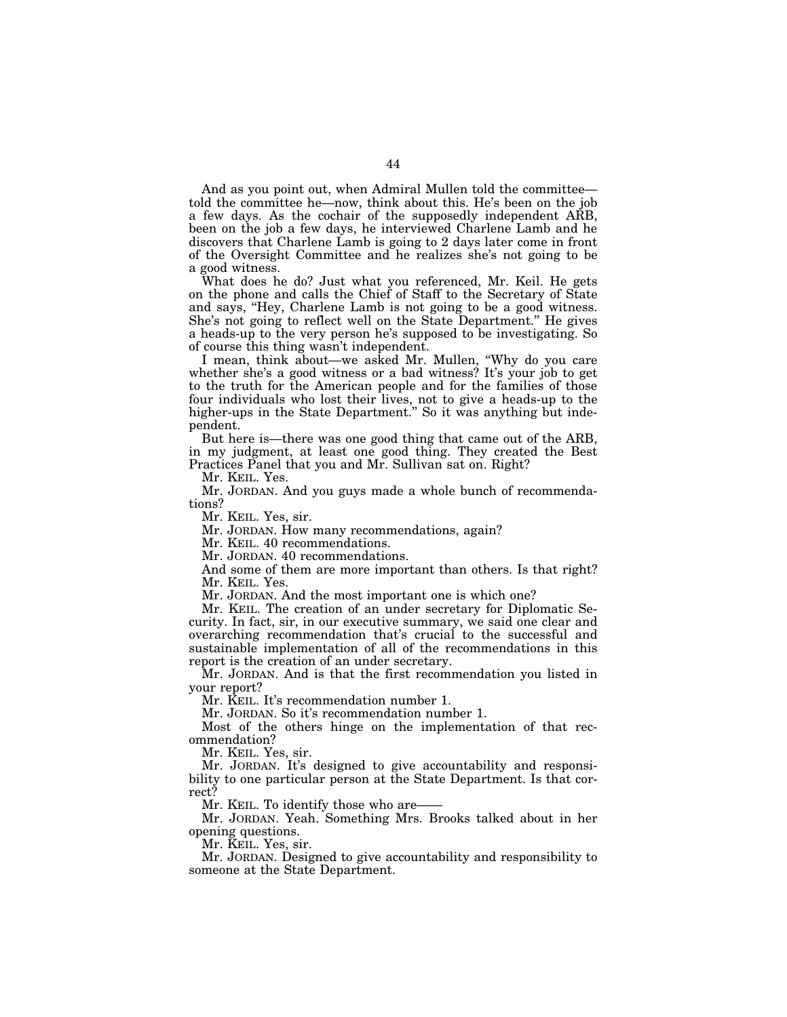And as you point out, when Admiral Mullen told the committee told the committee he—now, think about this. He's been on the job a few days. As the cochair of the supposedly independent ARB, been on the job a few days, he interviewed Charlene Lamb and he discovers that Charlene Lamb is going to 2 days later come in front of the Oversight Committee and he realizes she's not going to be a good witness.

What does he do? Just what you referenced, Mr. Keil. He gets on the phone and calls the Chief of Staff to the Secretary of State and says, ''Hey, Charlene Lamb is not going to be a good witness. She's not going to reflect well on the State Department.'' He gives a heads-up to the very person he's supposed to be investigating. So of course this thing wasn't independent.

I mean, think about—we asked Mr. Mullen, ''Why do you care whether she's a good witness or a bad witness? It's your job to get to the truth for the American people and for the families of those four individuals who lost their lives, not to give a heads-up to the higher-ups in the State Department." So it was anything but independent.

But here is—there was one good thing that came out of the ARB, in my judgment, at least one good thing. They created the Best Practices Panel that you and Mr. Sullivan sat on. Right?

Mr. KEIL. Yes.

Mr. JORDAN. And you guys made a whole bunch of recommendations?

Mr. KEIL. Yes, sir.

Mr. JORDAN. How many recommendations, again?

Mr. KEIL. 40 recommendations.

Mr. JORDAN. 40 recommendations.

And some of them are more important than others. Is that right? Mr. KEIL. Yes.

Mr. JORDAN. And the most important one is which one?

Mr. KEIL. The creation of an under secretary for Diplomatic Security. In fact, sir, in our executive summary, we said one clear and overarching recommendation that's crucial to the successful and sustainable implementation of all of the recommendations in this report is the creation of an under secretary.

Mr. JORDAN. And is that the first recommendation you listed in your report?

Mr. KEIL. It's recommendation number 1.

Mr. JORDAN. So it's recommendation number 1.

Most of the others hinge on the implementation of that recommendation?

Mr. KEIL. Yes, sir.

Mr. JORDAN. It's designed to give accountability and responsibility to one particular person at the State Department. Is that correct?

Mr. KEIL. To identify those who are-

Mr. JORDAN. Yeah. Something Mrs. Brooks talked about in her opening questions.

Mr. KEIL. Yes, sir.

Mr. JORDAN. Designed to give accountability and responsibility to someone at the State Department.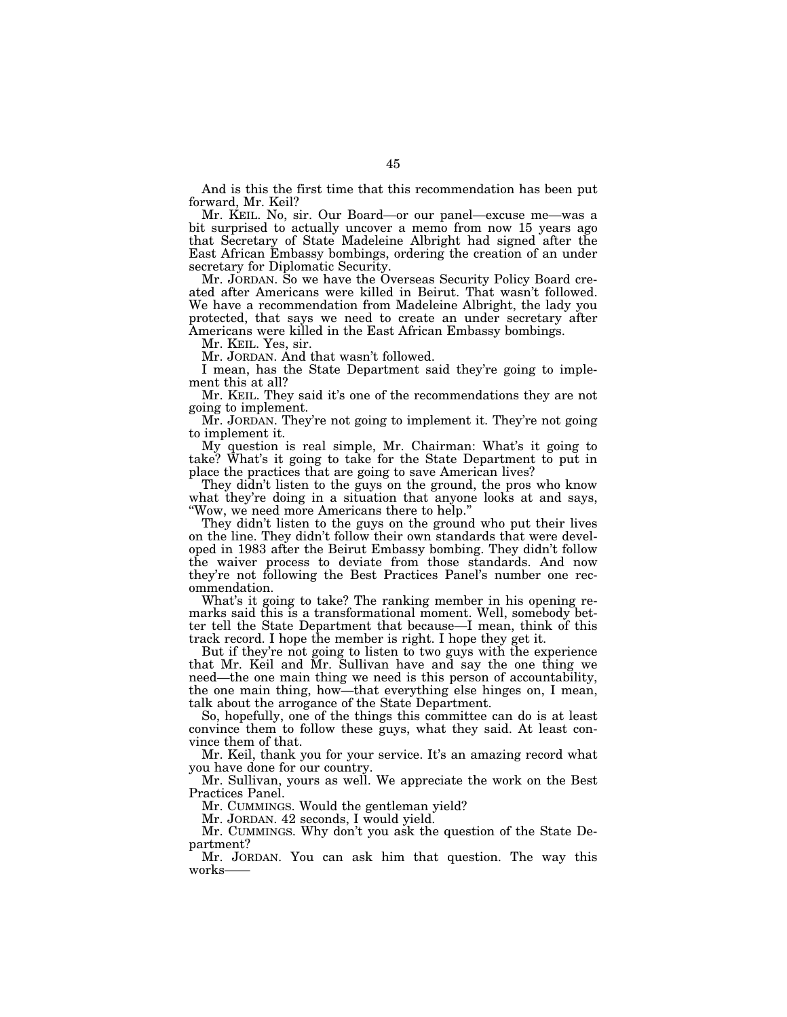And is this the first time that this recommendation has been put forward, Mr. Keil?

Mr. KEIL. No, sir. Our Board—or our panel—excuse me—was a bit surprised to actually uncover a memo from now 15 years ago that Secretary of State Madeleine Albright had signed after the East African Embassy bombings, ordering the creation of an under secretary for Diplomatic Security.

Mr. JORDAN. So we have the Overseas Security Policy Board created after Americans were killed in Beirut. That wasn't followed. We have a recommendation from Madeleine Albright, the lady you protected, that says we need to create an under secretary after Americans were killed in the East African Embassy bombings.

Mr. KEIL. Yes, sir.

Mr. JORDAN. And that wasn't followed.

I mean, has the State Department said they're going to implement this at all?

Mr. KEIL. They said it's one of the recommendations they are not going to implement.

Mr. JORDAN. They're not going to implement it. They're not going to implement it.

My question is real simple, Mr. Chairman: What's it going to take? What's it going to take for the State Department to put in place the practices that are going to save American lives?

They didn't listen to the guys on the ground, the pros who know what they're doing in a situation that anyone looks at and says, ''Wow, we need more Americans there to help.''

They didn't listen to the guys on the ground who put their lives on the line. They didn't follow their own standards that were developed in 1983 after the Beirut Embassy bombing. They didn't follow the waiver process to deviate from those standards. And now they're not following the Best Practices Panel's number one recommendation.

What's it going to take? The ranking member in his opening remarks said this is a transformational moment. Well, somebody better tell the State Department that because—I mean, think of this track record. I hope the member is right. I hope they get it.

But if they're not going to listen to two guys with the experience that Mr. Keil and Mr. Sullivan have and say the one thing we need—the one main thing we need is this person of accountability, the one main thing, how—that everything else hinges on, I mean, talk about the arrogance of the State Department.

So, hopefully, one of the things this committee can do is at least convince them to follow these guys, what they said. At least convince them of that.

Mr. Keil, thank you for your service. It's an amazing record what you have done for our country.

Mr. Sullivan, yours as well. We appreciate the work on the Best Practices Panel.

Mr. CUMMINGS. Would the gentleman yield?

Mr. JORDAN. 42 seconds, I would yield.

Mr. CUMMINGS. Why don't you ask the question of the State Department?

Mr. JORDAN. You can ask him that question. The way this works——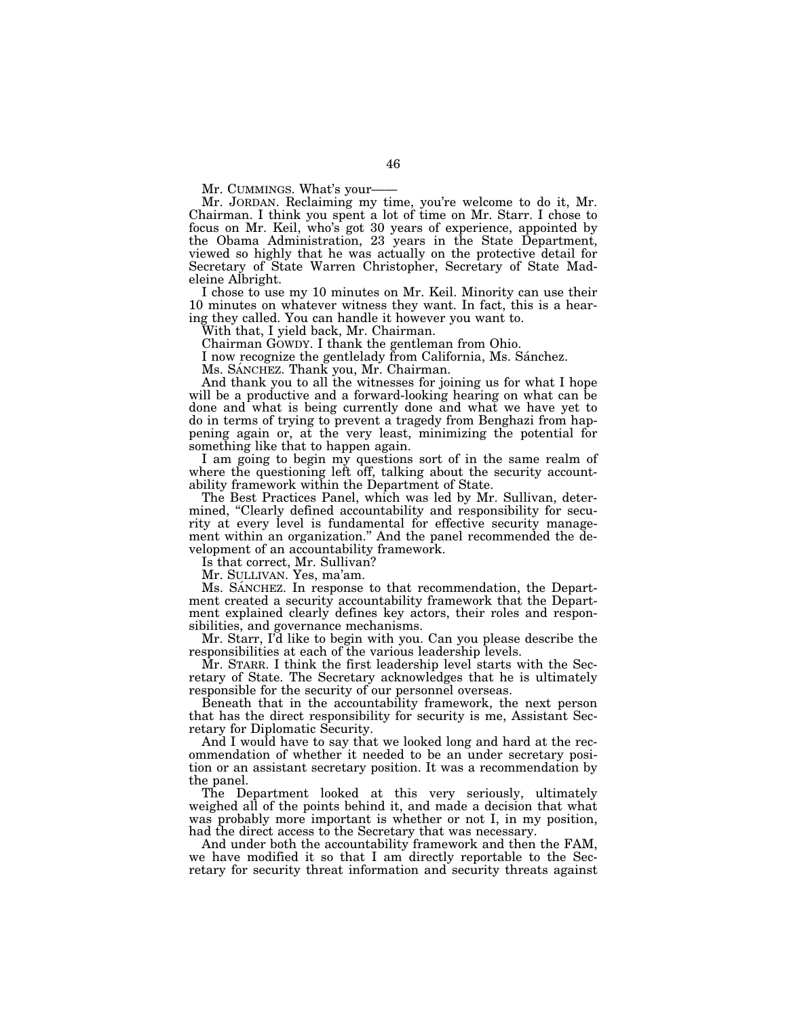Mr. CUMMINGS. What's your-

Mr. JORDAN. Reclaiming my time, you're welcome to do it, Mr. Chairman. I think you spent a lot of time on Mr. Starr. I chose to focus on Mr. Keil, who's got 30 years of experience, appointed by the Obama Administration, 23 years in the State Department, viewed so highly that he was actually on the protective detail for Secretary of State Warren Christopher, Secretary of State Madeleine Albright.

I chose to use my 10 minutes on Mr. Keil. Minority can use their 10 minutes on whatever witness they want. In fact, this is a hearing they called. You can handle it however you want to.

With that, I yield back, Mr. Chairman.

Chairman GOWDY. I thank the gentleman from Ohio.

I now recognize the gentlelady from California, Ms. Sánchez.

Ms. SÁNCHEZ. Thank you, Mr. Chairman.

And thank you to all the witnesses for joining us for what I hope will be a productive and a forward-looking hearing on what can be done and what is being currently done and what we have yet to do in terms of trying to prevent a tragedy from Benghazi from happening again or, at the very least, minimizing the potential for something like that to happen again.

I am going to begin my questions sort of in the same realm of where the questioning left off, talking about the security accountability framework within the Department of State.

The Best Practices Panel, which was led by Mr. Sullivan, determined, "Clearly defined accountability and responsibility for security at every level is fundamental for effective security management within an organization.'' And the panel recommended the development of an accountability framework.

Is that correct, Mr. Sullivan?

Mr. SULLIVAN. Yes, ma'am.

Ms. SANCHEZ. In response to that recommendation, the Department created a security accountability framework that the Department explained clearly defines key actors, their roles and responsibilities, and governance mechanisms.

Mr. Starr, I'd like to begin with you. Can you please describe the responsibilities at each of the various leadership levels.

Mr. STARR. I think the first leadership level starts with the Secretary of State. The Secretary acknowledges that he is ultimately responsible for the security of our personnel overseas.

Beneath that in the accountability framework, the next person that has the direct responsibility for security is me, Assistant Secretary for Diplomatic Security.

And I would have to say that we looked long and hard at the recommendation of whether it needed to be an under secretary position or an assistant secretary position. It was a recommendation by the panel.

The Department looked at this very seriously, ultimately weighed all of the points behind it, and made a decision that what was probably more important is whether or not I, in my position, had the direct access to the Secretary that was necessary.

And under both the accountability framework and then the FAM, we have modified it so that I am directly reportable to the Secretary for security threat information and security threats against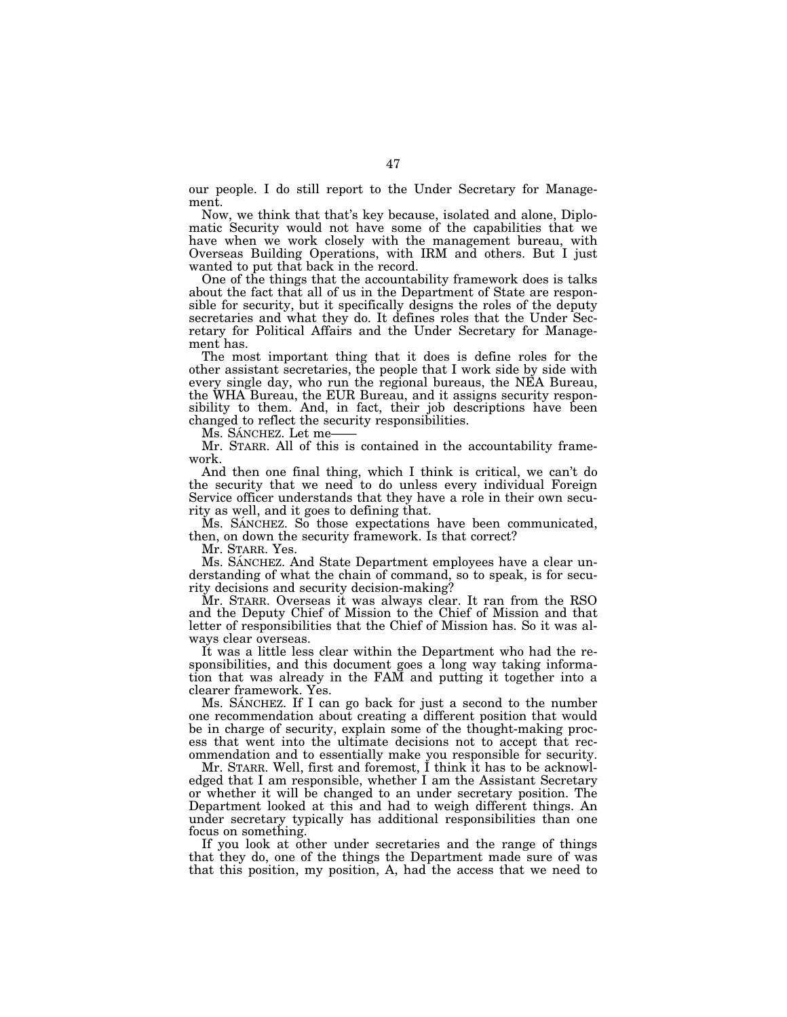our people. I do still report to the Under Secretary for Management.

Now, we think that that's key because, isolated and alone, Diplomatic Security would not have some of the capabilities that we have when we work closely with the management bureau, with Overseas Building Operations, with IRM and others. But I just wanted to put that back in the record.

One of the things that the accountability framework does is talks about the fact that all of us in the Department of State are responsible for security, but it specifically designs the roles of the deputy secretaries and what they do. It defines roles that the Under Secretary for Political Affairs and the Under Secretary for Management has.

The most important thing that it does is define roles for the other assistant secretaries, the people that I work side by side with every single day, who run the regional bureaus, the NEA Bureau, the WHA Bureau, the EUR Bureau, and it assigns security responsibility to them. And, in fact, their job descriptions have been changed to reflect the security responsibilities.

Ms. SÁNCHEZ. Let me-

Mr. STARR. All of this is contained in the accountability framework.

And then one final thing, which I think is critical, we can't do the security that we need to do unless every individual Foreign Service officer understands that they have a role in their own security as well, and it goes to defining that.

Ms. SÁNCHEZ. So those expectations have been communicated, then, on down the security framework. Is that correct?

Mr. STARR. Yes.

Ms. SANCHEZ. And State Department employees have a clear understanding of what the chain of command, so to speak, is for security decisions and security decision-making?

Mr. STARR. Overseas it was always clear. It ran from the RSO and the Deputy Chief of Mission to the Chief of Mission and that letter of responsibilities that the Chief of Mission has. So it was always clear overseas.

It was a little less clear within the Department who had the responsibilities, and this document goes a long way taking information that was already in the FAM and putting it together into a clearer framework. Yes.

Ms. SÁNCHEZ. If I can go back for just a second to the number one recommendation about creating a different position that would be in charge of security, explain some of the thought-making process that went into the ultimate decisions not to accept that recommendation and to essentially make you responsible for security.

Mr. STARR. Well, first and foremost, I think it has to be acknowledged that I am responsible, whether I am the Assistant Secretary or whether it will be changed to an under secretary position. The Department looked at this and had to weigh different things. An under secretary typically has additional responsibilities than one focus on something.

If you look at other under secretaries and the range of things that they do, one of the things the Department made sure of was that this position, my position, A, had the access that we need to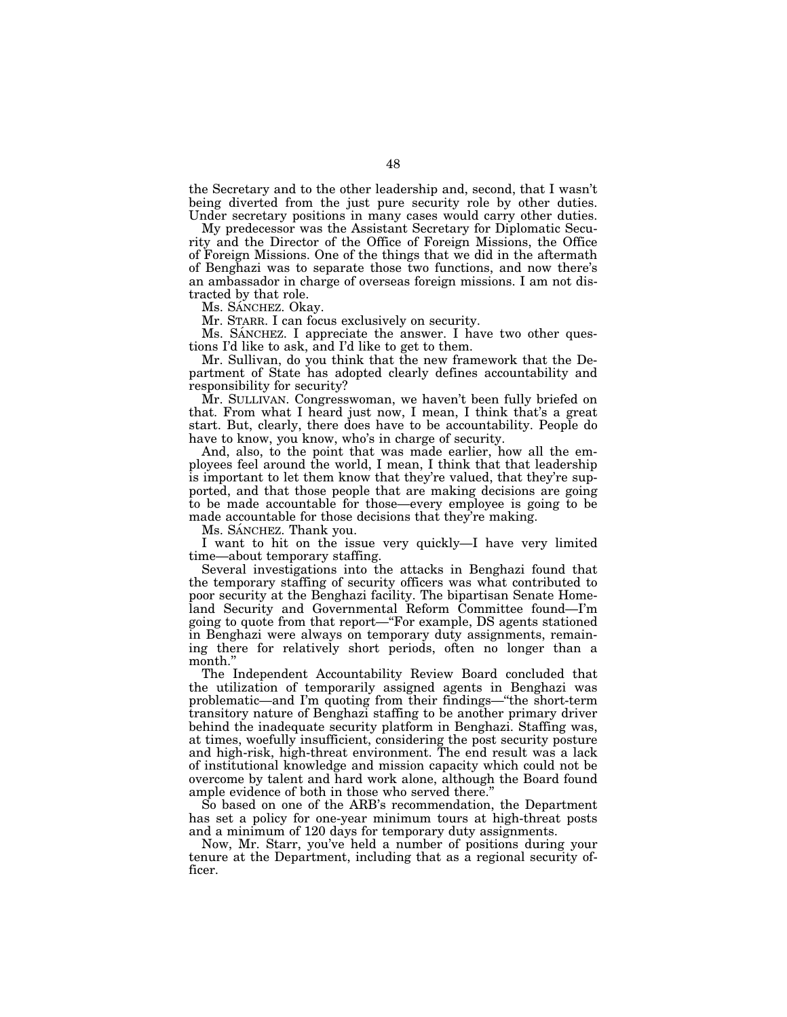the Secretary and to the other leadership and, second, that I wasn't being diverted from the just pure security role by other duties. Under secretary positions in many cases would carry other duties.

My predecessor was the Assistant Secretary for Diplomatic Security and the Director of the Office of Foreign Missions, the Office of Foreign Missions. One of the things that we did in the aftermath of Benghazi was to separate those two functions, and now there's an ambassador in charge of overseas foreign missions. I am not distracted by that role.

Ms. SÁNCHEZ. Okay.

Mr. STARR. I can focus exclusively on security.

Ms. SANCHEZ. I appreciate the answer. I have two other questions I'd like to ask, and I'd like to get to them.

Mr. Sullivan, do you think that the new framework that the Department of State has adopted clearly defines accountability and responsibility for security?

Mr. SULLIVAN. Congresswoman, we haven't been fully briefed on that. From what I heard just now, I mean, I think that's a great start. But, clearly, there does have to be accountability. People do have to know, you know, who's in charge of security.

And, also, to the point that was made earlier, how all the employees feel around the world, I mean, I think that that leadership is important to let them know that they're valued, that they're supported, and that those people that are making decisions are going to be made accountable for those—every employee is going to be made accountable for those decisions that they're making.

Ms. SANCHEZ. Thank you.

I want to hit on the issue very quickly—I have very limited time—about temporary staffing.

Several investigations into the attacks in Benghazi found that the temporary staffing of security officers was what contributed to poor security at the Benghazi facility. The bipartisan Senate Homeland Security and Governmental Reform Committee found—I'm going to quote from that report—''For example, DS agents stationed in Benghazi were always on temporary duty assignments, remaining there for relatively short periods, often no longer than a month.''

The Independent Accountability Review Board concluded that the utilization of temporarily assigned agents in Benghazi was problematic—and I'm quoting from their findings—''the short-term transitory nature of Benghazi staffing to be another primary driver behind the inadequate security platform in Benghazi. Staffing was, at times, woefully insufficient, considering the post security posture and high-risk, high-threat environment. The end result was a lack of institutional knowledge and mission capacity which could not be overcome by talent and hard work alone, although the Board found ample evidence of both in those who served there.''

So based on one of the ARB's recommendation, the Department has set a policy for one-year minimum tours at high-threat posts and a minimum of 120 days for temporary duty assignments.

Now, Mr. Starr, you've held a number of positions during your tenure at the Department, including that as a regional security officer.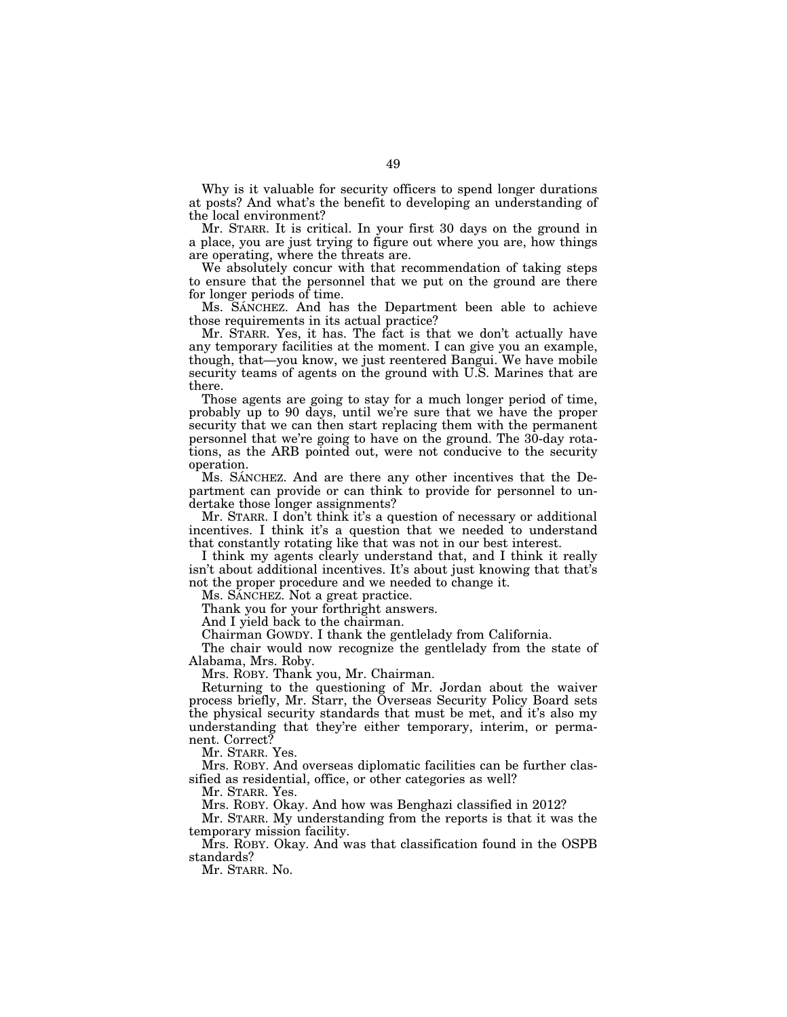Why is it valuable for security officers to spend longer durations at posts? And what's the benefit to developing an understanding of the local environment?

Mr. STARR. It is critical. In your first 30 days on the ground in a place, you are just trying to figure out where you are, how things are operating, where the threats are.

We absolutely concur with that recommendation of taking steps to ensure that the personnel that we put on the ground are there for longer periods of time.

Ms. SANCHEZ. And has the Department been able to achieve those requirements in its actual practice?

Mr. STARR. Yes, it has. The fact is that we don't actually have any temporary facilities at the moment. I can give you an example, though, that—you know, we just reentered Bangui. We have mobile security teams of agents on the ground with U.S. Marines that are there.

Those agents are going to stay for a much longer period of time, probably up to 90 days, until we're sure that we have the proper security that we can then start replacing them with the permanent personnel that we're going to have on the ground. The 30-day rotations, as the ARB pointed out, were not conducive to the security operation.

Ms. SANCHEZ. And are there any other incentives that the Department can provide or can think to provide for personnel to undertake those longer assignments?

Mr. STARR. I don't think it's a question of necessary or additional incentives. I think it's a question that we needed to understand that constantly rotating like that was not in our best interest.

I think my agents clearly understand that, and I think it really isn't about additional incentives. It's about just knowing that that's not the proper procedure and we needed to change it.

Ms. SANCHEZ. Not a great practice.

Thank you for your forthright answers.

And I yield back to the chairman.

Chairman GOWDY. I thank the gentlelady from California.

The chair would now recognize the gentlelady from the state of Alabama, Mrs. Roby.

Mrs. ROBY. Thank you, Mr. Chairman.

Returning to the questioning of Mr. Jordan about the waiver process briefly, Mr. Starr, the Overseas Security Policy Board sets the physical security standards that must be met, and it's also my understanding that they're either temporary, interim, or permanent. Correct?

Mr. STARR. Yes.

Mrs. ROBY. And overseas diplomatic facilities can be further classified as residential, office, or other categories as well?

Mr. STARR. Yes.

Mrs. ROBY. Okay. And how was Benghazi classified in 2012?

Mr. STARR. My understanding from the reports is that it was the temporary mission facility.

Mrs. ROBY. Okay. And was that classification found in the OSPB standards?

Mr. STARR. No.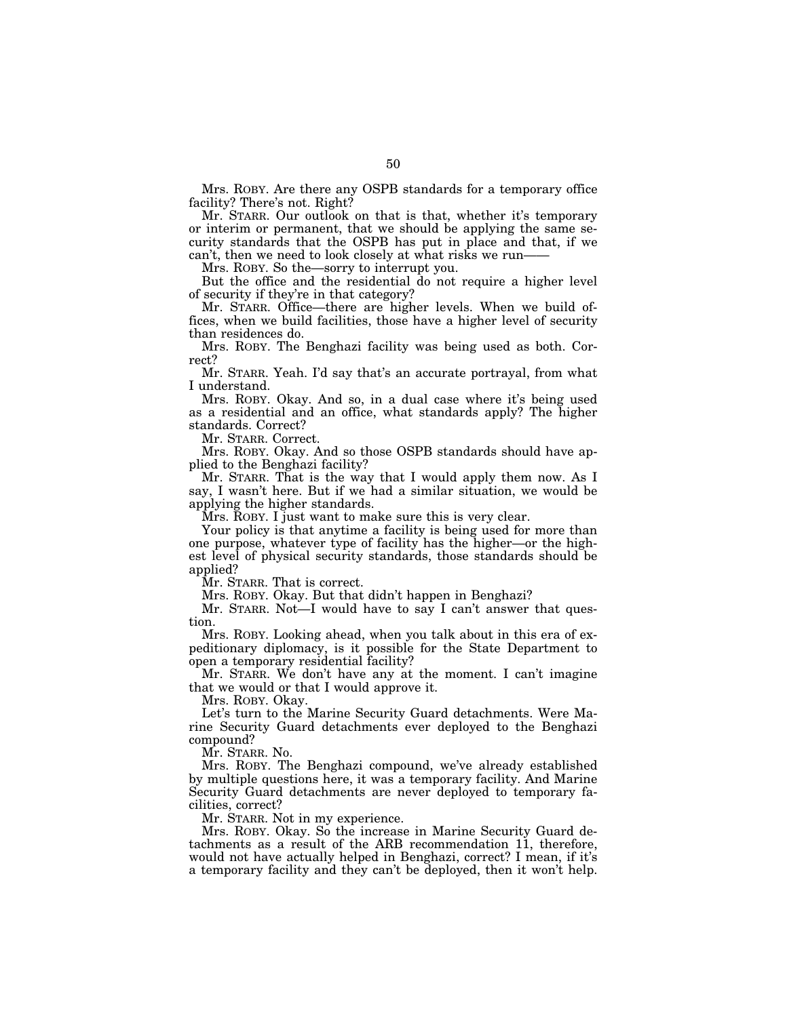Mrs. ROBY. Are there any OSPB standards for a temporary office facility? There's not. Right?

Mr. STARR. Our outlook on that is that, whether it's temporary or interim or permanent, that we should be applying the same security standards that the OSPB has put in place and that, if we can't, then we need to look closely at what risks we run-

Mrs. ROBY. So the—sorry to interrupt you.

But the office and the residential do not require a higher level of security if they're in that category?

Mr. STARR. Office—there are higher levels. When we build offices, when we build facilities, those have a higher level of security than residences do.

Mrs. ROBY. The Benghazi facility was being used as both. Correct?

Mr. STARR. Yeah. I'd say that's an accurate portrayal, from what I understand.

Mrs. ROBY. Okay. And so, in a dual case where it's being used as a residential and an office, what standards apply? The higher standards. Correct?

Mr. STARR. Correct.

Mrs. ROBY. Okay. And so those OSPB standards should have applied to the Benghazi facility?

Mr. STARR. That is the way that I would apply them now. As I say, I wasn't here. But if we had a similar situation, we would be applying the higher standards.

Mrs. ROBY. I just want to make sure this is very clear.

Your policy is that anytime a facility is being used for more than one purpose, whatever type of facility has the higher—or the highest level of physical security standards, those standards should be applied?

Mr. STARR. That is correct.

Mrs. ROBY. Okay. But that didn't happen in Benghazi?

Mr. STARR. Not—I would have to say I can't answer that question.

Mrs. ROBY. Looking ahead, when you talk about in this era of expeditionary diplomacy, is it possible for the State Department to open a temporary residential facility?

Mr. STARR. We don't have any at the moment. I can't imagine that we would or that I would approve it.

Mrs. ROBY. Okay.

Let's turn to the Marine Security Guard detachments. Were Marine Security Guard detachments ever deployed to the Benghazi compound?

Mr. STARR. No.

Mrs. ROBY. The Benghazi compound, we've already established by multiple questions here, it was a temporary facility. And Marine Security Guard detachments are never deployed to temporary facilities, correct?

Mr. STARR. Not in my experience.

Mrs. ROBY. Okay. So the increase in Marine Security Guard detachments as a result of the ARB recommendation 11, therefore, would not have actually helped in Benghazi, correct? I mean, if it's a temporary facility and they can't be deployed, then it won't help.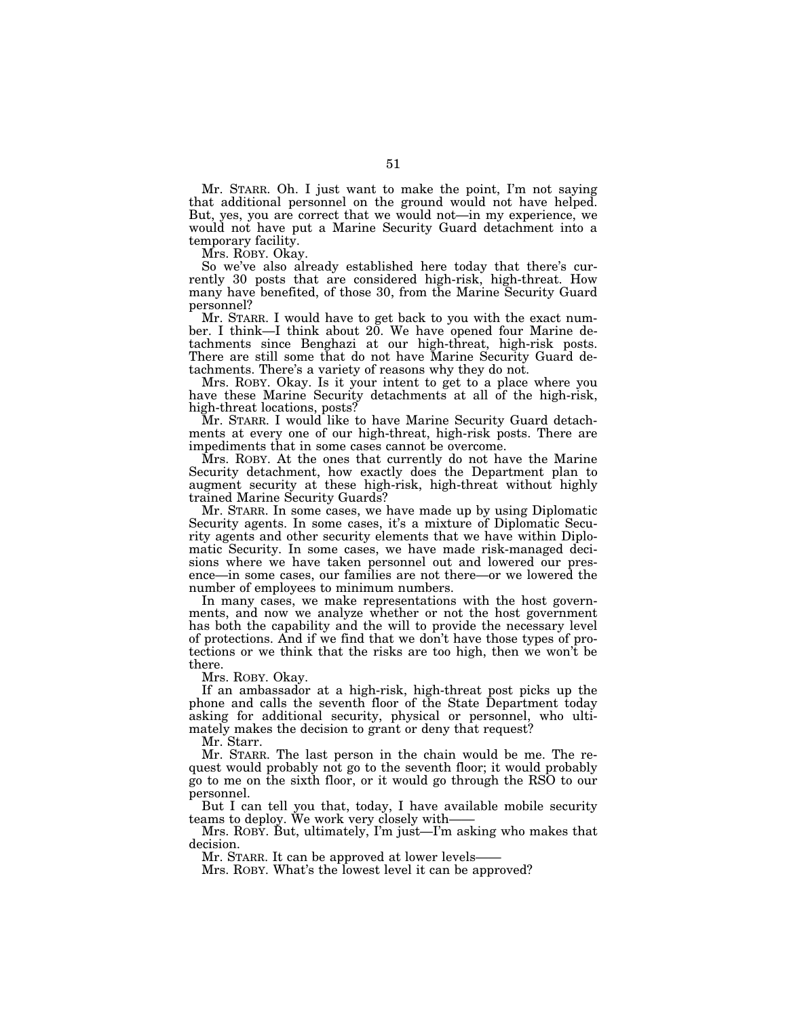Mr. STARR. Oh. I just want to make the point, I'm not saying that additional personnel on the ground would not have helped. But, yes, you are correct that we would not—in my experience, we would not have put a Marine Security Guard detachment into a temporary facility.

Mrs. ROBY. Okay.

So we've also already established here today that there's currently 30 posts that are considered high-risk, high-threat. How many have benefited, of those 30, from the Marine Security Guard personnel?

Mr. STARR. I would have to get back to you with the exact number. I think—I think about 20. We have opened four Marine detachments since Benghazi at our high-threat, high-risk posts. There are still some that do not have Marine Security Guard detachments. There's a variety of reasons why they do not.

Mrs. ROBY. Okay. Is it your intent to get to a place where you have these Marine Security detachments at all of the high-risk, high-threat locations, posts?

Mr. STARR. I would like to have Marine Security Guard detachments at every one of our high-threat, high-risk posts. There are impediments that in some cases cannot be overcome.

Mrs. ROBY. At the ones that currently do not have the Marine Security detachment, how exactly does the Department plan to augment security at these high-risk, high-threat without highly trained Marine Security Guards?

Mr. STARR. In some cases, we have made up by using Diplomatic Security agents. In some cases, it's a mixture of Diplomatic Security agents and other security elements that we have within Diplomatic Security. In some cases, we have made risk-managed decisions where we have taken personnel out and lowered our presence—in some cases, our families are not there—or we lowered the number of employees to minimum numbers.

In many cases, we make representations with the host governments, and now we analyze whether or not the host government has both the capability and the will to provide the necessary level of protections. And if we find that we don't have those types of protections or we think that the risks are too high, then we won't be there.

Mrs. ROBY. Okay.

If an ambassador at a high-risk, high-threat post picks up the phone and calls the seventh floor of the State Department today asking for additional security, physical or personnel, who ultimately makes the decision to grant or deny that request?

Mr. Starr.

Mr. STARR. The last person in the chain would be me. The request would probably not go to the seventh floor; it would probably go to me on the sixth floor, or it would go through the RSO to our personnel.

But I can tell you that, today, I have available mobile security teams to deploy. We work very closely with——

Mrs. ROBY. But, ultimately, I'm just—I'm asking who makes that decision.

Mr. STARR. It can be approved at lower levels-

Mrs. ROBY. What's the lowest level it can be approved?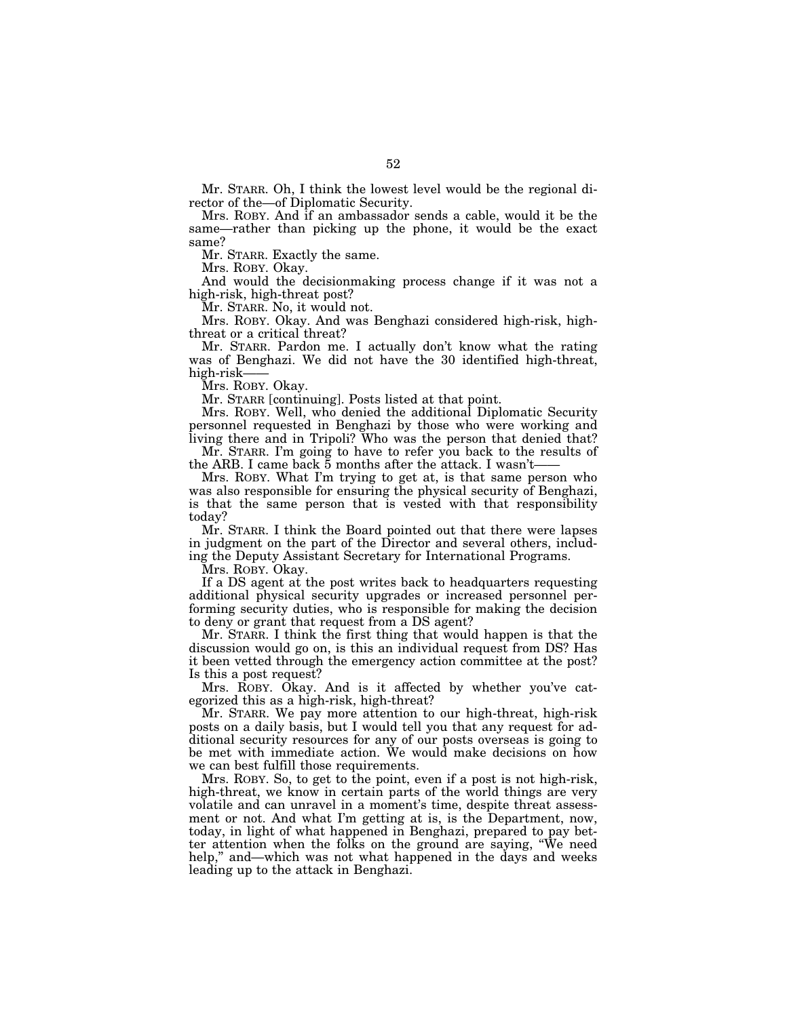Mr. STARR. Oh, I think the lowest level would be the regional director of the—of Diplomatic Security.

Mrs. ROBY. And if an ambassador sends a cable, would it be the same—rather than picking up the phone, it would be the exact same?

Mr. STARR. Exactly the same.

Mrs. ROBY. Okay.

And would the decisionmaking process change if it was not a high-risk, high-threat post?

Mr. STARR. No, it would not.

Mrs. ROBY. Okay. And was Benghazi considered high-risk, highthreat or a critical threat?

Mr. STARR. Pardon me. I actually don't know what the rating was of Benghazi. We did not have the 30 identified high-threat, high-risk——

Mrs. ROBY. Okay.

Mr. STARR [continuing]. Posts listed at that point.

Mrs. ROBY. Well, who denied the additional Diplomatic Security personnel requested in Benghazi by those who were working and living there and in Tripoli? Who was the person that denied that?

Mr. STARR. I'm going to have to refer you back to the results of the ARB. I came back  $\bar{5}$  months after the attack. I wasn't-

Mrs. ROBY. What I'm trying to get at, is that same person who was also responsible for ensuring the physical security of Benghazi, is that the same person that is vested with that responsibility today?

Mr. STARR. I think the Board pointed out that there were lapses in judgment on the part of the Director and several others, including the Deputy Assistant Secretary for International Programs.

Mrs. ROBY. Okay.

If a DS agent at the post writes back to headquarters requesting additional physical security upgrades or increased personnel performing security duties, who is responsible for making the decision to deny or grant that request from a DS agent?

Mr. STARR. I think the first thing that would happen is that the discussion would go on, is this an individual request from DS? Has it been vetted through the emergency action committee at the post? Is this a post request?

Mrs. ROBY. Okay. And is it affected by whether you've categorized this as a high-risk, high-threat?

Mr. STARR. We pay more attention to our high-threat, high-risk posts on a daily basis, but I would tell you that any request for additional security resources for any of our posts overseas is going to be met with immediate action. We would make decisions on how we can best fulfill those requirements.

Mrs. ROBY. So, to get to the point, even if a post is not high-risk, high-threat, we know in certain parts of the world things are very volatile and can unravel in a moment's time, despite threat assessment or not. And what I'm getting at is, is the Department, now, today, in light of what happened in Benghazi, prepared to pay better attention when the folks on the ground are saying, ''We need help," and—which was not what happened in the days and weeks leading up to the attack in Benghazi.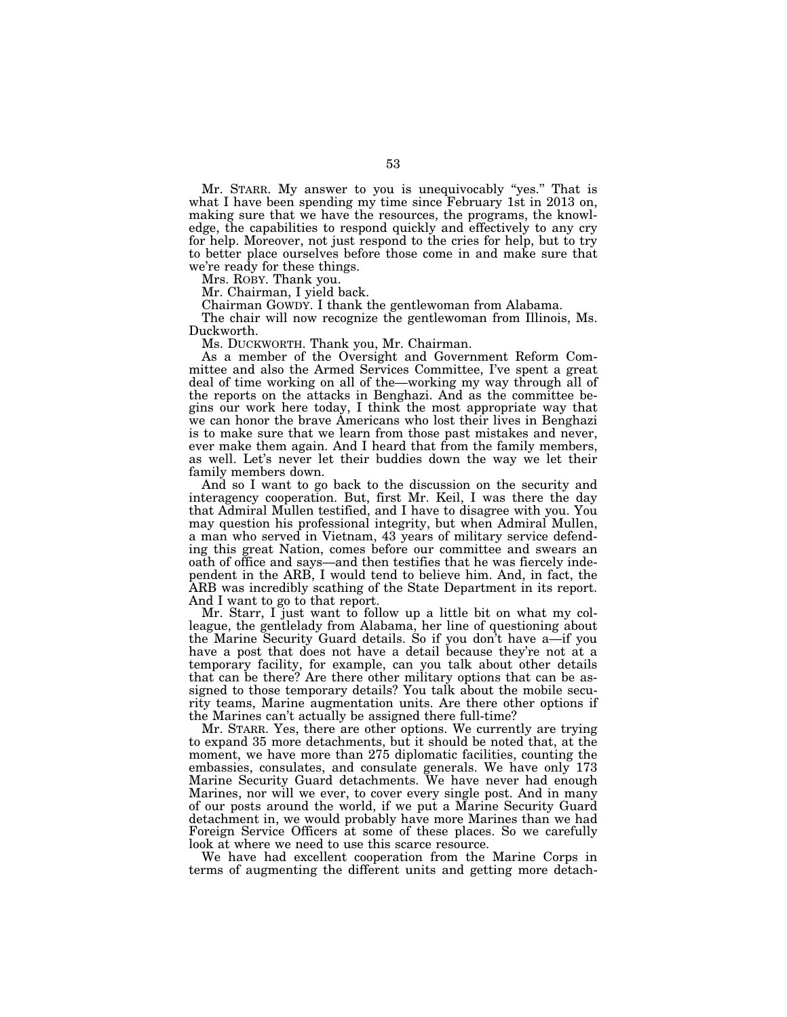Mr. STARR. My answer to you is unequivocably ''yes.'' That is what I have been spending my time since February 1st in 2013 on, making sure that we have the resources, the programs, the knowledge, the capabilities to respond quickly and effectively to any cry for help. Moreover, not just respond to the cries for help, but to try to better place ourselves before those come in and make sure that we're ready for these things.

Mrs. ROBY. Thank you.

Mr. Chairman, I yield back.

Chairman GOWDY. I thank the gentlewoman from Alabama.

The chair will now recognize the gentlewoman from Illinois, Ms. Duckworth.

Ms. DUCKWORTH. Thank you, Mr. Chairman.

As a member of the Oversight and Government Reform Committee and also the Armed Services Committee, I've spent a great deal of time working on all of the—working my way through all of the reports on the attacks in Benghazi. And as the committee begins our work here today, I think the most appropriate way that we can honor the brave Americans who lost their lives in Benghazi is to make sure that we learn from those past mistakes and never, ever make them again. And I heard that from the family members, as well. Let's never let their buddies down the way we let their family members down.

And so I want to go back to the discussion on the security and interagency cooperation. But, first Mr. Keil, I was there the day that Admiral Mullen testified, and I have to disagree with you. You may question his professional integrity, but when Admiral Mullen, a man who served in Vietnam, 43 years of military service defending this great Nation, comes before our committee and swears an oath of office and says—and then testifies that he was fiercely independent in the ARB, I would tend to believe him. And, in fact, the ARB was incredibly scathing of the State Department in its report. And I want to go to that report.

Mr. Starr, I just want to follow up a little bit on what my colleague, the gentlelady from Alabama, her line of questioning about the Marine Security Guard details. So if you don't have a—if you have a post that does not have a detail because they're not at a temporary facility, for example, can you talk about other details that can be there? Are there other military options that can be assigned to those temporary details? You talk about the mobile security teams, Marine augmentation units. Are there other options if the Marines can't actually be assigned there full-time?

Mr. STARR. Yes, there are other options. We currently are trying to expand 35 more detachments, but it should be noted that, at the moment, we have more than 275 diplomatic facilities, counting the embassies, consulates, and consulate generals. We have only 173 Marine Security Guard detachments. We have never had enough Marines, nor will we ever, to cover every single post. And in many of our posts around the world, if we put a Marine Security Guard detachment in, we would probably have more Marines than we had Foreign Service Officers at some of these places. So we carefully look at where we need to use this scarce resource.

We have had excellent cooperation from the Marine Corps in terms of augmenting the different units and getting more detach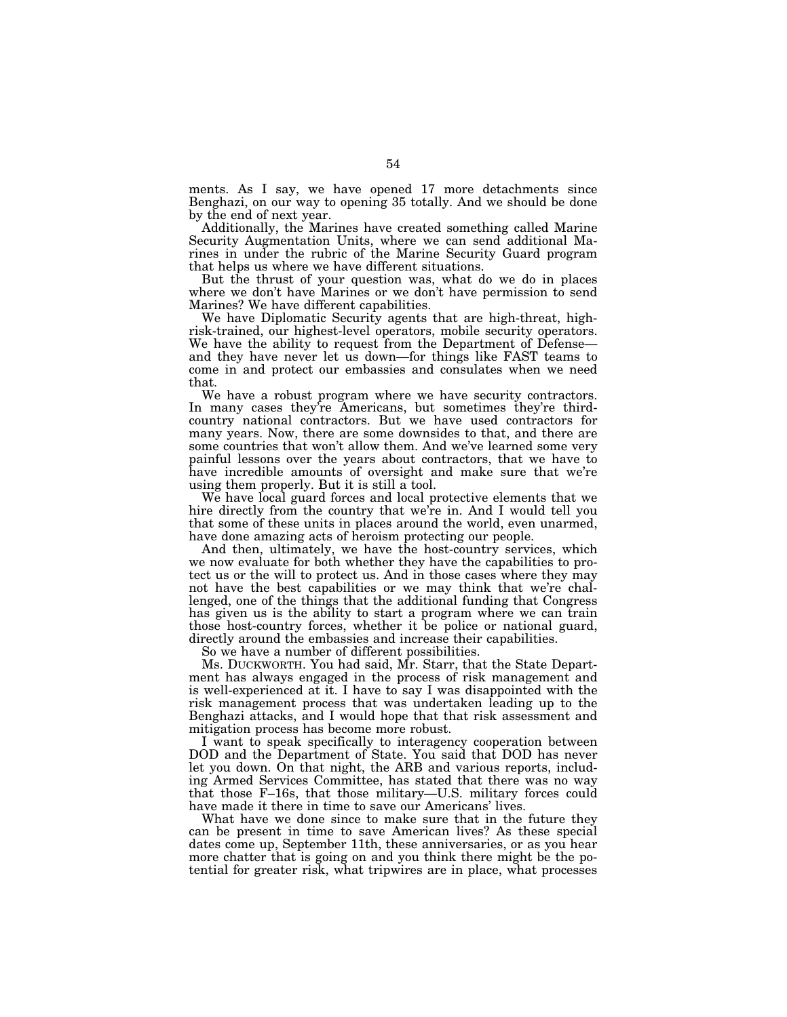ments. As I say, we have opened 17 more detachments since Benghazi, on our way to opening 35 totally. And we should be done by the end of next year.

Additionally, the Marines have created something called Marine Security Augmentation Units, where we can send additional Marines in under the rubric of the Marine Security Guard program that helps us where we have different situations.

But the thrust of your question was, what do we do in places where we don't have Marines or we don't have permission to send Marines? We have different capabilities.

We have Diplomatic Security agents that are high-threat, highrisk-trained, our highest-level operators, mobile security operators. We have the ability to request from the Department of Defense and they have never let us down—for things like FAST teams to come in and protect our embassies and consulates when we need that.

We have a robust program where we have security contractors. In many cases they're Americans, but sometimes they're thirdcountry national contractors. But we have used contractors for many years. Now, there are some downsides to that, and there are some countries that won't allow them. And we've learned some very painful lessons over the years about contractors, that we have to have incredible amounts of oversight and make sure that we're using them properly. But it is still a tool.

We have local guard forces and local protective elements that we hire directly from the country that we're in. And I would tell you that some of these units in places around the world, even unarmed, have done amazing acts of heroism protecting our people.

And then, ultimately, we have the host-country services, which we now evaluate for both whether they have the capabilities to protect us or the will to protect us. And in those cases where they may not have the best capabilities or we may think that we're challenged, one of the things that the additional funding that Congress has given us is the ability to start a program where we can train those host-country forces, whether it be police or national guard, directly around the embassies and increase their capabilities.

So we have a number of different possibilities.

Ms. DUCKWORTH. You had said, Mr. Starr, that the State Department has always engaged in the process of risk management and is well-experienced at it. I have to say I was disappointed with the risk management process that was undertaken leading up to the Benghazi attacks, and I would hope that that risk assessment and mitigation process has become more robust.

I want to speak specifically to interagency cooperation between DOD and the Department of State. You said that DOD has never let you down. On that night, the ARB and various reports, including Armed Services Committee, has stated that there was no way that those F–16s, that those military—U.S. military forces could have made it there in time to save our Americans' lives.

What have we done since to make sure that in the future they can be present in time to save American lives? As these special dates come up, September 11th, these anniversaries, or as you hear more chatter that is going on and you think there might be the potential for greater risk, what tripwires are in place, what processes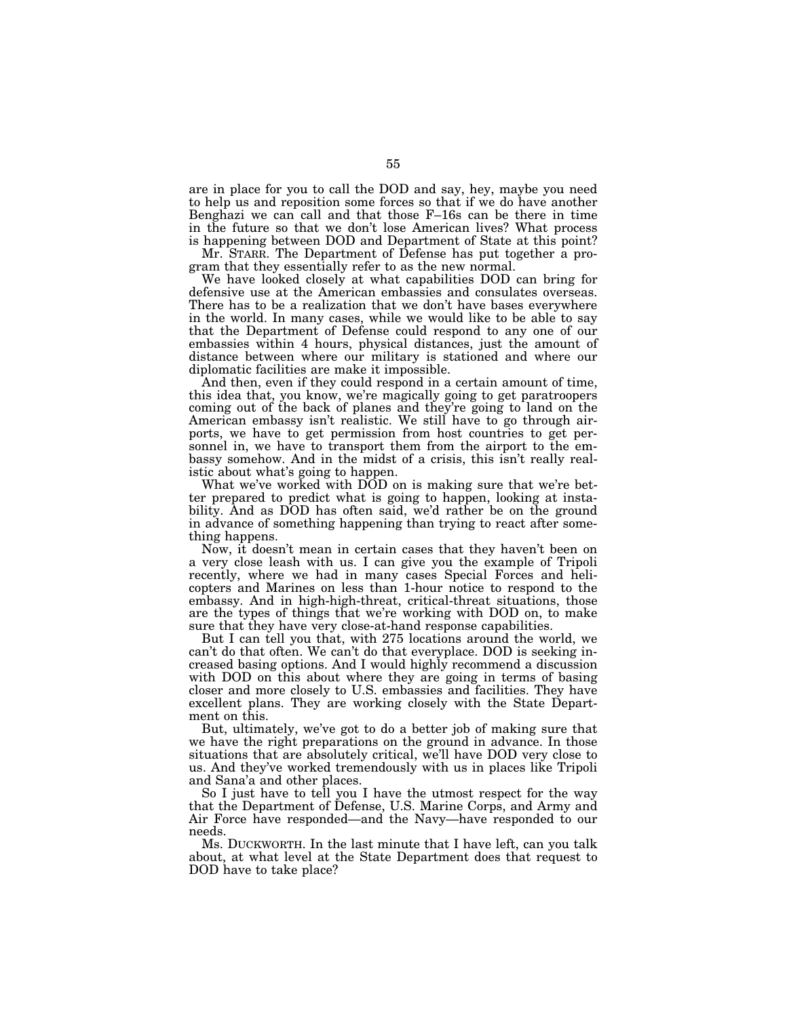are in place for you to call the DOD and say, hey, maybe you need to help us and reposition some forces so that if we do have another Benghazi we can call and that those F–16s can be there in time in the future so that we don't lose American lives? What process is happening between DOD and Department of State at this point?

Mr. STARR. The Department of Defense has put together a program that they essentially refer to as the new normal.

We have looked closely at what capabilities DOD can bring for defensive use at the American embassies and consulates overseas. There has to be a realization that we don't have bases everywhere in the world. In many cases, while we would like to be able to say that the Department of Defense could respond to any one of our embassies within 4 hours, physical distances, just the amount of distance between where our military is stationed and where our diplomatic facilities are make it impossible.

And then, even if they could respond in a certain amount of time, this idea that, you know, we're magically going to get paratroopers coming out of the back of planes and they're going to land on the American embassy isn't realistic. We still have to go through airports, we have to get permission from host countries to get personnel in, we have to transport them from the airport to the embassy somehow. And in the midst of a crisis, this isn't really realistic about what's going to happen.

What we've worked with DOD on is making sure that we're better prepared to predict what is going to happen, looking at instability. And as DOD has often said, we'd rather be on the ground in advance of something happening than trying to react after something happens.

Now, it doesn't mean in certain cases that they haven't been on a very close leash with us. I can give you the example of Tripoli recently, where we had in many cases Special Forces and helicopters and Marines on less than 1-hour notice to respond to the embassy. And in high-high-threat, critical-threat situations, those are the types of things that we're working with DOD on, to make sure that they have very close-at-hand response capabilities.

But I can tell you that, with 275 locations around the world, we can't do that often. We can't do that everyplace. DOD is seeking increased basing options. And I would highly recommend a discussion with DOD on this about where they are going in terms of basing closer and more closely to U.S. embassies and facilities. They have excellent plans. They are working closely with the State Department on this.

But, ultimately, we've got to do a better job of making sure that we have the right preparations on the ground in advance. In those situations that are absolutely critical, we'll have DOD very close to us. And they've worked tremendously with us in places like Tripoli and Sana'a and other places.

So I just have to tell you I have the utmost respect for the way that the Department of Defense, U.S. Marine Corps, and Army and Air Force have responded—and the Navy—have responded to our needs.

Ms. DUCKWORTH. In the last minute that I have left, can you talk about, at what level at the State Department does that request to DOD have to take place?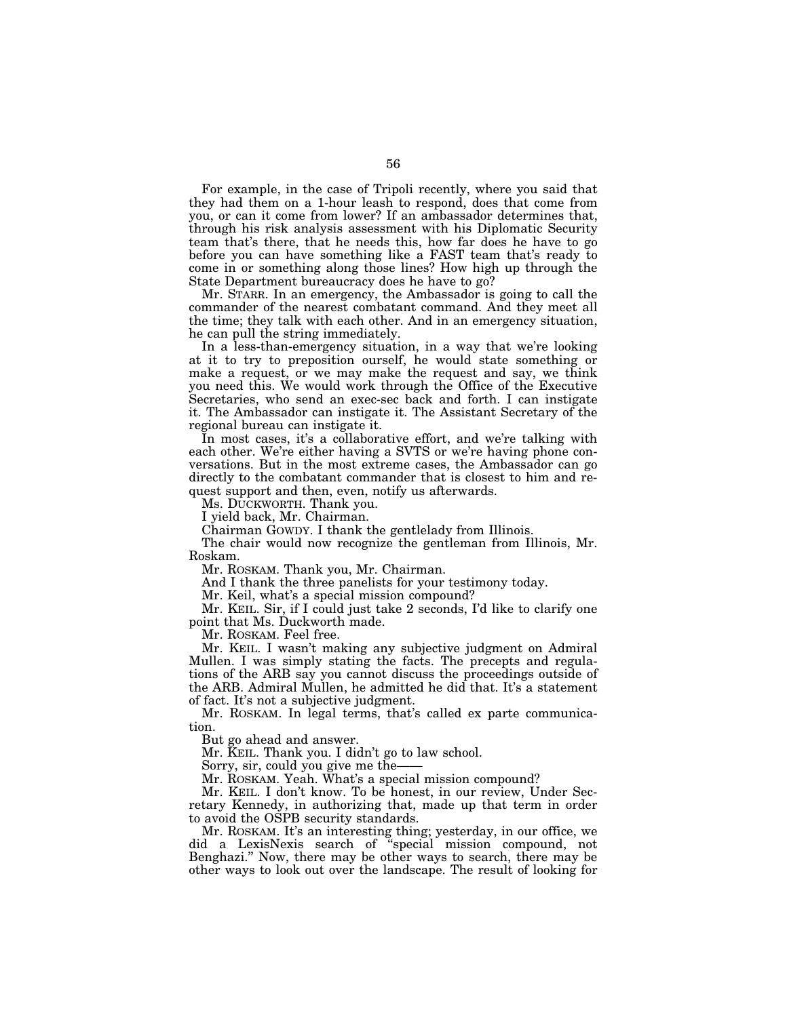For example, in the case of Tripoli recently, where you said that they had them on a 1-hour leash to respond, does that come from you, or can it come from lower? If an ambassador determines that, through his risk analysis assessment with his Diplomatic Security team that's there, that he needs this, how far does he have to go before you can have something like a FAST team that's ready to come in or something along those lines? How high up through the State Department bureaucracy does he have to go?

Mr. STARR. In an emergency, the Ambassador is going to call the commander of the nearest combatant command. And they meet all the time; they talk with each other. And in an emergency situation, he can pull the string immediately.

In a less-than-emergency situation, in a way that we're looking at it to try to preposition ourself, he would state something or make a request, or we may make the request and say, we think you need this. We would work through the Office of the Executive Secretaries, who send an exec-sec back and forth. I can instigate it. The Ambassador can instigate it. The Assistant Secretary of the regional bureau can instigate it.

In most cases, it's a collaborative effort, and we're talking with each other. We're either having a SVTS or we're having phone conversations. But in the most extreme cases, the Ambassador can go directly to the combatant commander that is closest to him and request support and then, even, notify us afterwards.

Ms. DUCKWORTH. Thank you.

I yield back, Mr. Chairman.

Chairman GOWDY. I thank the gentlelady from Illinois.

The chair would now recognize the gentleman from Illinois, Mr. Roskam.

Mr. ROSKAM. Thank you, Mr. Chairman.

And I thank the three panelists for your testimony today.

Mr. Keil, what's a special mission compound?

Mr. KEIL. Sir, if I could just take 2 seconds, I'd like to clarify one point that Ms. Duckworth made.

Mr. ROSKAM. Feel free.

Mr. KEIL. I wasn't making any subjective judgment on Admiral Mullen. I was simply stating the facts. The precepts and regulations of the ARB say you cannot discuss the proceedings outside of the ARB. Admiral Mullen, he admitted he did that. It's a statement of fact. It's not a subjective judgment.

Mr. ROSKAM. In legal terms, that's called ex parte communication.

But go ahead and answer.

Mr. KEIL. Thank you. I didn't go to law school.

Sorry, sir, could you give me the——

Mr. ROSKAM. Yeah. What's a special mission compound?

Mr. KEIL. I don't know. To be honest, in our review, Under Secretary Kennedy, in authorizing that, made up that term in order to avoid the OSPB security standards.

Mr. ROSKAM. It's an interesting thing; yesterday, in our office, we did a LexisNexis search of ''special mission compound, not Benghazi.'' Now, there may be other ways to search, there may be other ways to look out over the landscape. The result of looking for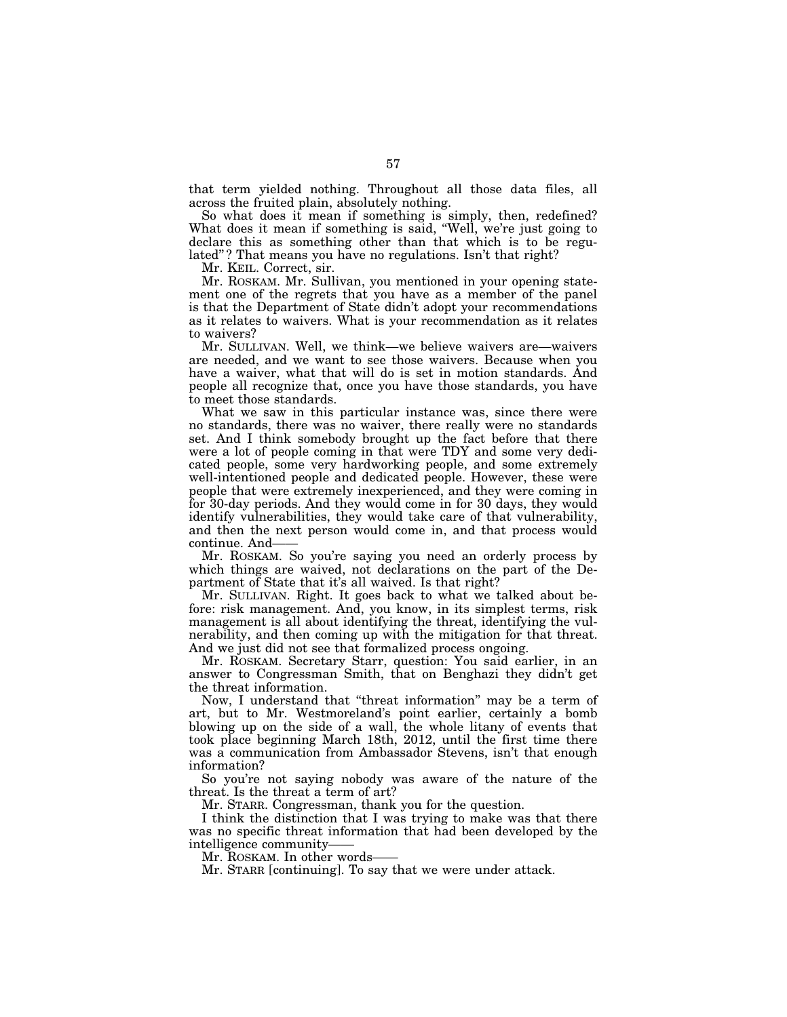that term yielded nothing. Throughout all those data files, all across the fruited plain, absolutely nothing.

So what does it mean if something is simply, then, redefined? What does it mean if something is said, ''Well, we're just going to declare this as something other than that which is to be regulated"? That means you have no regulations. Isn't that right?

Mr. KEIL. Correct, sir.

Mr. ROSKAM. Mr. Sullivan, you mentioned in your opening statement one of the regrets that you have as a member of the panel is that the Department of State didn't adopt your recommendations as it relates to waivers. What is your recommendation as it relates to waivers?

Mr. SULLIVAN. Well, we think—we believe waivers are—waivers are needed, and we want to see those waivers. Because when you have a waiver, what that will do is set in motion standards. And people all recognize that, once you have those standards, you have to meet those standards.

What we saw in this particular instance was, since there were no standards, there was no waiver, there really were no standards set. And I think somebody brought up the fact before that there were a lot of people coming in that were TDY and some very dedicated people, some very hardworking people, and some extremely well-intentioned people and dedicated people. However, these were people that were extremely inexperienced, and they were coming in for 30-day periods. And they would come in for 30 days, they would identify vulnerabilities, they would take care of that vulnerability, and then the next person would come in, and that process would continue. And-

Mr. ROSKAM. So you're saying you need an orderly process by which things are waived, not declarations on the part of the Department of State that it's all waived. Is that right?

Mr. SULLIVAN. Right. It goes back to what we talked about before: risk management. And, you know, in its simplest terms, risk management is all about identifying the threat, identifying the vulnerability, and then coming up with the mitigation for that threat. And we just did not see that formalized process ongoing.

Mr. ROSKAM. Secretary Starr, question: You said earlier, in an answer to Congressman Smith, that on Benghazi they didn't get the threat information.

Now, I understand that ''threat information'' may be a term of art, but to Mr. Westmoreland's point earlier, certainly a bomb blowing up on the side of a wall, the whole litany of events that took place beginning March 18th, 2012, until the first time there was a communication from Ambassador Stevens, isn't that enough information?

So you're not saying nobody was aware of the nature of the threat. Is the threat a term of art?

Mr. STARR. Congressman, thank you for the question.

I think the distinction that I was trying to make was that there was no specific threat information that had been developed by the intelligence community——

Mr. ROSKAM. In other words-

Mr. STARR [continuing]. To say that we were under attack.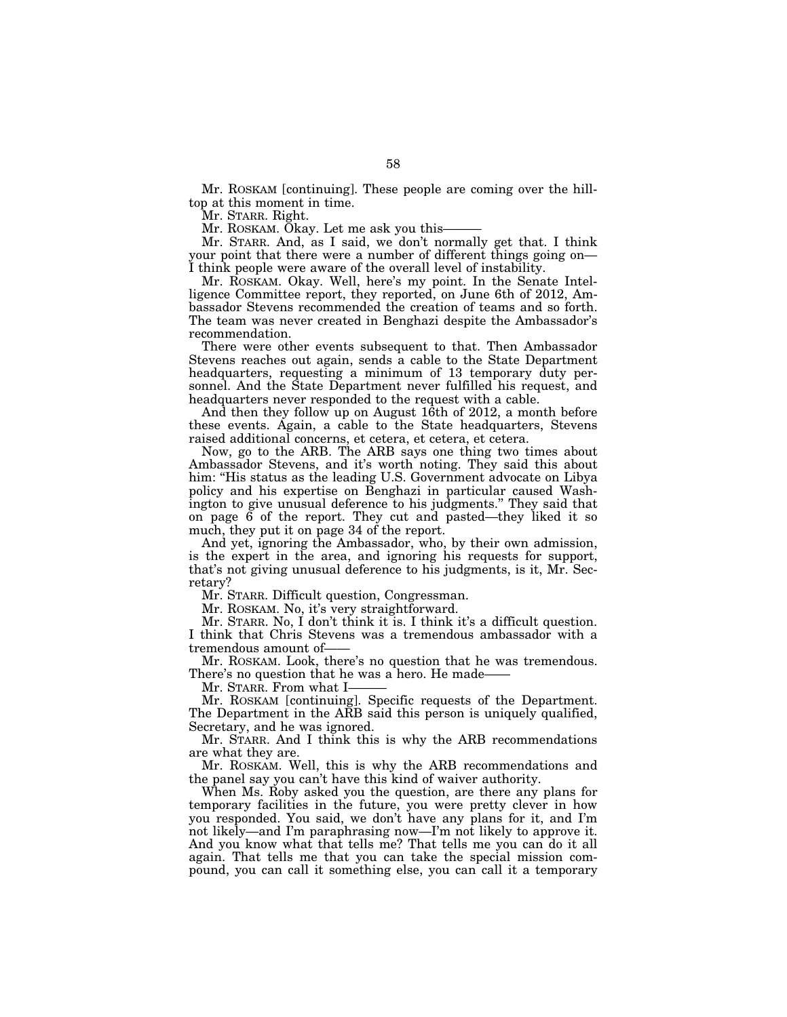Mr. ROSKAM [continuing]. These people are coming over the hilltop at this moment in time.

Mr. STARR. Right.

Mr. ROSKAM. Okay. Let me ask you this-

Mr. STARR. And, as I said, we don't normally get that. I think your point that there were a number of different things going on— I think people were aware of the overall level of instability.

Mr. ROSKAM. Okay. Well, here's my point. In the Senate Intelligence Committee report, they reported, on June 6th of 2012, Ambassador Stevens recommended the creation of teams and so forth. The team was never created in Benghazi despite the Ambassador's recommendation.

There were other events subsequent to that. Then Ambassador Stevens reaches out again, sends a cable to the State Department headquarters, requesting a minimum of 13 temporary duty personnel. And the State Department never fulfilled his request, and headquarters never responded to the request with a cable.

And then they follow up on August 16th of 2012, a month before these events. Again, a cable to the State headquarters, Stevens raised additional concerns, et cetera, et cetera, et cetera.

Now, go to the ARB. The ARB says one thing two times about Ambassador Stevens, and it's worth noting. They said this about him: "His status as the leading U.S. Government advocate on Libya policy and his expertise on Benghazi in particular caused Washington to give unusual deference to his judgments.'' They said that on page 6 of the report. They cut and pasted—they liked it so much, they put it on page 34 of the report.

And yet, ignoring the Ambassador, who, by their own admission, is the expert in the area, and ignoring his requests for support, that's not giving unusual deference to his judgments, is it, Mr. Secretary?

Mr. STARR. Difficult question, Congressman.

Mr. ROSKAM. No, it's very straightforward.

Mr. STARR. No, I don't think it is. I think it's a difficult question. I think that Chris Stevens was a tremendous ambassador with a tremendous amount of-

Mr. ROSKAM. Look, there's no question that he was tremendous. There's no question that he was a hero. He made-

Mr. STARR. From what I-

Mr. ROSKAM [continuing]. Specific requests of the Department. The Department in the ARB said this person is uniquely qualified, Secretary, and he was ignored.

Mr. STARR. And I think this is why the ARB recommendations are what they are.

Mr. ROSKAM. Well, this is why the ARB recommendations and the panel say you can't have this kind of waiver authority.

When Ms. Roby asked you the question, are there any plans for temporary facilities in the future, you were pretty clever in how you responded. You said, we don't have any plans for it, and I'm not likely—and I'm paraphrasing now—I'm not likely to approve it. And you know what that tells me? That tells me you can do it all again. That tells me that you can take the special mission compound, you can call it something else, you can call it a temporary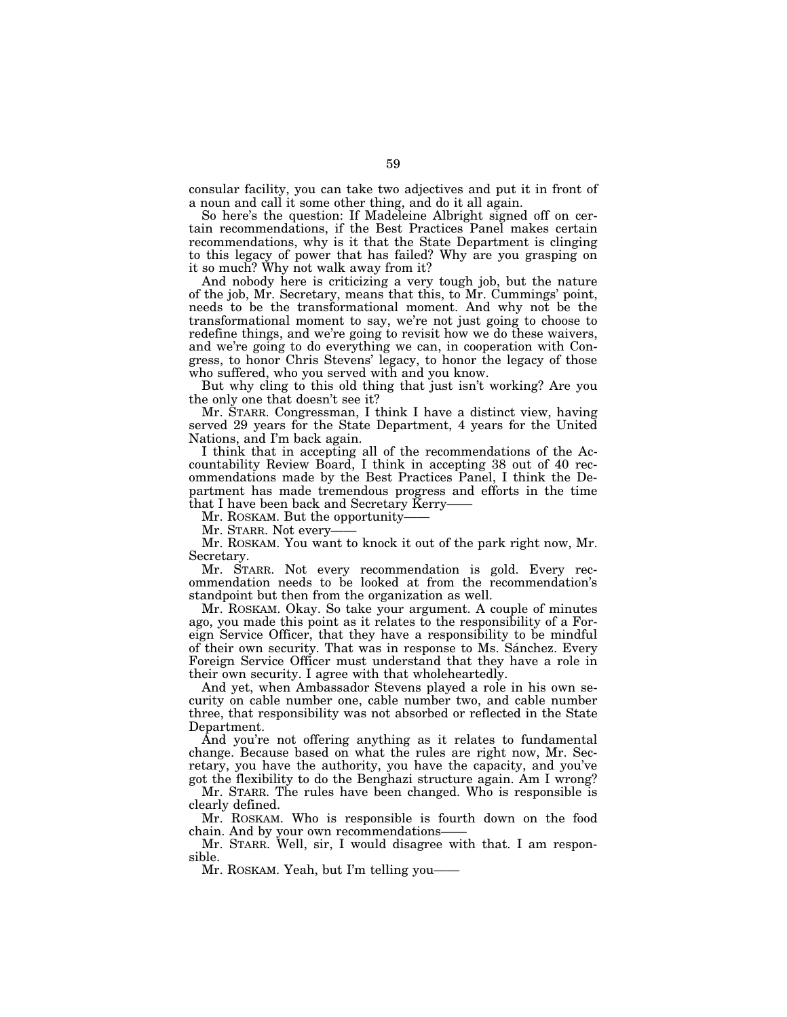consular facility, you can take two adjectives and put it in front of a noun and call it some other thing, and do it all again.

So here's the question: If Madeleine Albright signed off on certain recommendations, if the Best Practices Panel makes certain recommendations, why is it that the State Department is clinging to this legacy of power that has failed? Why are you grasping on it so much? Why not walk away from it?

And nobody here is criticizing a very tough job, but the nature of the job, Mr. Secretary, means that this, to Mr. Cummings' point, needs to be the transformational moment. And why not be the transformational moment to say, we're not just going to choose to redefine things, and we're going to revisit how we do these waivers, and we're going to do everything we can, in cooperation with Congress, to honor Chris Stevens' legacy, to honor the legacy of those who suffered, who you served with and you know.

But why cling to this old thing that just isn't working? Are you the only one that doesn't see it?

Mr. STARR. Congressman, I think I have a distinct view, having served 29 years for the State Department, 4 years for the United Nations, and I'm back again.

I think that in accepting all of the recommendations of the Accountability Review Board, I think in accepting 38 out of 40 recommendations made by the Best Practices Panel, I think the Department has made tremendous progress and efforts in the time that I have been back and Secretary Kerry-

Mr. ROSKAM. But the opportunity-

Mr. STARR. Not every-

Mr. ROSKAM. You want to knock it out of the park right now, Mr. Secretary.

Mr. STARR. Not every recommendation is gold. Every recommendation needs to be looked at from the recommendation's standpoint but then from the organization as well.

Mr. ROSKAM. Okay. So take your argument. A couple of minutes ago, you made this point as it relates to the responsibility of a Foreign Service Officer, that they have a responsibility to be mindful of their own security. That was in response to Ms. Sánchez. Every Foreign Service Officer must understand that they have a role in their own security. I agree with that wholeheartedly.

And yet, when Ambassador Stevens played a role in his own security on cable number one, cable number two, and cable number three, that responsibility was not absorbed or reflected in the State Department.

And you're not offering anything as it relates to fundamental change. Because based on what the rules are right now, Mr. Secretary, you have the authority, you have the capacity, and you've got the flexibility to do the Benghazi structure again. Am I wrong?

Mr. STARR. The rules have been changed. Who is responsible is clearly defined.

Mr. ROSKAM. Who is responsible is fourth down on the food chain. And by your own recommendations-

Mr. STARR. Well, sir, I would disagree with that. I am responsible.

Mr. ROSKAM. Yeah, but I'm telling you——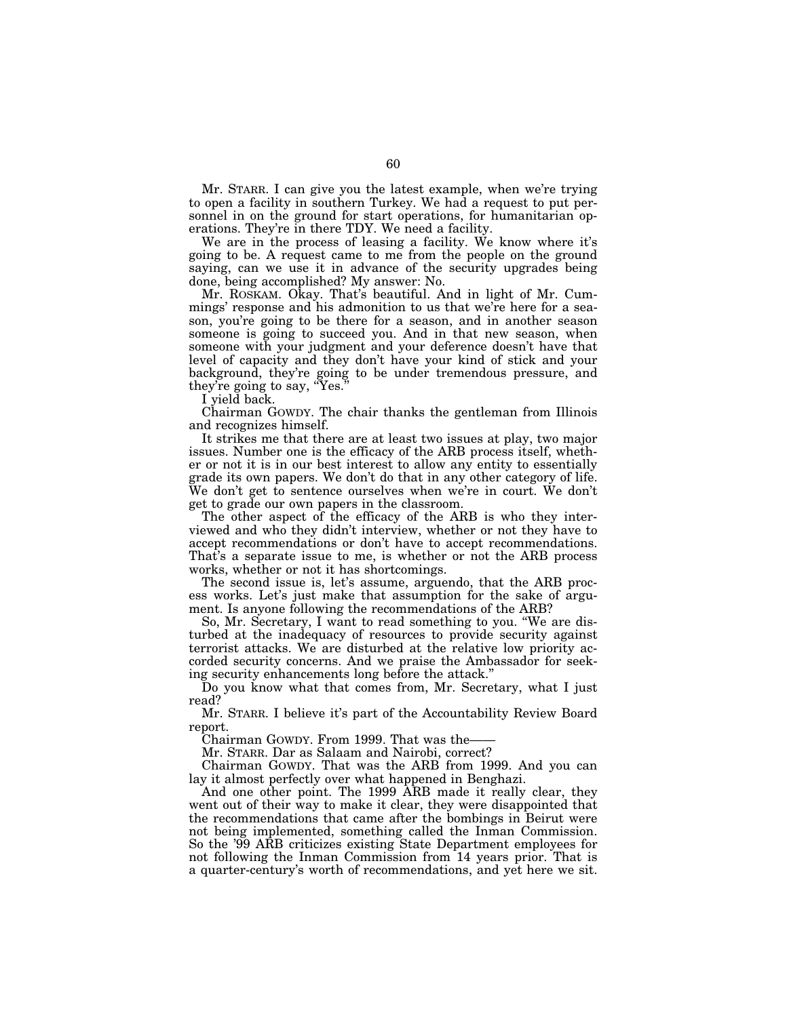Mr. STARR. I can give you the latest example, when we're trying to open a facility in southern Turkey. We had a request to put personnel in on the ground for start operations, for humanitarian operations. They're in there TDY. We need a facility.

We are in the process of leasing a facility. We know where it's going to be. A request came to me from the people on the ground saying, can we use it in advance of the security upgrades being done, being accomplished? My answer: No.

Mr. ROSKAM. Okay. That's beautiful. And in light of Mr. Cummings' response and his admonition to us that we're here for a season, you're going to be there for a season, and in another season someone is going to succeed you. And in that new season, when someone with your judgment and your deference doesn't have that level of capacity and they don't have your kind of stick and your background, they're going to be under tremendous pressure, and they're going to say, "Yes."

I yield back.

Chairman GOWDY. The chair thanks the gentleman from Illinois and recognizes himself.

It strikes me that there are at least two issues at play, two major issues. Number one is the efficacy of the ARB process itself, whether or not it is in our best interest to allow any entity to essentially grade its own papers. We don't do that in any other category of life. We don't get to sentence ourselves when we're in court. We don't get to grade our own papers in the classroom.

The other aspect of the efficacy of the ARB is who they interviewed and who they didn't interview, whether or not they have to accept recommendations or don't have to accept recommendations. That's a separate issue to me, is whether or not the ARB process works, whether or not it has shortcomings.

The second issue is, let's assume, arguendo, that the ARB process works. Let's just make that assumption for the sake of argument. Is anyone following the recommendations of the ARB?

So, Mr. Secretary, I want to read something to you. ''We are disturbed at the inadequacy of resources to provide security against terrorist attacks. We are disturbed at the relative low priority accorded security concerns. And we praise the Ambassador for seeking security enhancements long before the attack.''

Do you know what that comes from, Mr. Secretary, what I just read?

Mr. STARR. I believe it's part of the Accountability Review Board report.

Chairman GOWDY. From 1999. That was the-

Mr. STARR. Dar as Salaam and Nairobi, correct?

Chairman GOWDY. That was the ARB from 1999. And you can lay it almost perfectly over what happened in Benghazi.

And one other point. The 1999 ARB made it really clear, they went out of their way to make it clear, they were disappointed that the recommendations that came after the bombings in Beirut were not being implemented, something called the Inman Commission. So the '99 ARB criticizes existing State Department employees for not following the Inman Commission from 14 years prior. That is a quarter-century's worth of recommendations, and yet here we sit.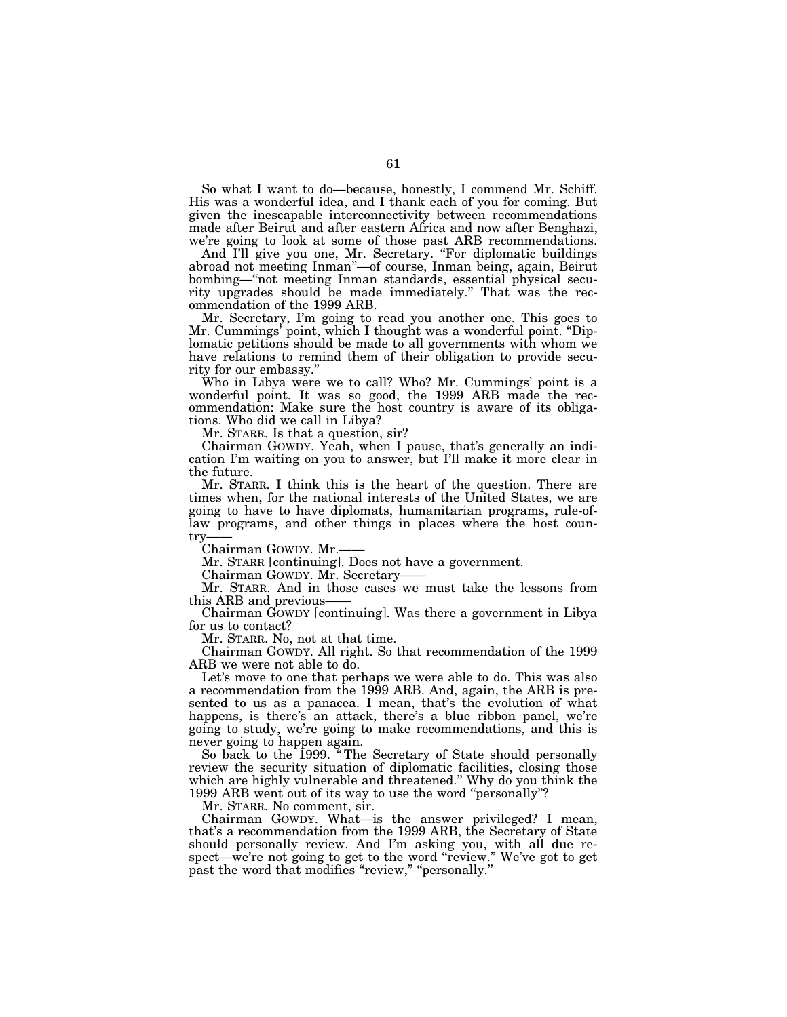So what I want to do—because, honestly, I commend Mr. Schiff. His was a wonderful idea, and I thank each of you for coming. But given the inescapable interconnectivity between recommendations made after Beirut and after eastern Africa and now after Benghazi, we're going to look at some of those past ARB recommendations.

And I'll give you one, Mr. Secretary. "For diplomatic buildings abroad not meeting Inman''—of course, Inman being, again, Beirut bombing—''not meeting Inman standards, essential physical security upgrades should be made immediately." That was the recommendation of the 1999 ARB.

Mr. Secretary, I'm going to read you another one. This goes to Mr. Cummings' point, which I thought was a wonderful point. ''Diplomatic petitions should be made to all governments with whom we have relations to remind them of their obligation to provide security for our embassy.''

Who in Libya were we to call? Who? Mr. Cummings' point is a wonderful point. It was so good, the 1999 ARB made the recommendation: Make sure the host country is aware of its obligations. Who did we call in Libya?

Mr. STARR. Is that a question, sir?

Chairman GOWDY. Yeah, when I pause, that's generally an indication I'm waiting on you to answer, but I'll make it more clear in the future.

Mr. STARR. I think this is the heart of the question. There are times when, for the national interests of the United States, we are going to have to have diplomats, humanitarian programs, rule-oflaw programs, and other things in places where the host country

Chairman GOWDY. Mr.-

Mr. STARR [continuing]. Does not have a government.

Chairman GOWDY. Mr. Secretary——

Mr. STARR. And in those cases we must take the lessons from this ARB and previous-

Chairman GOWDY [continuing]. Was there a government in Libya for us to contact?

Mr. STARR. No, not at that time.

Chairman GOWDY. All right. So that recommendation of the 1999 ARB we were not able to do.

Let's move to one that perhaps we were able to do. This was also a recommendation from the 1999 ARB. And, again, the ARB is presented to us as a panacea. I mean, that's the evolution of what happens, is there's an attack, there's a blue ribbon panel, we're going to study, we're going to make recommendations, and this is never going to happen again.

So back to the 1999. '' The Secretary of State should personally review the security situation of diplomatic facilities, closing those which are highly vulnerable and threatened.'' Why do you think the 1999 ARB went out of its way to use the word "personally"?

Mr. STARR. No comment, sir.

Chairman GOWDY. What—is the answer privileged? I mean, that's a recommendation from the 1999 ARB, the Secretary of State should personally review. And I'm asking you, with all due respect—we're not going to get to the word "review." We've got to get past the word that modifies "review," "personally."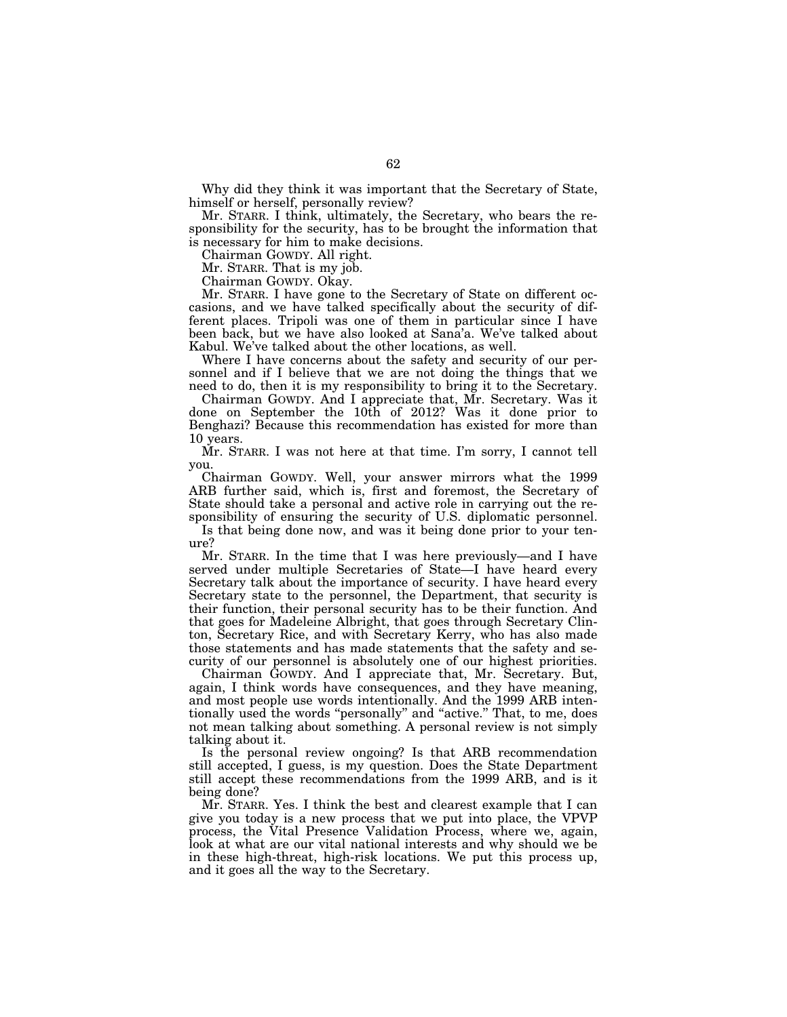Why did they think it was important that the Secretary of State, himself or herself, personally review?

Mr. STARR. I think, ultimately, the Secretary, who bears the responsibility for the security, has to be brought the information that is necessary for him to make decisions.

Chairman GOWDY. All right.

Mr. STARR. That is my job.

Chairman GOWDY. Okay.

Mr. STARR. I have gone to the Secretary of State on different occasions, and we have talked specifically about the security of different places. Tripoli was one of them in particular since I have been back, but we have also looked at Sana'a. We've talked about Kabul. We've talked about the other locations, as well.

Where I have concerns about the safety and security of our personnel and if I believe that we are not doing the things that we need to do, then it is my responsibility to bring it to the Secretary.

Chairman GOWDY. And I appreciate that, Mr. Secretary. Was it done on September the 10th of 2012? Was it done prior to Benghazi? Because this recommendation has existed for more than 10 years.

Mr. STARR. I was not here at that time. I'm sorry, I cannot tell you.

Chairman GOWDY. Well, your answer mirrors what the 1999 ARB further said, which is, first and foremost, the Secretary of State should take a personal and active role in carrying out the responsibility of ensuring the security of U.S. diplomatic personnel.

Is that being done now, and was it being done prior to your tenure?

Mr. STARR. In the time that I was here previously—and I have served under multiple Secretaries of State—I have heard every Secretary talk about the importance of security. I have heard every Secretary state to the personnel, the Department, that security is their function, their personal security has to be their function. And that goes for Madeleine Albright, that goes through Secretary Clinton, Secretary Rice, and with Secretary Kerry, who has also made those statements and has made statements that the safety and security of our personnel is absolutely one of our highest priorities.

Chairman GOWDY. And I appreciate that, Mr. Secretary. But, again, I think words have consequences, and they have meaning, and most people use words intentionally. And the 1999 ARB intentionally used the words "personally" and "active." That, to me, does not mean talking about something. A personal review is not simply talking about it.

Is the personal review ongoing? Is that ARB recommendation still accepted, I guess, is my question. Does the State Department still accept these recommendations from the 1999 ARB, and is it being done?

Mr. STARR. Yes. I think the best and clearest example that I can give you today is a new process that we put into place, the VPVP process, the Vital Presence Validation Process, where we, again, look at what are our vital national interests and why should we be in these high-threat, high-risk locations. We put this process up, and it goes all the way to the Secretary.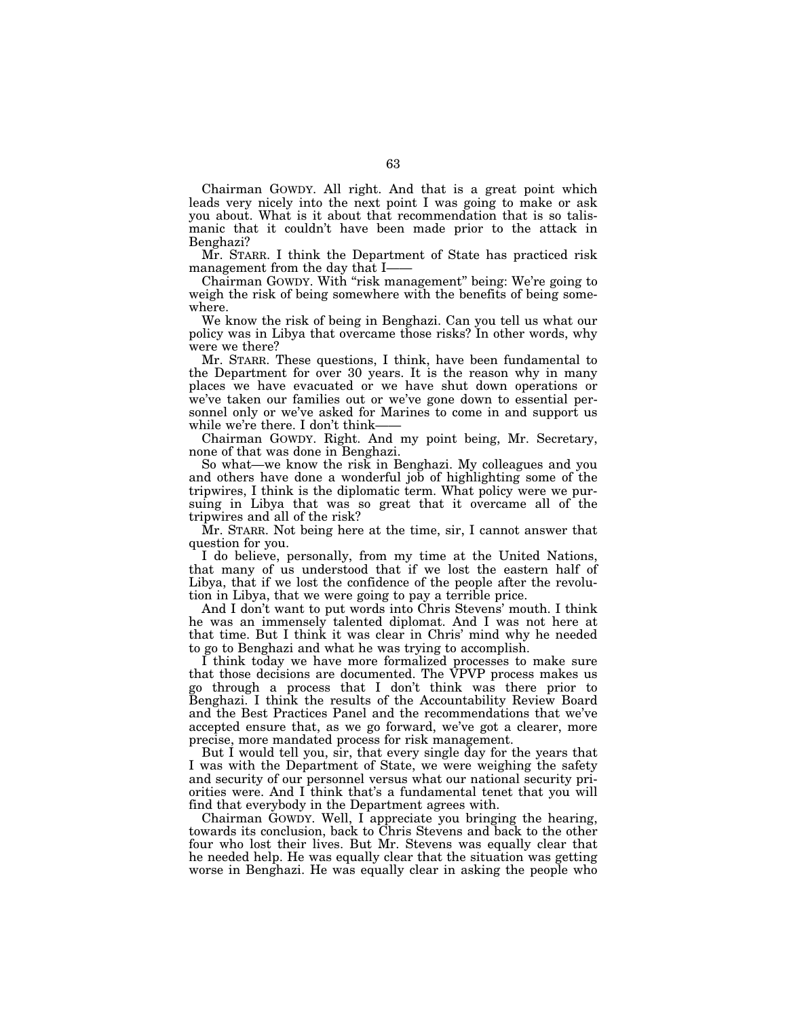Chairman GOWDY. All right. And that is a great point which leads very nicely into the next point I was going to make or ask you about. What is it about that recommendation that is so talismanic that it couldn't have been made prior to the attack in Benghazi?

Mr. STARR. I think the Department of State has practiced risk management from the day that I-

Chairman GOWDY. With ''risk management'' being: We're going to weigh the risk of being somewhere with the benefits of being somewhere.

We know the risk of being in Benghazi. Can you tell us what our policy was in Libya that overcame those risks? In other words, why were we there?

Mr. STARR. These questions, I think, have been fundamental to the Department for over 30 years. It is the reason why in many places we have evacuated or we have shut down operations or we've taken our families out or we've gone down to essential personnel only or we've asked for Marines to come in and support us while we're there. I don't think-

Chairman GOWDY. Right. And my point being, Mr. Secretary, none of that was done in Benghazi.

So what—we know the risk in Benghazi. My colleagues and you and others have done a wonderful job of highlighting some of the tripwires, I think is the diplomatic term. What policy were we pursuing in Libya that was so great that it overcame all of the tripwires and all of the risk?

Mr. STARR. Not being here at the time, sir, I cannot answer that question for you.

I do believe, personally, from my time at the United Nations, that many of us understood that if we lost the eastern half of Libya, that if we lost the confidence of the people after the revolution in Libya, that we were going to pay a terrible price.

And I don't want to put words into Chris Stevens' mouth. I think he was an immensely talented diplomat. And I was not here at that time. But I think it was clear in Chris' mind why he needed to go to Benghazi and what he was trying to accomplish.

I think today we have more formalized processes to make sure that those decisions are documented. The VPVP process makes us go through a process that I don't think was there prior to Benghazi. I think the results of the Accountability Review Board and the Best Practices Panel and the recommendations that we've accepted ensure that, as we go forward, we've got a clearer, more precise, more mandated process for risk management.

But I would tell you, sir, that every single day for the years that I was with the Department of State, we were weighing the safety and security of our personnel versus what our national security priorities were. And I think that's a fundamental tenet that you will find that everybody in the Department agrees with.

Chairman GOWDY. Well, I appreciate you bringing the hearing, towards its conclusion, back to Chris Stevens and back to the other four who lost their lives. But Mr. Stevens was equally clear that he needed help. He was equally clear that the situation was getting worse in Benghazi. He was equally clear in asking the people who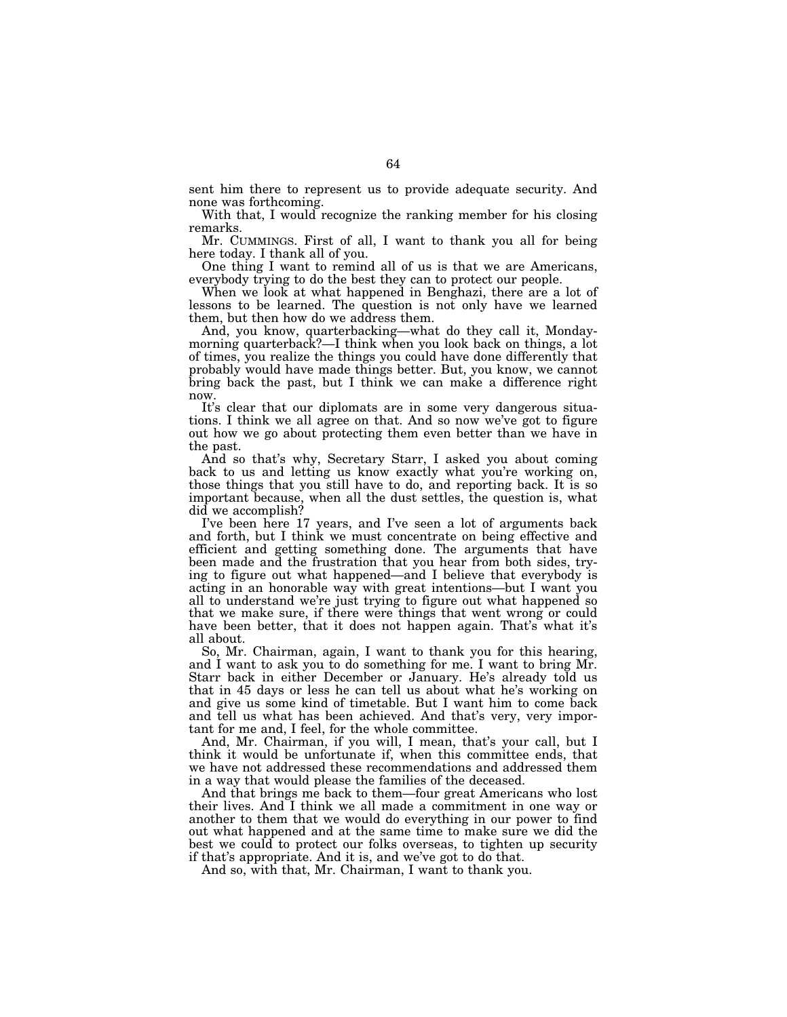sent him there to represent us to provide adequate security. And none was forthcoming.

With that, I would recognize the ranking member for his closing remarks.

Mr. CUMMINGS. First of all, I want to thank you all for being here today. I thank all of you.

One thing I want to remind all of us is that we are Americans, everybody trying to do the best they can to protect our people.

When we look at what happened in Benghazi, there are a lot of lessons to be learned. The question is not only have we learned them, but then how do we address them.

And, you know, quarterbacking—what do they call it, Mondaymorning quarterback?—I think when you look back on things, a lot of times, you realize the things you could have done differently that probably would have made things better. But, you know, we cannot bring back the past, but I think we can make a difference right now.

It's clear that our diplomats are in some very dangerous situations. I think we all agree on that. And so now we've got to figure out how we go about protecting them even better than we have in the past.

And so that's why, Secretary Starr, I asked you about coming back to us and letting us know exactly what you're working on, those things that you still have to do, and reporting back. It is so important because, when all the dust settles, the question is, what did we accomplish?

I've been here 17 years, and I've seen a lot of arguments back and forth, but I think we must concentrate on being effective and efficient and getting something done. The arguments that have been made and the frustration that you hear from both sides, trying to figure out what happened—and I believe that everybody is acting in an honorable way with great intentions—but I want you all to understand we're just trying to figure out what happened so that we make sure, if there were things that went wrong or could have been better, that it does not happen again. That's what it's all about.

So, Mr. Chairman, again, I want to thank you for this hearing, and I want to ask you to do something for me. I want to bring Mr. Starr back in either December or January. He's already told us that in 45 days or less he can tell us about what he's working on and give us some kind of timetable. But I want him to come back and tell us what has been achieved. And that's very, very important for me and, I feel, for the whole committee.

And, Mr. Chairman, if you will, I mean, that's your call, but I think it would be unfortunate if, when this committee ends, that we have not addressed these recommendations and addressed them in a way that would please the families of the deceased.

And that brings me back to them—four great Americans who lost their lives. And I think we all made a commitment in one way or another to them that we would do everything in our power to find out what happened and at the same time to make sure we did the best we could to protect our folks overseas, to tighten up security if that's appropriate. And it is, and we've got to do that.

And so, with that, Mr. Chairman, I want to thank you.